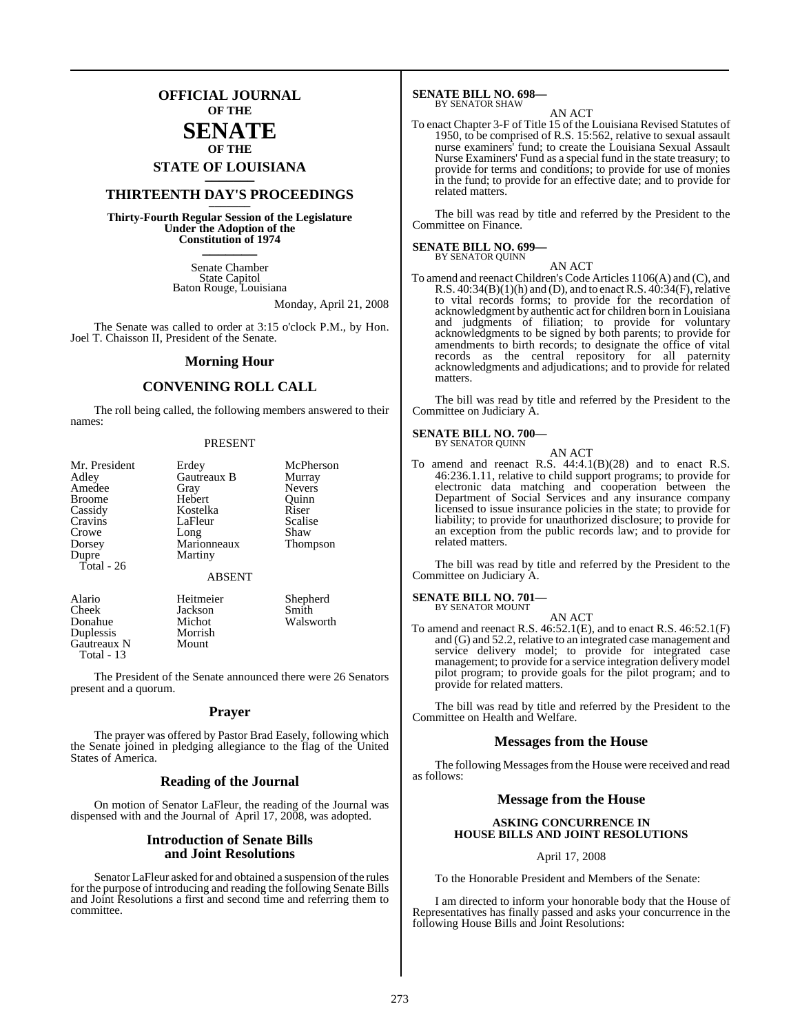## **OFFICIAL JOURNAL OF THE**

### **SENATE OF THE**

# **STATE OF LOUISIANA \_\_\_\_\_\_\_**

## **THIRTEENTH DAY'S PROCEEDINGS \_\_\_\_\_\_\_**

**Thirty-Fourth Regular Session of the Legislature Under the Adoption of the Constitution of 1974 \_\_\_\_\_\_\_**

> Senate Chamber State Capitol Baton Rouge, Louisiana

> > Monday, April 21, 2008

The Senate was called to order at 3:15 o'clock P.M., by Hon. Joel T. Chaisson II, President of the Senate.

### **Morning Hour**

### **CONVENING ROLL CALL**

The roll being called, the following members answered to their names:

### PRESENT

| Mr. President | Erdey         | McPherson       |
|---------------|---------------|-----------------|
| Adley         | Gautreaux B   | Murray          |
| Amedee        | Gray          | <b>Nevers</b>   |
| <b>Broome</b> | Hebert        | Ouinn           |
| Cassidy       | Kostelka      | Riser           |
| Cravins       | LaFleur       | Scalise         |
| Crowe         | Long          | Shaw            |
| Dorsey        | Marionneaux   | <b>Thompson</b> |
| Dupre         | Martiny       |                 |
| Total - 26    |               |                 |
|               | <b>ABSENT</b> |                 |
| Alario        | Heitmeier     | Shepherd        |

Cheek Jackson Smith Donahue Michot Walsworth<br>
Duplessis Morrish Duplessis Morris<br>
Gautreaux N Mount Gautreaux N Total - 13

The President of the Senate announced there were 26 Senators present and a quorum.

### **Prayer**

The prayer was offered by Pastor Brad Easely, following which the Senate joined in pledging allegiance to the flag of the United States of America.

### **Reading of the Journal**

On motion of Senator LaFleur, the reading of the Journal was dispensed with and the Journal of April 17, 2008, was adopted.

### **Introduction of Senate Bills and Joint Resolutions**

Senator LaFleur asked for and obtained a suspension of the rules for the purpose of introducing and reading the following Senate Bills and Joint Resolutions a first and second time and referring them to committee.

## **SENATE BILL NO. 698—** BY SENATOR SHAW

### AN ACT

To enact Chapter 3-F of Title 15 of the Louisiana Revised Statutes of 1950, to be comprised of R.S. 15:562, relative to sexual assault nurse examiners' fund; to create the Louisiana Sexual Assault Nurse Examiners' Fund as a special fund in the state treasury; to provide for terms and conditions; to provide for use of monies in the fund; to provide for an effective date; and to provide for related matters.

The bill was read by title and referred by the President to the Committee on Finance.

### **SENATE BILL NO. 699—** BY SENATOR QUINN

AN ACT

To amend and reenact Children's Code Articles 1106(A) and (C), and R.S.  $40:34(B)(1)(h)$  and (D), and to enact R.S.  $40:34(F)$ , relative to vital records forms; to provide for the recordation of acknowledgment by authentic act for children born in Louisiana and judgments of filiation; to provide for voluntary acknowledgments to be signed by both parents; to provide for amendments to birth records; to designate the office of vital records as the central repository for all paternity acknowledgments and adjudications; and to provide for related matters.

The bill was read by title and referred by the President to the Committee on Judiciary A.

### **SENATE BILL NO. 700—** BY SENATOR QUINN

AN ACT To amend and reenact R.S. 44:4.1(B)(28) and to enact R.S. 46:236.1.11, relative to child support programs; to provide for electronic data matching and cooperation between the Department of Social Services and any insurance company licensed to issue insurance policies in the state; to provide for liability; to provide for unauthorized disclosure; to provide for an exception from the public records law; and to provide for related matters.

The bill was read by title and referred by the President to the Committee on Judiciary A.

### **SENATE BILL NO. 701—** BY SENATOR MOUNT

AN ACT

To amend and reenact R.S. 46:52.1(E), and to enact R.S. 46:52.1(F) and (G) and 52.2, relative to an integrated case management and service delivery model; to provide for integrated case management; to provide for a service integration delivery model pilot program; to provide goals for the pilot program; and to provide for related matters.

The bill was read by title and referred by the President to the Committee on Health and Welfare.

### **Messages from the House**

The following Messages from the House were received and read as follows:

### **Message from the House**

### **ASKING CONCURRENCE IN HOUSE BILLS AND JOINT RESOLUTIONS**

### April 17, 2008

To the Honorable President and Members of the Senate:

I am directed to inform your honorable body that the House of Representatives has finally passed and asks your concurrence in the following House Bills and Joint Resolutions: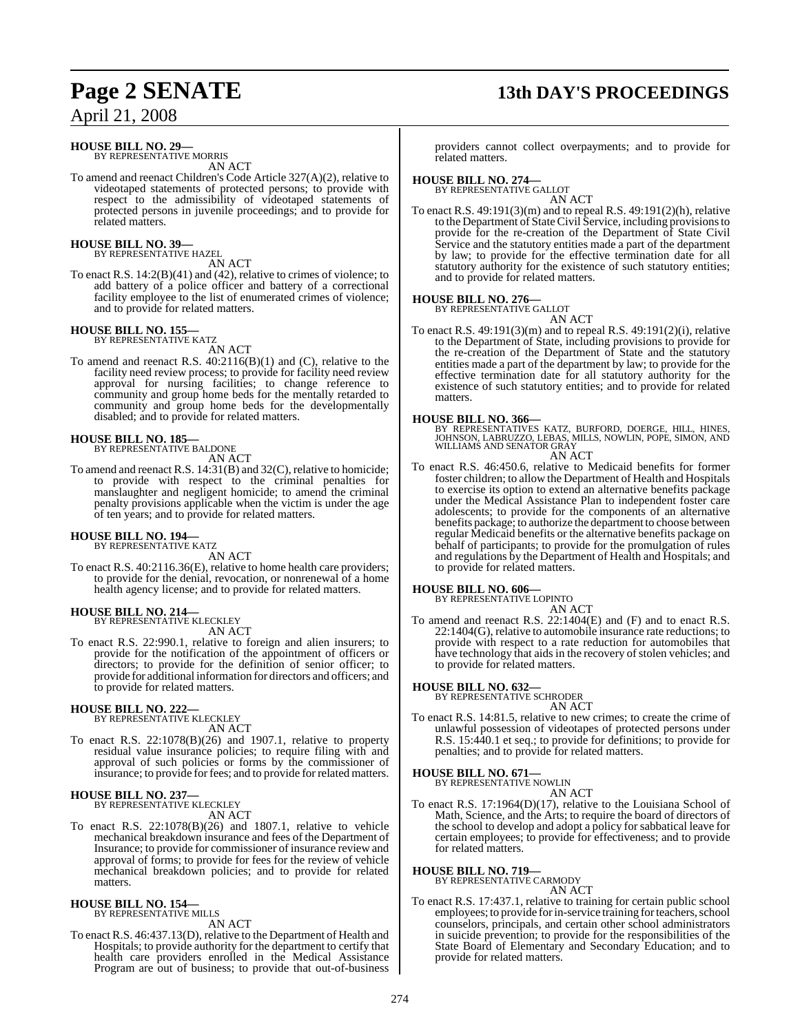## **Page 2 SENATE 13th DAY'S PROCEEDINGS**

April 21, 2008

## **HOUSE BILL NO. 29—** BY REPRESENTATIVE MORRIS

AN ACT

To amend and reenact Children's Code Article 327(A)(2), relative to videotaped statements of protected persons; to provide with respect to the admissibility of videotaped statements of protected persons in juvenile proceedings; and to provide for related matters.

### **HOUSE BILL NO. 39—** BY REPRESENTATIVE HAZEL

AN ACT

To enact R.S. 14:2(B)(41) and (42), relative to crimes of violence; to add battery of a police officer and battery of a correctional facility employee to the list of enumerated crimes of violence; and to provide for related matters.

### **HOUSE BILL NO. 155—**

BY REPRESENTATIVE KATZ AN ACT

To amend and reenact R.S. 40:2116(B)(1) and (C), relative to the facility need review process; to provide for facility need review approval for nursing facilities; to change reference to community and group home beds for the mentally retarded to community and group home beds for the developmentally disabled; and to provide for related matters.

### **HOUSE BILL NO. 185—**

BY REPRESENTATIVE BALDONE AN ACT

To amend and reenact R.S. 14:31(B) and 32(C), relative to homicide; to provide with respect to the criminal penalties for manslaughter and negligent homicide; to amend the criminal penalty provisions applicable when the victim is under the age of ten years; and to provide for related matters.

### **HOUSE BILL NO. 194—** BY REPRESENTATIVE KATZ

AN ACT

To enact R.S. 40:2116.36(E), relative to home health care providers; to provide for the denial, revocation, or nonrenewal of a home health agency license; and to provide for related matters.

## **HOUSE BILL NO. 214—** BY REPRESENTATIVE KLECKLEY

AN ACT

To enact R.S. 22:990.1, relative to foreign and alien insurers; to provide for the notification of the appointment of officers or directors; to provide for the definition of senior officer; to provide for additional information for directors and officers; and to provide for related matters.

# **HOUSE BILL NO. 222—** BY REPRESENTATIVE KLECKLEY

AN ACT

To enact R.S. 22:1078(B)(26) and 1907.1, relative to property residual value insurance policies; to require filing with and approval of such policies or forms by the commissioner of insurance; to provide for fees; and to provide for related matters.

### **HOUSE BILL NO. 237—** BY REPRESENTATIVE KLECKLEY

AN ACT

To enact R.S. 22:1078(B)(26) and 1807.1, relative to vehicle mechanical breakdown insurance and fees of the Department of Insurance; to provide for commissioner of insurance review and approval of forms; to provide for fees for the review of vehicle mechanical breakdown policies; and to provide for related matters.

### **HOUSE BILL NO. 154—** BY REPRESENTATIVE MILLS

AN ACT

To enact R.S. 46:437.13(D), relative to the Department of Health and Hospitals; to provide authority for the department to certify that health care providers enrolled in the Medical Assistance Program are out of business; to provide that out-of-business providers cannot collect overpayments; and to provide for related matters.

## **HOUSE BILL NO. 274—** BY REPRESENTATIVE GALLOT

AN ACT To enact R.S. 49:191(3)(m) and to repeal R.S. 49:191(2)(h), relative to the Department of State Civil Service, including provisionsto provide for the re-creation of the Department of State Civil Service and the statutory entities made a part of the department by law; to provide for the effective termination date for all statutory authority for the existence of such statutory entities; and to provide for related matters.

### **HOUSE BILL NO. 276—**

BY REPRESENTATIVE GALLOT AN ACT

To enact R.S. 49:191(3)(m) and to repeal R.S. 49:191(2)(i), relative to the Department of State, including provisions to provide for the re-creation of the Department of State and the statutory entities made a part of the department by law; to provide for the effective termination date for all statutory authority for the existence of such statutory entities; and to provide for related matters.

### **HOUSE BILL NO. 366—**

BY REPRESENTATIVES KATZ, BURFORD, DOERGE, HILL, HINES, JOHNSON, LABRUZZO, LEBAS, MILLS, NOWLIN, POPE, SIMON, AND WILLIAMS AND SENATOR GRAY AN ACT

To enact R.S. 46:450.6, relative to Medicaid benefits for former foster children; to allow the Department of Health and Hospitals to exercise its option to extend an alternative benefits package under the Medical Assistance Plan to independent foster care adolescents; to provide for the components of an alternative benefits package; to authorize the department to choose between regular Medicaid benefits or the alternative benefits package on behalf of participants; to provide for the promulgation of rules and regulations by the Department of Health and Hospitals; and to provide for related matters.

**HOUSE BILL NO. 606—** BY REPRESENTATIVE LOPINTO

- AN ACT
- To amend and reenact R.S. 22:1404(E) and (F) and to enact R.S. 22:1404(G), relative to automobile insurance rate reductions; to provide with respect to a rate reduction for automobiles that have technology that aids in the recovery of stolen vehicles; and to provide for related matters.

### **HOUSE BILL NO. 632—**

BY REPRESENTATIVE SCHRODER

AN ACT To enact R.S. 14:81.5, relative to new crimes; to create the crime of unlawful possession of videotapes of protected persons under R.S. 15:440.1 et seq.; to provide for definitions; to provide for penalties; and to provide for related matters.

# **HOUSE BILL NO. 671—** BY REPRESENTATIVE NOWLIN

AN ACT

To enact R.S. 17:1964(D)(17), relative to the Louisiana School of Math, Science, and the Arts; to require the board of directors of the school to develop and adopt a policy for sabbatical leave for certain employees; to provide for effectiveness; and to provide for related matters.

### **HOUSE BILL NO. 719—**

BY REPRESENTATIVE CARMODY AN ACT

To enact R.S. 17:437.1, relative to training for certain public school employees; to provide for in-service training for teachers, school counselors, principals, and certain other school administrators in suicide prevention; to provide for the responsibilities of the State Board of Elementary and Secondary Education; and to provide for related matters.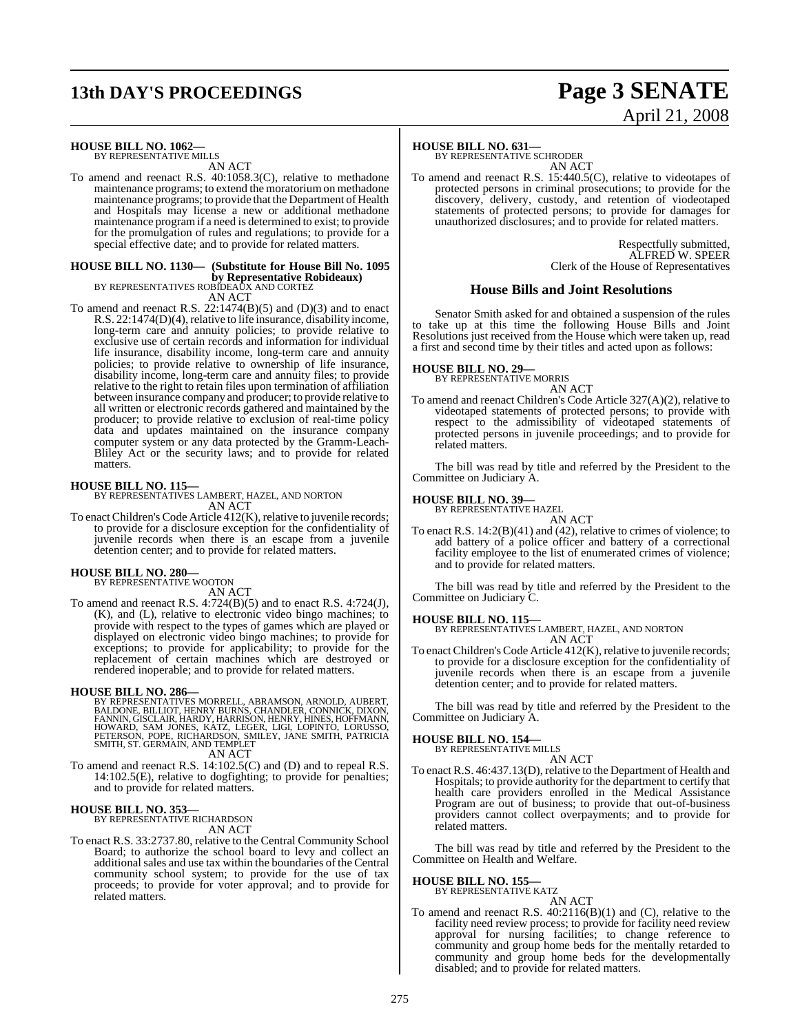# **13th DAY'S PROCEEDINGS Page 3 SENATE**

# April 21, 2008

### **HOUSE BILL NO. 1062—** BY REPRESENTATIVE MILLS

AN ACT

To amend and reenact R.S. 40:1058.3(C), relative to methadone maintenance programs; to extend the moratoriumon methadone maintenance programs; to provide that the Department of Health and Hospitals may license a new or additional methadone maintenance programif a need is determined to exist; to provide for the promulgation of rules and regulations; to provide for a special effective date; and to provide for related matters.

### **HOUSE BILL NO. 1130— (Substitute for House Bill No. 1095**

**by Representative Robideaux)** BY REPRESENTATIVES ROBIDEAUX AND CORTEZ

AN ACT

To amend and reenact R.S. 22:1474(B)(5) and (D)(3) and to enact R.S. 22:1474(D)(4), relative to life insurance, disability income, long-term care and annuity policies; to provide relative to exclusive use of certain records and information for individual life insurance, disability income, long-term care and annuity policies; to provide relative to ownership of life insurance, disability income, long-term care and annuity files; to provide relative to the right to retain files upon termination of affiliation between insurance company and producer; to provide relative to all written or electronic records gathered and maintained by the producer; to provide relative to exclusion of real-time policy data and updates maintained on the insurance company computer system or any data protected by the Gramm-Leach-Bliley Act or the security laws; and to provide for related matters.

**HOUSE BILL NO. 115—** BY REPRESENTATIVES LAMBERT, HAZEL, AND NORTON AN ACT

To enact Children's Code Article 412(K), relative to juvenile records; to provide for a disclosure exception for the confidentiality of juvenile records when there is an escape from a juvenile detention center; and to provide for related matters.

## **HOUSE BILL NO. 280—** BY REPRESENTATIVE WOOTON

AN ACT

To amend and reenact R.S. 4:724(B)(5) and to enact R.S. 4:724(J), (K), and (L), relative to electronic video bingo machines; to provide with respect to the types of games which are played or displayed on electronic video bingo machines; to provide for exceptions; to provide for applicability; to provide for the replacement of certain machines which are destroyed or rendered inoperable; and to provide for related matters.

### **HOUSE BILL NO. 286—**

BY REPRESENTATIVES MORRELL, ABRAMSON, ARNOLD, AUBERT,<br>BALDONE, BILLIOT, HENRY BURNS, CHANDLER, CONNICK, DIXON,<br>FANNIN, GISCLAIR, HARDY, HARRISON, HENRY, HINES, HOFFMANN,<br>HOWARD, SAM JONES, KATZ, LEGER, LIGI, LOPINTO, LORUS

AN ACT

To amend and reenact R.S. 14:102.5(C) and (D) and to repeal R.S. 14:102.5(E), relative to dogfighting; to provide for penalties; and to provide for related matters.

## **HOUSE BILL NO. 353—** BY REPRESENTATIVE RICHARDSON

AN ACT

To enact R.S. 33:2737.80, relative to the Central Community School Board; to authorize the school board to levy and collect an additional sales and use tax within the boundaries of the Central community school system; to provide for the use of tax proceeds; to provide for voter approval; and to provide for related matters.

### **HOUSE BILL NO. 631—**

BY REPRESENTATIVE SCHRODER AN ACT

To amend and reenact R.S. 15:440.5(C), relative to videotapes of protected persons in criminal prosecutions; to provide for the discovery, delivery, custody, and retention of viodeotaped statements of protected persons; to provide for damages for unauthorized disclosures; and to provide for related matters.

> Respectfully submitted, ALFRED W. SPEER Clerk of the House of Representatives

### **House Bills and Joint Resolutions**

Senator Smith asked for and obtained a suspension of the rules to take up at this time the following House Bills and Joint Resolutions just received from the House which were taken up, read a first and second time by their titles and acted upon as follows:

## **HOUSE BILL NO. 29—** BY REPRESENTATIVE MORRIS

AN ACT

To amend and reenact Children's Code Article 327(A)(2), relative to videotaped statements of protected persons; to provide with respect to the admissibility of videotaped statements of protected persons in juvenile proceedings; and to provide for related matters.

The bill was read by title and referred by the President to the Committee on Judiciary A.

### **HOUSE BILL NO. 39—**

BY REPRESENTATIVE HAZEL AN ACT

To enact R.S. 14:2(B)(41) and (42), relative to crimes of violence; to add battery of a police officer and battery of a correctional facility employee to the list of enumerated crimes of violence; and to provide for related matters.

The bill was read by title and referred by the President to the Committee on Judiciary C.

### **HOUSE BILL NO. 115—**

BY REPRESENTATIVES LAMBERT, HAZEL, AND NORTON AN ACT

To enact Children's Code Article 412(K), relative to juvenile records; to provide for a disclosure exception for the confidentiality of juvenile records when there is an escape from a juvenile detention center; and to provide for related matters.

The bill was read by title and referred by the President to the Committee on Judiciary A.

### **HOUSE BILL NO. 154—**

BY REPRESENTATIVE MILLS AN ACT

To enact R.S. 46:437.13(D), relative to the Department of Health and Hospitals; to provide authority for the department to certify that health care providers enrolled in the Medical Assistance Program are out of business; to provide that out-of-business providers cannot collect overpayments; and to provide for related matters.

The bill was read by title and referred by the President to the Committee on Health and Welfare.

### **HOUSE BILL NO. 155**

BY REPRESENTATIVE KATZ

AN ACT

To amend and reenact R.S. 40:2116(B)(1) and (C), relative to the facility need review process; to provide for facility need review approval for nursing facilities; to change reference to community and group home beds for the mentally retarded to community and group home beds for the developmentally disabled; and to provide for related matters.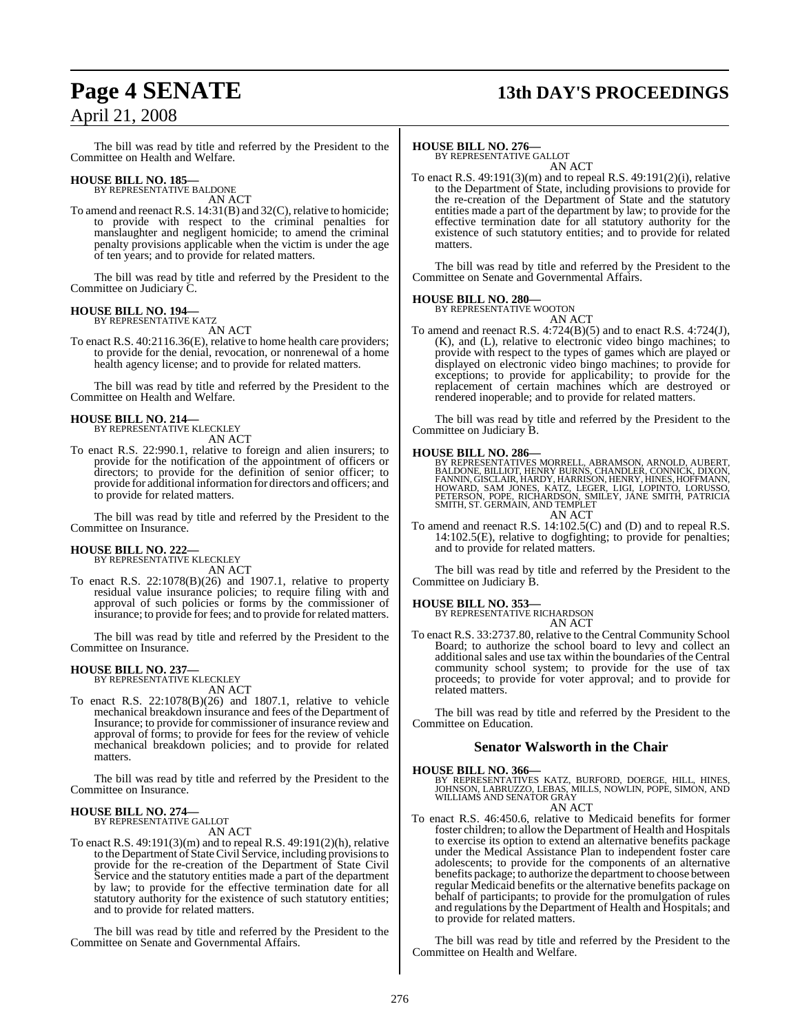## **Page 4 SENATE 13th DAY'S PROCEEDINGS**

The bill was read by title and referred by the President to the Committee on Health and Welfare.

## **HOUSE BILL NO. 185—** BY REPRESENTATIVE BALDONE

AN ACT

To amend and reenact R.S. 14:31(B) and 32(C), relative to homicide; to provide with respect to the criminal penalties for manslaughter and negligent homicide; to amend the criminal penalty provisions applicable when the victim is under the age of ten years; and to provide for related matters.

The bill was read by title and referred by the President to the Committee on Judiciary C.

### **HOUSE BILL NO. 194—**

BY REPRESENTATIVE KATZ AN ACT

To enact R.S. 40:2116.36(E), relative to home health care providers; to provide for the denial, revocation, or nonrenewal of a home health agency license; and to provide for related matters.

The bill was read by title and referred by the President to the Committee on Health and Welfare.

### **HOUSE BILL NO. 214—**

BY REPRESENTATIVE KLECKLEY AN ACT

To enact R.S. 22:990.1, relative to foreign and alien insurers; to provide for the notification of the appointment of officers or directors; to provide for the definition of senior officer; to provide for additional information for directors and officers; and to provide for related matters.

The bill was read by title and referred by the President to the Committee on Insurance.

### **HOUSE BILL NO. 222—**

BY REPRESENTATIVE KLECKLEY AN ACT

To enact R.S. 22:1078(B)(26) and 1907.1, relative to property residual value insurance policies; to require filing with and approval of such policies or forms by the commissioner of insurance; to provide for fees; and to provide for related matters.

The bill was read by title and referred by the President to the Committee on Insurance.

## **HOUSE BILL NO. 237—** BY REPRESENTATIVE KLECKLEY

AN ACT

To enact R.S. 22:1078(B)(26) and 1807.1, relative to vehicle mechanical breakdown insurance and fees of the Department of Insurance; to provide for commissioner of insurance review and approval of forms; to provide for fees for the review of vehicle mechanical breakdown policies; and to provide for related matters.

The bill was read by title and referred by the President to the Committee on Insurance.

### **HOUSE BILL NO. 274—** BY REPRESENTATIVE GALLOT

AN ACT

To enact R.S. 49:191(3)(m) and to repeal R.S. 49:191(2)(h), relative to the Department of StateCivil Service, including provisionsto provide for the re-creation of the Department of State Civil Service and the statutory entities made a part of the department by law; to provide for the effective termination date for all statutory authority for the existence of such statutory entities; and to provide for related matters.

The bill was read by title and referred by the President to the Committee on Senate and Governmental Affairs.

## **HOUSE BILL NO. 276—** BY REPRESENTATIVE GALLOT

AN ACT

To enact R.S. 49:191(3)(m) and to repeal R.S. 49:191(2)(i), relative to the Department of State, including provisions to provide for the re-creation of the Department of State and the statutory entities made a part of the department by law; to provide for the effective termination date for all statutory authority for the existence of such statutory entities; and to provide for related matters.

The bill was read by title and referred by the President to the Committee on Senate and Governmental Affairs.

### **HOUSE BILL NO. 280—**

BY REPRESENTATIVE WOOTON AN ACT

To amend and reenact R.S. 4:724(B)(5) and to enact R.S. 4:724(J), (K), and (L), relative to electronic video bingo machines; to provide with respect to the types of games which are played or displayed on electronic video bingo machines; to provide for exceptions; to provide for applicability; to provide for the replacement of certain machines which are destroyed or rendered inoperable; and to provide for related matters.

The bill was read by title and referred by the President to the Committee on Judiciary B.

### **HOUSE BILL NO. 286—**

BY REPRESENTATIVES MORRELL, ABRAMSON, ARNOLD, AUBERT,<br>BALDONE, BILLIOT, HENRY BURNS, CHANDLER, CONNICK, DIXON,<br>FANNIN, GISCLAIR, HARDY, HARRISON, HENRY, HINES, HOFFMANN,<br>HOWARD, SAM JONES, KATZ, LEGER, LIGI, LOPINTO, LORUS AN ACT

To amend and reenact R.S. 14:102.5(C) and (D) and to repeal R.S. 14:102.5(E), relative to dogfighting; to provide for penalties; and to provide for related matters.

The bill was read by title and referred by the President to the Committee on Judiciary B.

**HOUSE BILL NO. 353—** BY REPRESENTATIVE RICHARDSON AN ACT

To enact R.S. 33:2737.80, relative to the Central Community School Board; to authorize the school board to levy and collect an additional sales and use tax within the boundaries of the Central community school system; to provide for the use of tax proceeds; to provide for voter approval; and to provide for related matters.

The bill was read by title and referred by the President to the Committee on Education.

### **Senator Walsworth in the Chair**

### **HOUSE BILL NO. 366—**

BY REPRESENTATIVES KATZ, BURFORD, DOERGE, HILL, HINES, JOHNSON, LABRUZZO, LEBAS, MILLS, NOWLIN, POPE, SIMON, AND WILLIAMS AND SENATOR GRAY AN ACT

To enact R.S. 46:450.6, relative to Medicaid benefits for former foster children; to allow the Department of Health and Hospitals to exercise its option to extend an alternative benefits package under the Medical Assistance Plan to independent foster care adolescents; to provide for the components of an alternative benefits package; to authorize the department to choose between regular Medicaid benefits or the alternative benefits package on behalf of participants; to provide for the promulgation of rules and regulations by the Department of Health and Hospitals; and to provide for related matters.

The bill was read by title and referred by the President to the Committee on Health and Welfare.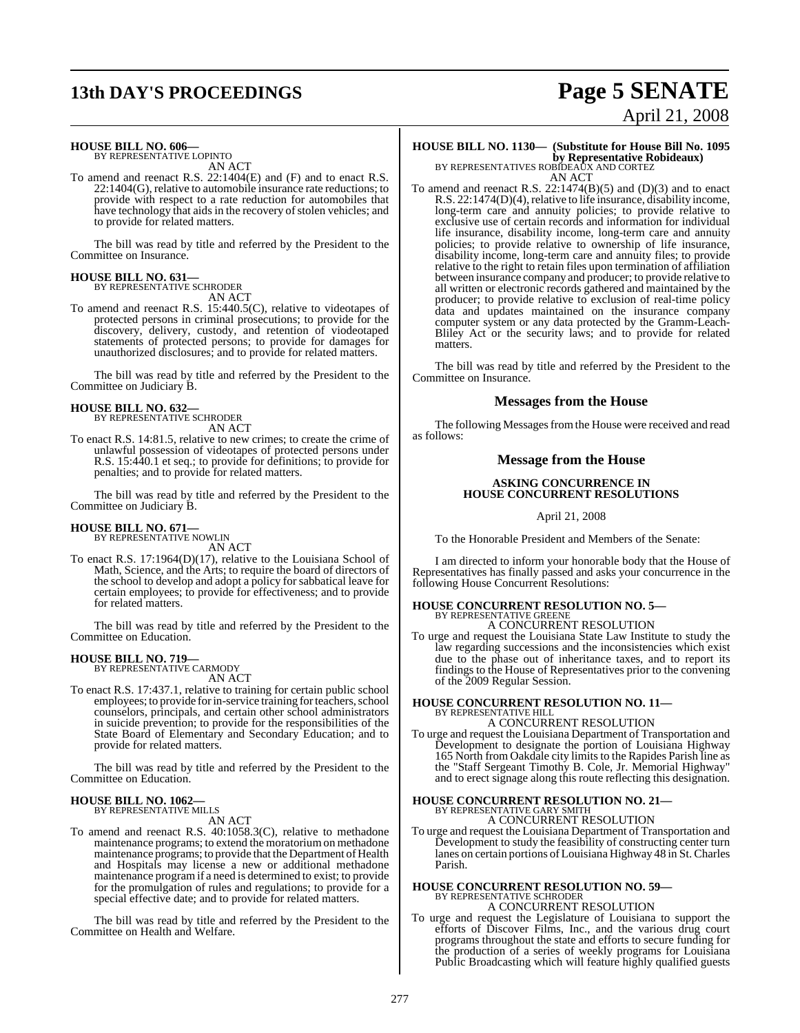## **13th DAY'S PROCEEDINGS Page 5 SENATE**

# April 21, 2008

## **HOUSE BILL NO. 606—** BY REPRESENTATIVE LOPINTO

AN ACT

To amend and reenact R.S. 22:1404(E) and (F) and to enact R.S. 22:1404(G), relative to automobile insurance rate reductions; to provide with respect to a rate reduction for automobiles that have technology that aids in the recovery of stolen vehicles; and to provide for related matters.

The bill was read by title and referred by the President to the Committee on Insurance.

### **HOUSE BILL NO. 631—** BY REPRESENTATIVE SCHRODER

AN ACT

To amend and reenact R.S. 15:440.5(C), relative to videotapes of protected persons in criminal prosecutions; to provide for the discovery, delivery, custody, and retention of viodeotaped statements of protected persons; to provide for damages for unauthorized disclosures; and to provide for related matters.

The bill was read by title and referred by the President to the Committee on Judiciary B.

## **HOUSE BILL NO. 632—** BY REPRESENTATIVE SCHRODER

AN ACT

To enact R.S. 14:81.5, relative to new crimes; to create the crime of unlawful possession of videotapes of protected persons under R.S. 15:440.1 et seq.; to provide for definitions; to provide for penalties; and to provide for related matters.

The bill was read by title and referred by the President to the Committee on Judiciary B.

## **HOUSE BILL NO. 671—** BY REPRESENTATIVE NOWLIN

AN ACT

To enact R.S. 17:1964(D)(17), relative to the Louisiana School of Math, Science, and the Arts; to require the board of directors of the school to develop and adopt a policy for sabbatical leave for certain employees; to provide for effectiveness; and to provide for related matters.

The bill was read by title and referred by the President to the Committee on Education.

### **HOUSE BILL NO. 719—** BY REPRESENTATIVE CARMODY

AN ACT

To enact R.S. 17:437.1, relative to training for certain public school employees; to provide for in-service training for teachers, school counselors, principals, and certain other school administrators in suicide prevention; to provide for the responsibilities of the State Board of Elementary and Secondary Education; and to provide for related matters.

The bill was read by title and referred by the President to the Committee on Education.

## **HOUSE BILL NO. 1062—** BY REPRESENTATIVE MILLS

AN ACT

To amend and reenact R.S. 40:1058.3(C), relative to methadone maintenance programs; to extend the moratoriumon methadone maintenance programs; to provide that the Department of Health and Hospitals may license a new or additional methadone maintenance programif a need is determined to exist; to provide for the promulgation of rules and regulations; to provide for a special effective date; and to provide for related matters.

The bill was read by title and referred by the President to the Committee on Health and Welfare.

## **HOUSE BILL NO. 1130— (Substitute for House Bill No. 1095 by Representative Robideaux)** BY REPRESENTATIVES ROBIDEAUX AND CORTEZ

AN ACT

To amend and reenact R.S.  $22:1474(B)(5)$  and  $(D)(3)$  and to enact R.S. 22:1474(D)(4), relative to life insurance, disability income, long-term care and annuity policies; to provide relative to exclusive use of certain records and information for individual life insurance, disability income, long-term care and annuity policies; to provide relative to ownership of life insurance, disability income, long-term care and annuity files; to provide relative to the right to retain files upon termination of affiliation between insurance company and producer; to provide relative to all written or electronic records gathered and maintained by the producer; to provide relative to exclusion of real-time policy data and updates maintained on the insurance company computer system or any data protected by the Gramm-Leach-Bliley Act or the security laws; and to provide for related matters.

The bill was read by title and referred by the President to the Committee on Insurance.

### **Messages from the House**

The following Messages from the House were received and read as follows:

### **Message from the House**

### **ASKING CONCURRENCE IN HOUSE CONCURRENT RESOLUTIONS**

April 21, 2008

To the Honorable President and Members of the Senate:

I am directed to inform your honorable body that the House of Representatives has finally passed and asks your concurrence in the following House Concurrent Resolutions:

# **HOUSE CONCURRENT RESOLUTION NO. 5—** BY REPRESENTATIVE GREENE

A CONCURRENT RESOLUTION

To urge and request the Louisiana State Law Institute to study the law regarding successions and the inconsistencies which exist due to the phase out of inheritance taxes, and to report its findings to the House of Representatives prior to the convening of the 2009 Regular Session.

# **HOUSE CONCURRENT RESOLUTION NO. 11—** BY REPRESENTATIVE HILL

A CONCURRENT RESOLUTION

To urge and request the Louisiana Department of Transportation and Development to designate the portion of Louisiana Highway 165 North from Oakdale city limits to the Rapides Parish line as the "Staff Sergeant Timothy B. Cole, Jr. Memorial Highway" and to erect signage along this route reflecting this designation.

## **HOUSE CONCURRENT RESOLUTION NO. 21—** BY REPRESENTATIVE GARY SMITH

A CONCURRENT RESOLUTION

To urge and request the Louisiana Department of Transportation and Development to study the feasibility of constructing center turn lanes on certain portions ofLouisiana Highway 48 in St. Charles Parish.

## **HOUSE CONCURRENT RESOLUTION NO. 59—** BY REPRESENTATIVE SCHRODER A CONCURRENT RESOLUTION

To urge and request the Legislature of Louisiana to support the efforts of Discover Films, Inc., and the various drug court programs throughout the state and efforts to secure funding for the production of a series of weekly programs for Louisiana Public Broadcasting which will feature highly qualified guests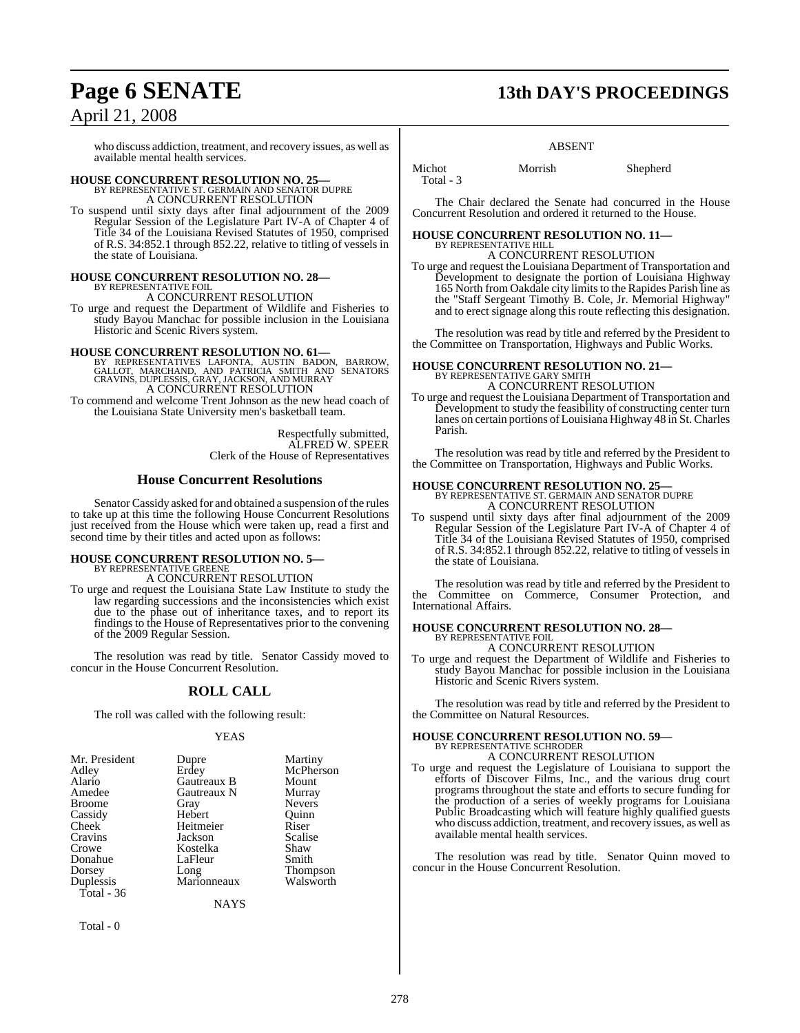who discuss addiction, treatment, and recovery issues, as well as available mental health services.

## **HOUSE CONCURRENT RESOLUTION NO. 25—** BY REPRESENTATIVE ST. GERMAIN AND SENATOR DUPRE

A CONCURRENT RESOLUTION

To suspend until sixty days after final adjournment of the 2009 Regular Session of the Legislature Part IV-A of Chapter 4 of Title 34 of the Louisiana Revised Statutes of 1950, comprised of R.S. 34:852.1 through 852.22, relative to titling of vessels in the state of Louisiana.

### **HOUSE CONCURRENT RESOLUTION NO. 28—**

BY REPRESENTATIVE FOIL A CONCURRENT RESOLUTION

To urge and request the Department of Wildlife and Fisheries to study Bayou Manchac for possible inclusion in the Louisiana Historic and Scenic Rivers system.

**HOUSE CONCURRENT RESOLUTION NO. 61—**<br>BY REPRESENTATIVES LAFONTA, AUSTIN BADON, BARROW,<br>GALLOT, MARCHAND, AND PATRICIA SMITH AND SENATORS<br>CRAVINS, DUPLESSIS, GRAY, JACKSON, AND MURRAY A CONCURRENT RESOLUTION

To commend and welcome Trent Johnson as the new head coach of the Louisiana State University men's basketball team.

> Respectfully submitted, ALFRED W. SPEER Clerk of the House of Representatives

### **House Concurrent Resolutions**

Senator Cassidy asked for and obtained a suspension of the rules to take up at this time the following House Concurrent Resolutions just received from the House which were taken up, read a first and second time by their titles and acted upon as follows:

## **HOUSE CONCURRENT RESOLUTION NO. 5—** BY REPRESENTATIVE GREENE

A CONCURRENT RESOLUTION

To urge and request the Louisiana State Law Institute to study the law regarding successions and the inconsistencies which exist due to the phase out of inheritance taxes, and to report its findings to the House of Representatives prior to the convening of the 2009 Regular Session.

The resolution was read by title. Senator Cassidy moved to concur in the House Concurrent Resolution.

### **ROLL CALL**

The roll was called with the following result:

### YEAS

| Mr. President | Dupre       | Martiny         |
|---------------|-------------|-----------------|
| Adley         | Erdey       | McPherson       |
| Alario        | Gautreaux B | Mount           |
| Amedee        | Gautreaux N | Murray          |
| <b>Broome</b> | Gray        | <b>Nevers</b>   |
| Cassidy       | Hebert      | Ouinn           |
| Cheek         | Heitmeier   | Riser           |
| Cravins       | Jackson     | Scalise         |
| Crowe         | Kostelka    | Shaw            |
| Donahue       | LaFleur     | Smith           |
| Dorsey        | Long        | <b>Thompson</b> |
| Duplessis     | Marionneaux | Walsworth       |
| Total - $36$  |             |                 |
|               | NAYS        |                 |

Total - 0

## **Page 6 SENATE 13th DAY'S PROCEEDINGS**

### ABSENT

Total - 3

Michot Morrish Shepherd

The Chair declared the Senate had concurred in the House Concurrent Resolution and ordered it returned to the House.

# **HOUSE CONCURRENT RESOLUTION NO. 11—** BY REPRESENTATIVE HILL

A CONCURRENT RESOLUTION To urge and request the Louisiana Department of Transportation and Development to designate the portion of Louisiana Highway 165 North from Oakdale city limits to the Rapides Parish line as the "Staff Sergeant Timothy B. Cole, Jr. Memorial Highway" and to erect signage along this route reflecting this designation.

The resolution was read by title and referred by the President to the Committee on Transportation, Highways and Public Works.

# **HOUSE CONCURRENT RESOLUTION NO. 21—** BY REPRESENTATIVE GARY SMITH

A CONCURRENT RESOLUTION

To urge and request the Louisiana Department of Transportation and Development to study the feasibility of constructing center turn lanes on certain portions ofLouisiana Highway 48 in St. Charles Parish.

The resolution was read by title and referred by the President to the Committee on Transportation, Highways and Public Works.

## **HOUSE CONCURRENT RESOLUTION NO. 25—** BY REPRESENTATIVE ST. GERMAIN AND SENATOR DUPRE

A CONCURRENT RESOLUTION

To suspend until sixty days after final adjournment of the 2009 Regular Session of the Legislature Part IV-A of Chapter 4 of Title 34 of the Louisiana Revised Statutes of 1950, comprised of R.S. 34:852.1 through 852.22, relative to titling of vessels in the state of Louisiana.

The resolution was read by title and referred by the President to the Committee on Commerce, Consumer Protection, and International Affairs.

### **HOUSE CONCURRENT RESOLUTION NO. 28—** BY REPRESENTATIVE FOIL A CONCURRENT RESOLUTION

To urge and request the Department of Wildlife and Fisheries to study Bayou Manchac for possible inclusion in the Louisiana Historic and Scenic Rivers system.

The resolution was read by title and referred by the President to the Committee on Natural Resources.

### **HOUSE CONCURRENT RESOLUTION NO. 59—** BY REPRESENTATIVE SCHRODER

A CONCURRENT RESOLUTION

To urge and request the Legislature of Louisiana to support the efforts of Discover Films, Inc., and the various drug court programs throughout the state and efforts to secure funding for the production of a series of weekly programs for Louisiana Public Broadcasting which will feature highly qualified guests who discuss addiction, treatment, and recovery issues, as well as available mental health services.

The resolution was read by title. Senator Quinn moved to concur in the House Concurrent Resolution.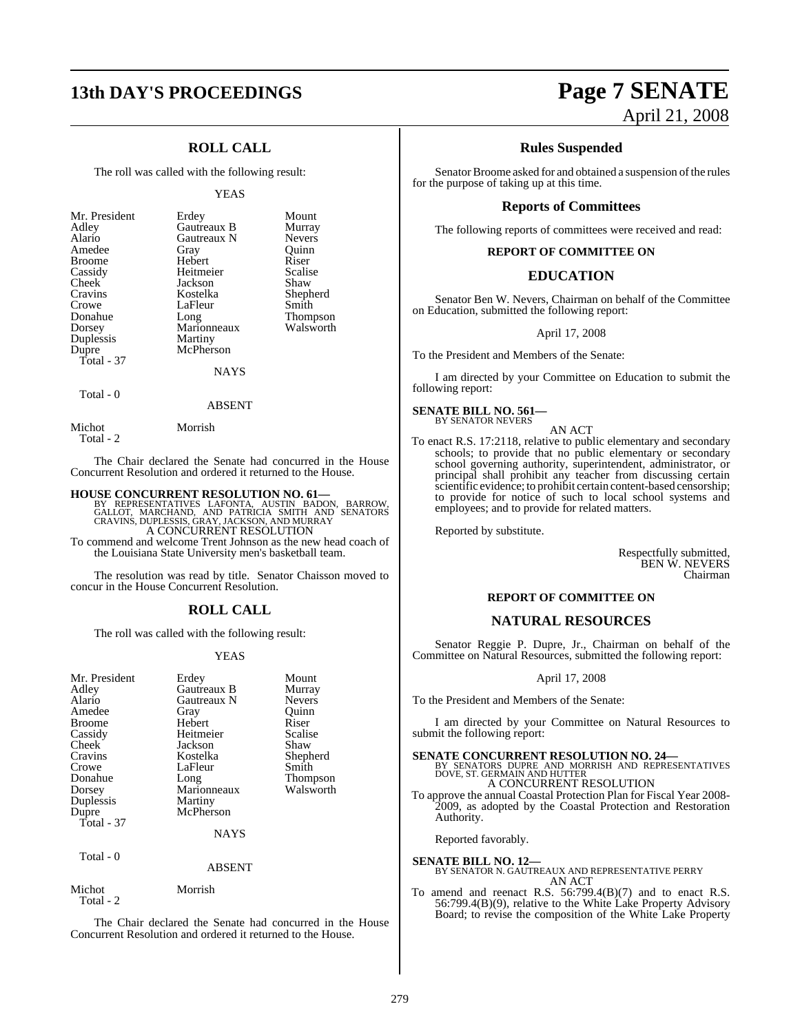## **13th DAY'S PROCEEDINGS Page 7 SENATE**

### **ROLL CALL**

The roll was called with the following result:

### YEAS

| Duplessis<br>Martiny<br>McPherson<br>Dupre<br>Total $-37$<br><b>NAYS</b> | Mr. President<br>Adley<br>Alario<br>Amedee<br><b>Broome</b><br>Cassidy<br>Cheek<br>Cravins<br>Crowe<br>Donahue<br>Dorsey | Erdey<br>Gautreaux B<br>Gautreaux N<br>Gray<br>Hebert<br>Heitmeier<br>Jackson<br>Kostelka<br>LaFleur<br>Long<br>Marionneaux | Mount<br>Murray<br><b>Nevers</b><br>Ouinn<br>Riser<br>Scalise<br>Shaw<br>Shepherd<br>Smith<br><b>Thompson</b><br>Walsworth |
|--------------------------------------------------------------------------|--------------------------------------------------------------------------------------------------------------------------|-----------------------------------------------------------------------------------------------------------------------------|----------------------------------------------------------------------------------------------------------------------------|
|--------------------------------------------------------------------------|--------------------------------------------------------------------------------------------------------------------------|-----------------------------------------------------------------------------------------------------------------------------|----------------------------------------------------------------------------------------------------------------------------|

## Total - 0

Total - 2

Michot Morrish

ABSENT

The Chair declared the Senate had concurred in the House Concurrent Resolution and ordered it returned to the House.

### **HOUSE CONCURRENT RESOLUTION NO. 61—**

BY REPRESENTATIVES LAFONTA, AUSTIN BADON, BARROW,<br>GALLOT, MARCHAND, AND PATRICIA SMITH AND SENATORS<br>CRAVINS,DUPLESSIS,GRAY,JACKSON,AND MURRAY A CONCURRENT RESOLUTION

To commend and welcome Trent Johnson as the new head coach of the Louisiana State University men's basketball team.

The resolution was read by title. Senator Chaisson moved to concur in the House Concurrent Resolution.

### **ROLL CALL**

The roll was called with the following result:

### YEAS

| Mr. President<br>Adley<br>Alario<br>Amedee<br><b>Broome</b><br>Cassidy<br>Cheek<br>Cravins<br>Crowe<br>Donahue<br>Dorsey<br>Duplessis<br>Dupre<br>Total - 37<br>Total - 0 | Erdey<br>Gautreaux B<br>Gautreaux N<br>Gray<br>Hebert<br>Heitmeier<br>Jackson<br>Kostelka<br>LaFleur<br>Long<br>Marionneaux<br>Martiny<br>McPherson<br><b>NAYS</b><br><b>ABSENT</b> | Mount<br>Murray<br><b>Nevers</b><br>Quinn<br>Riser<br>Scalise<br>Shaw<br>Shepherd<br>Smith<br>Thompson<br>Walsworth |
|---------------------------------------------------------------------------------------------------------------------------------------------------------------------------|-------------------------------------------------------------------------------------------------------------------------------------------------------------------------------------|---------------------------------------------------------------------------------------------------------------------|
|                                                                                                                                                                           |                                                                                                                                                                                     |                                                                                                                     |
| Michot<br>Total - 2                                                                                                                                                       | Morrish                                                                                                                                                                             |                                                                                                                     |

The Chair declared the Senate had concurred in the House Concurrent Resolution and ordered it returned to the House.

# April 21, 2008

### **Rules Suspended**

Senator Broome asked for and obtained a suspension of the rules for the purpose of taking up at this time.

### **Reports of Committees**

The following reports of committees were received and read:

### **REPORT OF COMMITTEE ON**

### **EDUCATION**

Senator Ben W. Nevers, Chairman on behalf of the Committee on Education, submitted the following report:

April 17, 2008

To the President and Members of the Senate:

I am directed by your Committee on Education to submit the following report:

## **SENATE BILL NO. 561—** BY SENATOR NEVERS

AN ACT

To enact R.S. 17:2118, relative to public elementary and secondary schools; to provide that no public elementary or secondary school governing authority, superintendent, administrator, or principal shall prohibit any teacher from discussing certain scientific evidence; to prohibit certain content-based censorship; to provide for notice of such to local school systems and employees; and to provide for related matters.

Reported by substitute.

Respectfully submitted, BEN W. NEVERS Chairman

### **REPORT OF COMMITTEE ON**

### **NATURAL RESOURCES**

Senator Reggie P. Dupre, Jr., Chairman on behalf of the Committee on Natural Resources, submitted the following report:

### April 17, 2008

To the President and Members of the Senate:

I am directed by your Committee on Natural Resources to submit the following report:

**SENATE CONCURRENT RESOLUTION NO. 24—BY SENATORS DUPRE AND MORRISH AND REPRESENTATIVES** DOVE, ST. GERMAIN AND HUTTER A CONCURRENT RESOLUTION

To approve the annual Coastal Protection Plan for Fiscal Year 2008- 2009, as adopted by the Coastal Protection and Restoration Authority.

Reported favorably.

**SENATE BILL NO. 12—** BY SENATOR N. GAUTREAUX AND REPRESENTATIVE PERRY AN ACT

To amend and reenact R.S. 56:799.4(B)(7) and to enact R.S.  $56:799.4(B)(9)$ , relative to the White Lake Property Advisory Board; to revise the composition of the White Lake Property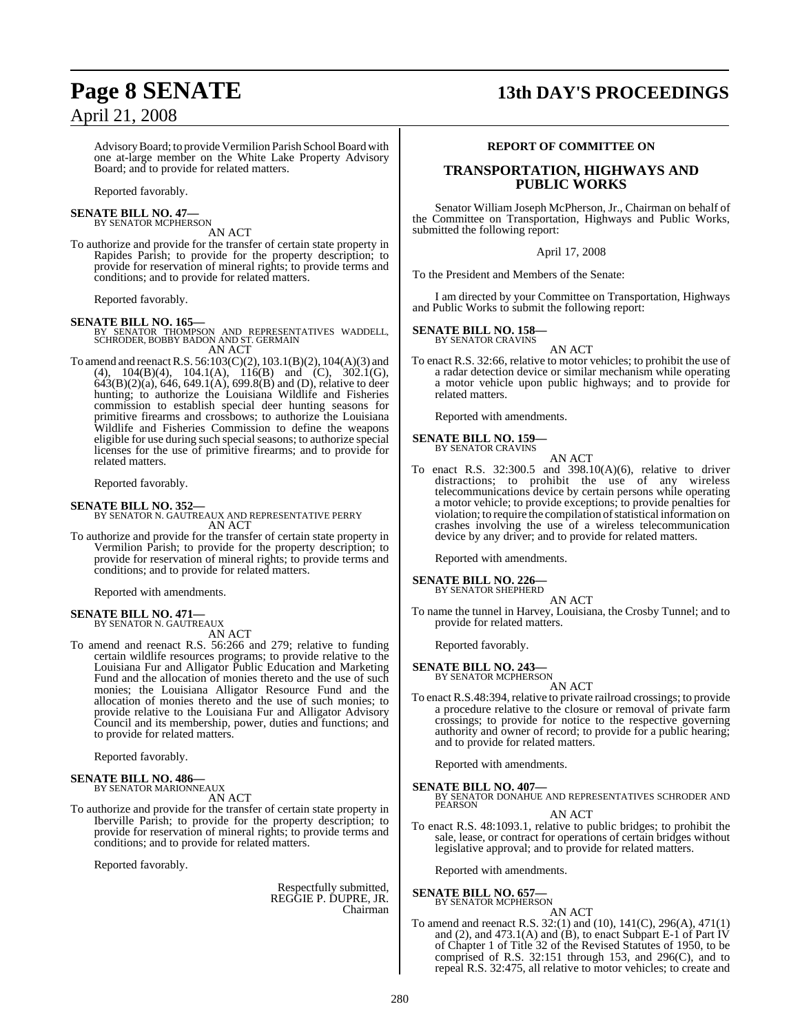## **Page 8 SENATE 13th DAY'S PROCEEDINGS**

Advisory Board; to provide Vermilion Parish School Board with one at-large member on the White Lake Property Advisory Board; and to provide for related matters.

Reported favorably.

### **SENATE BILL NO. 47—** BY SENATOR MCPHERSON

AN ACT

To authorize and provide for the transfer of certain state property in Rapides Parish; to provide for the property description; to provide for reservation of mineral rights; to provide terms and conditions; and to provide for related matters.

Reported favorably.

**SENATE BILL NO. 165—** BY SENATOR THOMPSON AND REPRESENTATIVES WADDELL, SCHRODER, BOBBY BADON AND ST. GERMAIN AN ACT

To amend and reenact R.S. 56:103(C)(2), 103.1(B)(2), 104(A)(3) and (4),  $104(B)(4)$ ,  $104.1(A)$ ,  $116(B)$  and (C),  $302.1(G)$ , 643(B)(2)(a), 646, 649.1(A), 699.8(B) and (D), relative to deer hunting; to authorize the Louisiana Wildlife and Fisheries commission to establish special deer hunting seasons for primitive firearms and crossbows; to authorize the Louisiana Wildlife and Fisheries Commission to define the weapons eligible for use during such special seasons; to authorize special licenses for the use of primitive firearms; and to provide for related matters.

Reported favorably.

### **SENATE BILL NO. 352—**

BY SENATOR N. GAUTREAUX AND REPRESENTATIVE PERRY AN ACT

To authorize and provide for the transfer of certain state property in Vermilion Parish; to provide for the property description; to provide for reservation of mineral rights; to provide terms and conditions; and to provide for related matters.

Reported with amendments.

### **SENATE BILL NO. 471—** BY SENATOR N. GAUTREAUX

AN ACT

To amend and reenact R.S. 56:266 and 279; relative to funding certain wildlife resources programs; to provide relative to the Louisiana Fur and Alligator Public Education and Marketing Fund and the allocation of monies thereto and the use of such monies; the Louisiana Alligator Resource Fund and the allocation of monies thereto and the use of such monies; to provide relative to the Louisiana Fur and Alligator Advisory Council and its membership, power, duties and functions; and to provide for related matters.

Reported favorably.

### **SENATE BILL NO. 486—** BY SENATOR MARIONNEAUX

AN ACT

To authorize and provide for the transfer of certain state property in Iberville Parish; to provide for the property description; to provide for reservation of mineral rights; to provide terms and conditions; and to provide for related matters.

Reported favorably.

Respectfully submitted, REGGIE P. DUPRE, JR. Chairman

### **REPORT OF COMMITTEE ON**

### **TRANSPORTATION, HIGHWAYS AND PUBLIC WORKS**

Senator William Joseph McPherson, Jr., Chairman on behalf of the Committee on Transportation, Highways and Public Works, submitted the following report:

April 17, 2008

To the President and Members of the Senate:

I am directed by your Committee on Transportation, Highways and Public Works to submit the following report:

### **SENATE BILL NO. 158** BY SENATOR CRAVINS

AN ACT

To enact R.S. 32:66, relative to motor vehicles; to prohibit the use of a radar detection device or similar mechanism while operating a motor vehicle upon public highways; and to provide for related matters.

Reported with amendments.

### **SENATE BILL NO. 159—** BY SENATOR CRAVINS

To enact R.S. 32:300.5 and 398.10(A)(6), relative to driver distractions; to prohibit the use of any wireless telecommunications device by certain persons while operating a motor vehicle; to provide exceptions; to provide penalties for violation; to require the compilation of statistical information on crashes involving the use of a wireless telecommunication device by any driver; and to provide for related matters.

AN ACT

Reported with amendments.

## **SENATE BILL NO. 226—** BY SENATOR SHEPHERD

AN ACT

To name the tunnel in Harvey, Louisiana, the Crosby Tunnel; and to provide for related matters.

Reported favorably.

## **SENATE BILL NO. 243—**<br>BY SENATOR MCPHERSON

AN ACT

To enact R.S.48:394, relative to private railroad crossings; to provide a procedure relative to the closure or removal of private farm crossings; to provide for notice to the respective governing authority and owner of record; to provide for a public hearing; and to provide for related matters.

Reported with amendments.

**SENATE BILL NO. 407—**<br>BY SENATOR DONAHUE AND REPRESENTATIVES SCHRODER AND PEARSON

AN ACT

To enact R.S. 48:1093.1, relative to public bridges; to prohibit the sale, lease, or contract for operations of certain bridges without legislative approval; and to provide for related matters.

Reported with amendments.

### **SENATE BILL NO. 657—** BY SENATOR MCPHERSON

AN ACT

To amend and reenact R.S. 32:(1) and (10), 141(C), 296(A), 471(1) and (2), and 473.1(A) and (B), to enact Subpart E-1 of Part IV of Chapter 1 of Title 32 of the Revised Statutes of 1950, to be comprised of R.S.  $32:151$  through 153, and  $296(C)$ , and to repeal R.S. 32:475, all relative to motor vehicles; to create and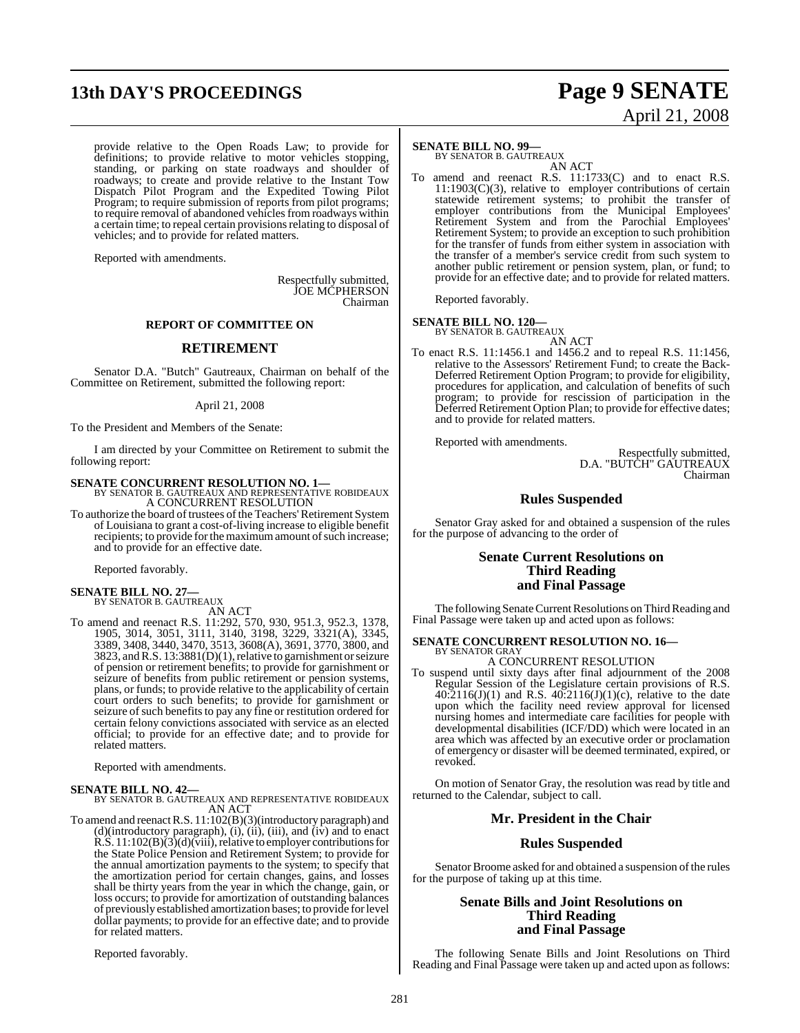# **13th DAY'S PROCEEDINGS Page 9 SENATE**

provide relative to the Open Roads Law; to provide for definitions; to provide relative to motor vehicles stopping, standing, or parking on state roadways and shoulder of roadways; to create and provide relative to the Instant Tow Dispatch Pilot Program and the Expedited Towing Pilot Program; to require submission of reports from pilot programs; to require removal of abandoned vehicles from roadways within a certain time; to repeal certain provisionsrelating to disposal of vehicles; and to provide for related matters.

Reported with amendments.

Respectfully submitted, JOE MCPHERSON Chairman

### **REPORT OF COMMITTEE ON**

### **RETIREMENT**

Senator D.A. "Butch" Gautreaux, Chairman on behalf of the Committee on Retirement, submitted the following report:

### April 21, 2008

To the President and Members of the Senate:

I am directed by your Committee on Retirement to submit the following report:

**SENATE CONCURRENT RESOLUTION NO. 1—**<br>BY SENATOR B. GAUTREAUX AND REPRESENTATIVE ROBIDEAUX<br>A CONCURRENT RESOLUTION

To authorize the board of trustees of the Teachers' Retirement System of Louisiana to grant a cost-of-living increase to eligible benefit recipients; to provide for the maximum amount of such increase; and to provide for an effective date.

Reported favorably.

- **SENATE BILL NO. 27—** BY SENATOR B. GAUTREAUX AN ACT
- To amend and reenact R.S. 11:292, 570, 930, 951.3, 952.3, 1378, 1905, 3014, 3051, 3111, 3140, 3198, 3229, 3321(A), 3345, 3389, 3408, 3440, 3470, 3513, 3608(A), 3691, 3770, 3800, and 3823, andR.S. 13:3881(D)(1), relative to garnishment or seizure of pension or retirement benefits; to provide for garnishment or seizure of benefits from public retirement or pension systems, plans, or funds; to provide relative to the applicability of certain court orders to such benefits; to provide for garnishment or seizure of such benefits to pay any fine or restitution ordered for certain felony convictions associated with service as an elected official; to provide for an effective date; and to provide for related matters.

Reported with amendments.

**SENATE BILL NO. 42—** BY SENATOR B. GAUTREAUX AND REPRESENTATIVE ROBIDEAUX AN ACT

To amend and reenactR.S. 11:102(B)(3)(introductory paragraph) and (d)(introductory paragraph), (i), (ii), (iii), and (iv) and to enact R.S. 11:102(B)(3)(d)(viii), relative to employer contributions for the State Police Pension and Retirement System; to provide for the annual amortization payments to the system; to specify that the amortization period for certain changes, gains, and losses shall be thirty years from the year in which the change, gain, or loss occurs; to provide for amortization of outstanding balances of previously established amortization bases; to provide for level dollar payments; to provide for an effective date; and to provide for related matters.

Reported favorably.

### **SENATE BILL NO. 99—**

BY SENATOR B. GAUTREAUX AN ACT

To amend and reenact R.S. 11:1733(C) and to enact R.S. 11:1903(C)(3), relative to employer contributions of certain statewide retirement systems; to prohibit the transfer of employer contributions from the Municipal Employees' Retirement System and from the Parochial Employees' Retirement System; to provide an exception to such prohibition for the transfer of funds from either system in association with the transfer of a member's service credit from such system to another public retirement or pension system, plan, or fund; to provide for an effective date; and to provide for related matters.

Reported favorably.

## **SENATE BILL NO. 120—** BY SENATOR B. GAUTREAUX

AN ACT

To enact R.S. 11:1456.1 and 1456.2 and to repeal R.S. 11:1456, relative to the Assessors' Retirement Fund; to create the Back-Deferred Retirement Option Program; to provide for eligibility, procedures for application, and calculation of benefits of such program; to provide for rescission of participation in the Deferred Retirement Option Plan; to provide for effective dates; and to provide for related matters.

Reported with amendments.

Respectfully submitted, D.A. "BUTCH" GAUTREAUX Chairman

### **Rules Suspended**

Senator Gray asked for and obtained a suspension of the rules for the purpose of advancing to the order of

### **Senate Current Resolutions on Third Reading and Final Passage**

The following Senate Current Resolutions on Third Reading and Final Passage were taken up and acted upon as follows:

## **SENATE CONCURRENT RESOLUTION NO. 16—** BY SENATOR GRAY

- A CONCURRENT RESOLUTION
- To suspend until sixty days after final adjournment of the 2008 Regular Session of the Legislature certain provisions of R.S.  $40:2116(J)(1)$  and R.S.  $40:2116(J)(1)(c)$ , relative to the date upon which the facility need review approval for licensed nursing homes and intermediate care facilities for people with developmental disabilities (ICF/DD) which were located in an area which was affected by an executive order or proclamation of emergency or disaster will be deemed terminated, expired, or revoked.

On motion of Senator Gray, the resolution was read by title and returned to the Calendar, subject to call.

### **Mr. President in the Chair**

### **Rules Suspended**

Senator Broome asked for and obtained a suspension of the rules for the purpose of taking up at this time.

### **Senate Bills and Joint Resolutions on Third Reading and Final Passage**

The following Senate Bills and Joint Resolutions on Third Reading and Final Passage were taken up and acted upon as follows:

# April 21, 2008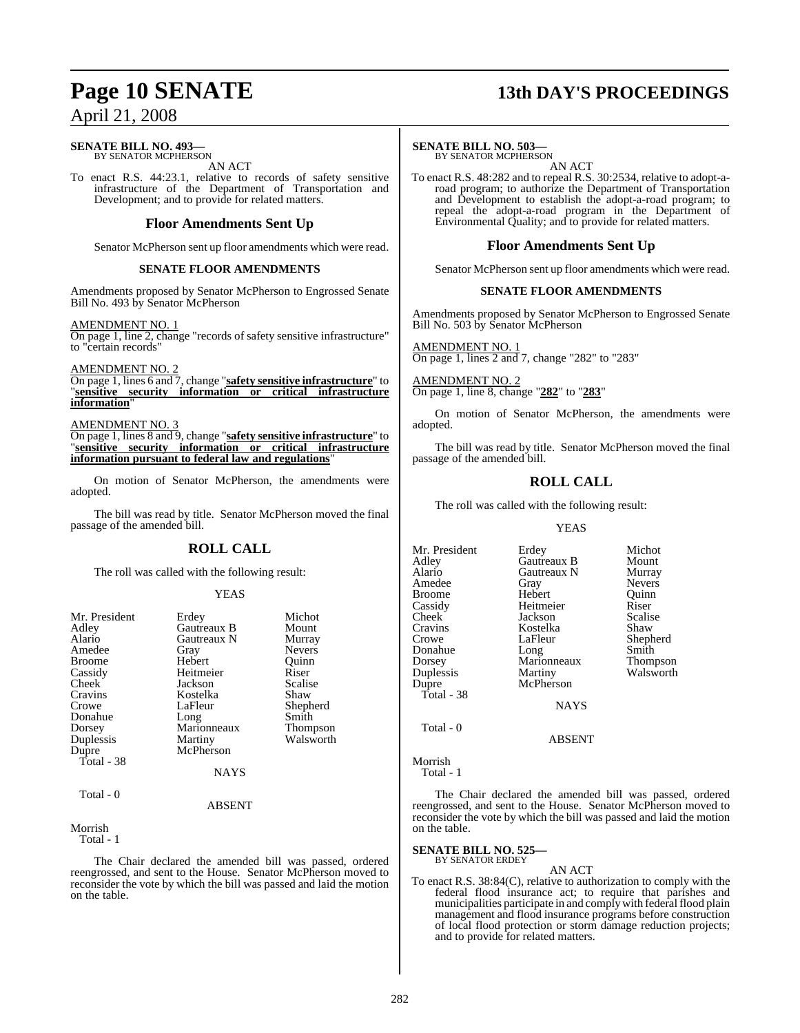### **SENATE BILL NO. 493—** BY SENATOR MCPHERSON

AN ACT

To enact R.S. 44:23.1, relative to records of safety sensitive infrastructure of the Department of Transportation and Development; and to provide for related matters.

### **Floor Amendments Sent Up**

Senator McPherson sent up floor amendments which were read.

### **SENATE FLOOR AMENDMENTS**

Amendments proposed by Senator McPherson to Engrossed Senate Bill No. 493 by Senator McPherson

AMENDMENT NO. 1

On page 1, line 2, change "records of safety sensitive infrastructure" to "certain records"

AMENDMENT NO. 2

On page 1, lines 6 and 7, change "**safety sensitive infrastructure**" to "**sensitive security information or critical infrastructure information**"

AMENDMENT NO. 3

On page 1, lines 8 and 9, change "**safety sensitive infrastructure**" to "**sensitive security information or critical infrastructure information pursuant to federal law and regulations**"

On motion of Senator McPherson, the amendments were adopted.

The bill was read by title. Senator McPherson moved the final passage of the amended bill.

### **ROLL CALL**

The roll was called with the following result:

### YEAS

| Mr. President | Erdey       | Michot          |
|---------------|-------------|-----------------|
| Adley         | Gautreaux B | Mount           |
| Alario        | Gautreaux N | Murray          |
| Amedee        | Gray        | <b>Nevers</b>   |
| <b>Broome</b> | Hebert      | Ouinn           |
| Cassidy       | Heitmeier   | Riser           |
| Cheek         | Jackson     | Scalise         |
| Cravins       | Kostelka    | Shaw            |
| Crowe         | LaFleur     | Shepherd        |
| Donahue       | Long        | Smith           |
| Dorsey        | Marionneaux | <b>Thompson</b> |
| Duplessis     | Martiny     | Walsworth       |
| Dupre         | McPherson   |                 |
| Total - 38    |             |                 |
|               | <b>NAYS</b> |                 |
| Total - 0     |             |                 |
|               | ABSENT      |                 |

Morrish

Total - 1

The Chair declared the amended bill was passed, ordered reengrossed, and sent to the House. Senator McPherson moved to reconsider the vote by which the bill was passed and laid the motion on the table.

## **Page 10 SENATE 13th DAY'S PROCEEDINGS**

### **SENATE BILL NO. 503—**

BY SENATOR MCPHERSON

AN ACT To enact R.S. 48:282 and to repeal R.S. 30:2534, relative to adopt-aroad program; to authorize the Department of Transportation and Development to establish the adopt-a-road program; to repeal the adopt-a-road program in the Department of Environmental Quality; and to provide for related matters.

### **Floor Amendments Sent Up**

Senator McPherson sent up floor amendments which were read.

### **SENATE FLOOR AMENDMENTS**

Amendments proposed by Senator McPherson to Engrossed Senate Bill No. 503 by Senator McPherson

AMENDMENT NO. 1 On page 1, lines 2 and 7, change "282" to "283"

AMENDMENT NO. 2 On page 1, line 8, change "**282**" to "**283**"

On motion of Senator McPherson, the amendments were adopted.

The bill was read by title. Senator McPherson moved the final passage of the amended bill.

## **ROLL CALL**

The roll was called with the following result:

### YEAS

| Mr. President<br>Adley<br>Alario<br>Amedee<br>Broome<br>Cassidy<br>Cheek<br>Cravins<br>Crowe<br>Donahue<br>Dorsey<br>Duplessis<br>Dupre<br>Total - 38 | Erdey<br>Gautreaux B<br>Gautreaux N<br>Gray<br>Hebert<br>Heitmeier<br>Jackson<br>Kostelka<br>LaFleur<br>Long<br>Marionneaux<br>Martiny<br>McPherson<br><b>NAYS</b> | Michot<br>Mount<br>Murray<br><b>Nevers</b><br>Ouinn<br>Riser<br>Scalise<br>Shaw<br>Shepherd<br>Smith<br>Thompson<br>Walsworth |
|-------------------------------------------------------------------------------------------------------------------------------------------------------|--------------------------------------------------------------------------------------------------------------------------------------------------------------------|-------------------------------------------------------------------------------------------------------------------------------|
| Total - 0                                                                                                                                             |                                                                                                                                                                    |                                                                                                                               |

ABSENT

Morrish

Total - 1

The Chair declared the amended bill was passed, ordered reengrossed, and sent to the House. Senator McPherson moved to reconsider the vote by which the bill was passed and laid the motion on the table.

### **SENATE BILL NO. 525—** BY SENATOR ERDEY

AN ACT

To enact R.S. 38:84(C), relative to authorization to comply with the federal flood insurance act; to require that parishes and municipalities participate in and comply with federal flood plain management and flood insurance programs before construction of local flood protection or storm damage reduction projects; and to provide for related matters.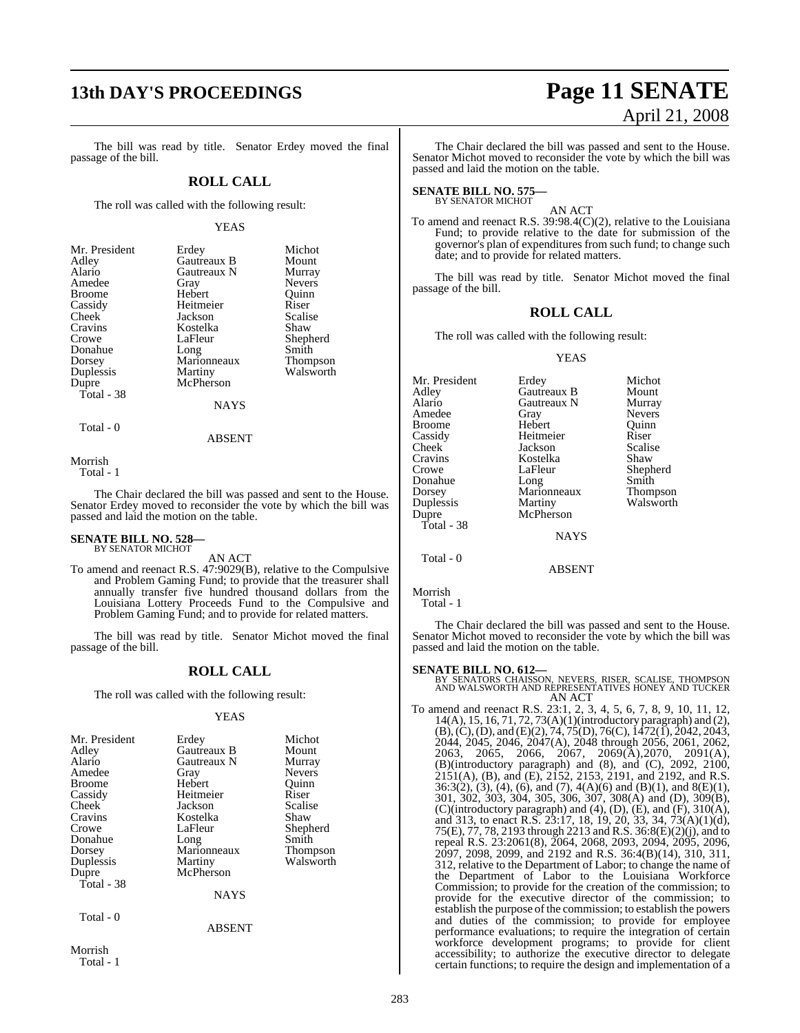## **13th DAY'S PROCEEDINGS Page 11 SENATE**

The bill was read by title. Senator Erdey moved the final passage of the bill.

### **ROLL CALL**

The roll was called with the following result:

### YEAS

| Mr. President | Erdey       | Michot          |
|---------------|-------------|-----------------|
| Adley         | Gautreaux B | Mount           |
| Alario        | Gautreaux N | Murray          |
| Amedee        | Gray        | <b>Nevers</b>   |
| <b>Broome</b> | Hebert      | Ouinn           |
| Cassidy       | Heitmeier   | Riser           |
| Cheek         | Jackson     | Scalise         |
| Cravins       | Kostelka    | Shaw            |
| Crowe         | LaFleur     | Shepherd        |
| Donahue       | Long        | Smith           |
| Dorsey        | Marionneaux | <b>Thompson</b> |
| Duplessis     | Martiny     | Walsworth       |
| Dupre         | McPherson   |                 |
| Total - 38    |             |                 |
|               | NAYS        |                 |
|               |             |                 |

Total - 0

ABSENT

Morrish

Total - 1

The Chair declared the bill was passed and sent to the House. Senator Erdey moved to reconsider the vote by which the bill was passed and laid the motion on the table.

## **SENATE BILL NO. 528—** BY SENATOR MICHOT

AN ACT

To amend and reenact R.S. 47:9029(B), relative to the Compulsive and Problem Gaming Fund; to provide that the treasurer shall annually transfer five hundred thousand dollars from the Louisiana Lottery Proceeds Fund to the Compulsive and Problem Gaming Fund; and to provide for related matters.

The bill was read by title. Senator Michot moved the final passage of the bill.

### **ROLL CALL**

The roll was called with the following result:

### YEAS

| Mr. President<br>Adley<br>Alario<br>Amedee<br><b>Broome</b><br>Cassidy<br>Cheek<br>Cravins<br>Crowe<br>Donahue<br>Dorsey<br>Duplessis<br>Dupre<br>Total - 38 | Erdey<br>Gautreaux B<br>Gautreaux N<br>Gray<br>Hebert<br>Heitmeier<br>Jackson<br>Kostelka<br>LaFleur<br>Long<br>Marionneaux<br>Martiny<br>McPherson<br><b>NAYS</b> | Michot<br>Mount<br>Murray<br><b>Nevers</b><br>Ouinn<br>Riser<br>Scalise<br>Shaw<br>Shepherd<br>Smith<br>Thompson<br>Walsworth |
|--------------------------------------------------------------------------------------------------------------------------------------------------------------|--------------------------------------------------------------------------------------------------------------------------------------------------------------------|-------------------------------------------------------------------------------------------------------------------------------|
| Total - 0                                                                                                                                                    | <b>ABSENT</b>                                                                                                                                                      |                                                                                                                               |
| Morrish                                                                                                                                                      |                                                                                                                                                                    |                                                                                                                               |

Total - 1

# April 21, 2008

The Chair declared the bill was passed and sent to the House. Senator Michot moved to reconsider the vote by which the bill was passed and laid the motion on the table.

## **SENATE BILL NO. 575—** BY SENATOR MICHOT

AN ACT

To amend and reenact R.S. 39:98.4(C)(2), relative to the Louisiana Fund; to provide relative to the date for submission of the governor's plan of expenditures from such fund; to change such date; and to provide for related matters.

The bill was read by title. Senator Michot moved the final passage of the bill.

### **ROLL CALL**

The roll was called with the following result:

### YEAS

| Mr. President | Erdey       | Michot        |
|---------------|-------------|---------------|
| Adley         | Gautreaux B | Mount         |
| Alario        | Gautreaux N | Murray        |
| Amedee        | Gray        | <b>Nevers</b> |
| Broome        | Hebert      | Ouinn         |
| Cassidy       | Heitmeier   | Riser         |
| Cheek         | Jackson     | Scalise       |
| Cravins       | Kostelka    | Shaw          |
| Crowe         | LaFleur     | Shepherd      |
| Donahue       | Long        | Smith         |
| Dorsey        | Marionneaux | Thompson      |
| Duplessis     | Martiny     | Walsworth     |
| Dupre         | McPherson   |               |
| Total - 38    |             |               |
|               | <b>NAYS</b> |               |
| Total - 0     |             |               |
|               | ABSENT      |               |

Morrish

Total - 1

The Chair declared the bill was passed and sent to the House. Senator Michot moved to reconsider the vote by which the bill was passed and laid the motion on the table.

### **SENATE BILL NO. 612—**

BY SENATORS CHAISSON, NEVERS, RISER, SCALISE, THOMPSON AND WALSWORTH AND REPRESENTATIVES HONEY AND TUCKER AN ACT

To amend and reenact R.S. 23:1, 2, 3, 4, 5, 6, 7, 8, 9, 10, 11, 12, 14(A), 15, 16, 71, 72, 73(A)(1)(introductory paragraph) and (2), (B),(C),(D), and (E)(2), 74, 75(D), 76(C), 1472(1), 2042, 2043, 2044, 2045, 2046, 2047(A), 2048 through 2056, 2061, 2062, 2063, 2065, 2066, 2067, 2069(A),2070, 2091(A), (B)(introductory paragraph) and (8), and (C), 2092, 2100, 2151(A), (B), and (E), 2152, 2153, 2191, and 2192, and R.S. 36:3(2), (3), (4), (6), and (7), 4(A)(6) and (B)(1), and 8(E)(1), 301, 302, 303, 304, 305, 306, 307, 308(A) and (D), 309(B), (C)(introductory paragraph) and (4), (D), (E), and (F), 310(A), and 313, to enact R.S. 23:17, 18, 19, 20, 33, 34, 73(A)(1)(d), 75(E), 77, 78, 2193 through 2213 and R.S. 36:8(E)(2)(j), and to repeal R.S. 23:2061(8), 2064, 2068, 2093, 2094, 2095, 2096, 2097, 2098, 2099, and 2192 and R.S. 36:4(B)(14), 310, 311, 312, relative to the Department of Labor; to change the name of the Department of Labor to the Louisiana Workforce Commission; to provide for the creation of the commission; to provide for the executive director of the commission; to establish the purpose of the commission; to establish the powers and duties of the commission; to provide for employee performance evaluations; to require the integration of certain workforce development programs; to provide for client accessibility; to authorize the executive director to delegate certain functions; to require the design and implementation of a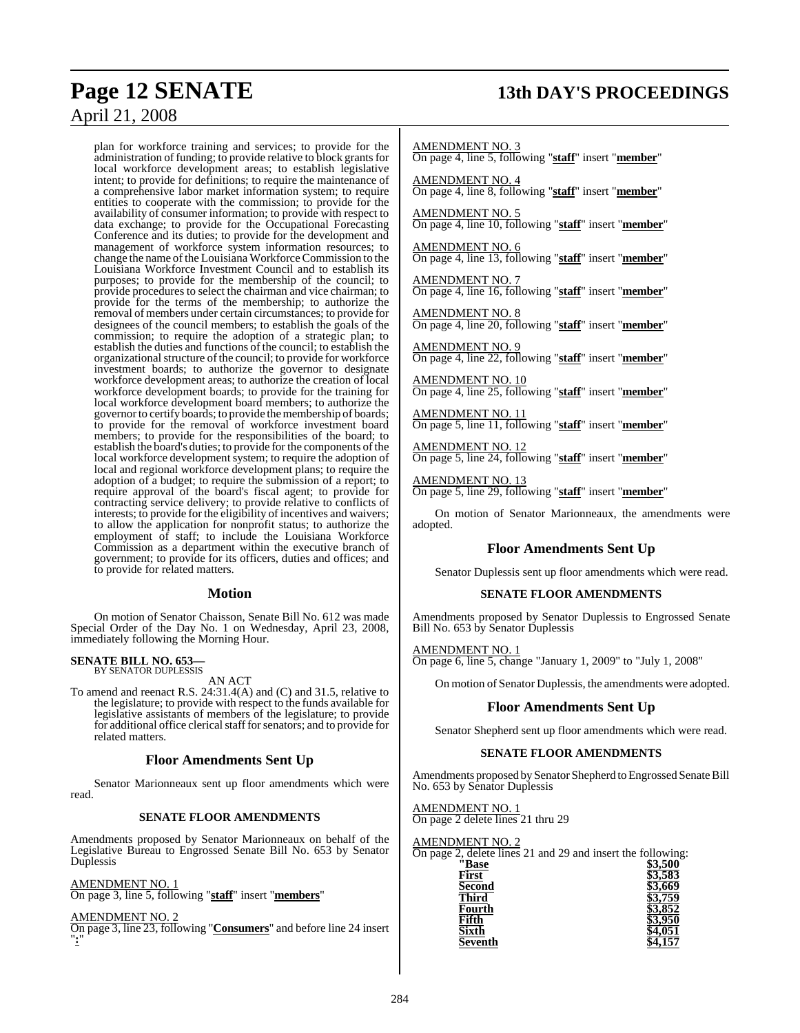plan for workforce training and services; to provide for the administration of funding; to provide relative to block grants for local workforce development areas; to establish legislative intent; to provide for definitions; to require the maintenance of a comprehensive labor market information system; to require entities to cooperate with the commission; to provide for the availability of consumer information; to provide with respect to data exchange; to provide for the Occupational Forecasting Conference and its duties; to provide for the development and management of workforce system information resources; to change the name of the Louisiana Workforce Commission to the Louisiana Workforce Investment Council and to establish its purposes; to provide for the membership of the council; to provide procedures to select the chairman and vice chairman; to provide for the terms of the membership; to authorize the removal of members under certain circumstances; to provide for designees of the council members; to establish the goals of the commission; to require the adoption of a strategic plan; to establish the duties and functions of the council; to establish the organizational structure of the council; to provide for workforce investment boards; to authorize the governor to designate workforce development areas; to authorize the creation of local workforce development boards; to provide for the training for local workforce development board members; to authorize the governor to certify boards; to provide the membership of boards; to provide for the removal of workforce investment board members; to provide for the responsibilities of the board; to establish the board's duties; to provide for the components of the local workforce development system; to require the adoption of local and regional workforce development plans; to require the adoption of a budget; to require the submission of a report; to require approval of the board's fiscal agent; to provide for contracting service delivery; to provide relative to conflicts of interests; to provide for the eligibility of incentives and waivers; to allow the application for nonprofit status; to authorize the employment of staff; to include the Louisiana Workforce Commission as a department within the executive branch of government; to provide for its officers, duties and offices; and to provide for related matters.

### **Motion**

On motion of Senator Chaisson, Senate Bill No. 612 was made Special Order of the Day No. 1 on Wednesday, April 23, 2008, immediately following the Morning Hour.

### **SENATE BILL NO. 653—** BY SENATOR DUPLESSIS

AN ACT

To amend and reenact R.S. 24:31.4(A) and (C) and 31.5, relative to the legislature; to provide with respect to the funds available for legislative assistants of members of the legislature; to provide for additional office clerical staff for senators; and to provide for related matters.

### **Floor Amendments Sent Up**

Senator Marionneaux sent up floor amendments which were read.

### **SENATE FLOOR AMENDMENTS**

Amendments proposed by Senator Marionneaux on behalf of the Legislative Bureau to Engrossed Senate Bill No. 653 by Senator Duplessis

AMENDMENT NO. 1

On page 3, line 5, following "**staff**" insert "**members**"

AMENDMENT NO. 2

On page 3, line 23, following "**Consumers**" and before line 24 insert "**:**"

## **Page 12 SENATE 13th DAY'S PROCEEDINGS**

AMENDMENT NO. 3

On page 4, line 5, following "**staff**" insert "**member**"

AMENDMENT NO. 4 On page 4, line 8, following "**staff**" insert "**member**"

AMENDMENT NO. 5 On page 4, line 10, following "**staff**" insert "**member**"

AMENDMENT NO. 6 On page 4, line 13, following "**staff**" insert "**member**"

AMENDMENT NO. 7 On page 4, line 16, following "**staff**" insert "**member**"

AMENDMENT NO. 8 On page 4, line 20, following "**staff**" insert "**member**"

AMENDMENT NO. 9 On page 4, line 22, following "**staff**" insert "**member**"

AMENDMENT NO. 10 On page 4, line 25, following "**staff**" insert "**member**"

AMENDMENT NO. 11 On page 5, line 11, following "**staff**" insert "**member**"

AMENDMENT NO. 12 On page 5, line 24, following "**staff**" insert "**member**"

AMENDMENT NO. 13 On page 5, line 29, following "**staff**" insert "**member**"

On motion of Senator Marionneaux, the amendments were adopted.

### **Floor Amendments Sent Up**

Senator Duplessis sent up floor amendments which were read.

### **SENATE FLOOR AMENDMENTS**

Amendments proposed by Senator Duplessis to Engrossed Senate Bill No. 653 by Senator Duplessis

AMENDMENT NO. 1 On page 6, line 5, change "January 1, 2009" to "July 1, 2008"

On motion of Senator Duplessis, the amendments were adopted.

### **Floor Amendments Sent Up**

Senator Shepherd sent up floor amendments which were read.

### **SENATE FLOOR AMENDMENTS**

Amendments proposed by Senator Shepherd to Engrossed Senate Bill No. 653 by Senator Duplessis

AMENDMENT NO. 1 On page 2 delete lines 21 thru 29

| AMENDMENT NO. 2                                             |         |
|-------------------------------------------------------------|---------|
| On page 2, delete lines 21 and 29 and insert the following: |         |
| "Base                                                       | \$3,500 |
| First                                                       | 3.583   |
| <b>Second</b>                                               | 3.669   |
| <b>Third</b>                                                |         |
| Fourth                                                      | 3.852   |
| Fifth                                                       | 3.950   |
| Sixth                                                       |         |
| Seventh                                                     |         |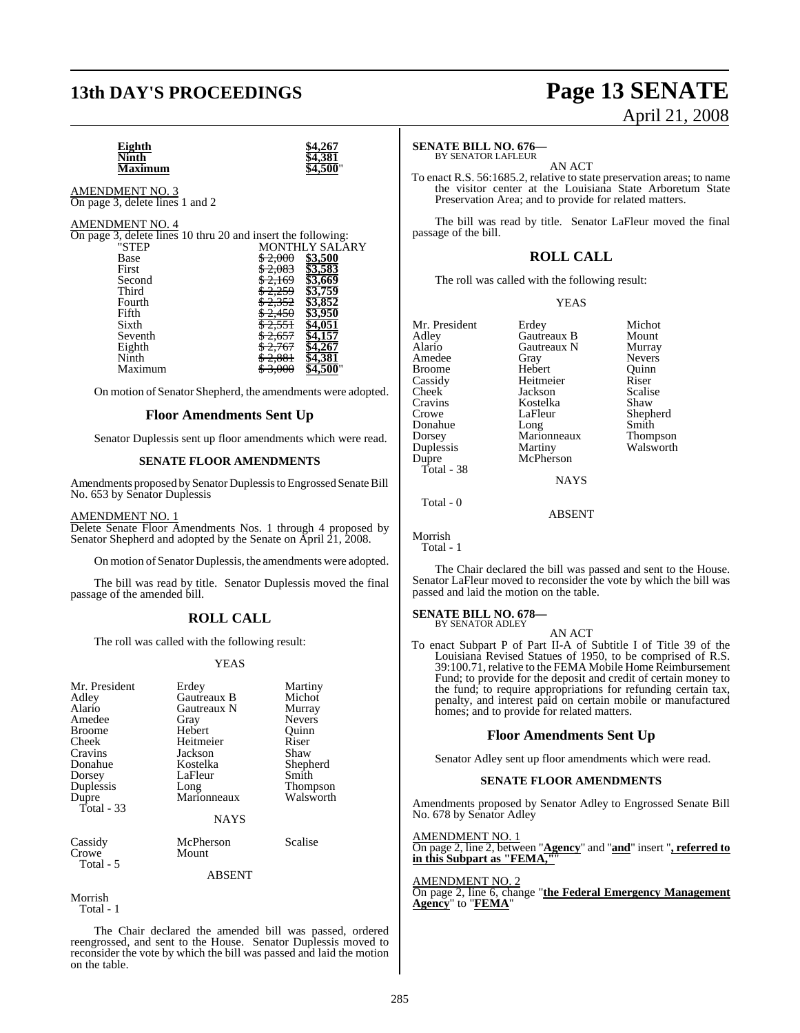## **13th DAY'S PROCEEDINGS Page 13 SENATE**

# April 21, 2008

**Eighth \$4,267 Ninth \$4,381 Maximum \$4,500**"

AMENDMENT NO. 3 On page 3, delete lines 1 and 2

### AMENDMENT NO. 4

| On page 3, delete lines 10 thru 20 and insert the following: |                               |
|--------------------------------------------------------------|-------------------------------|
| "STEP                                                        | <b>MONTHLY SALARY</b>         |
| Base                                                         | \$3,500<br><del>\$2,000</del> |
| First                                                        | \$3,583                       |
| Second                                                       | 83.669                        |
| Third                                                        | \$3.759                       |
| Fourth                                                       | 3,852<br><del>2.352</del>     |
| Fifth                                                        | z.430                         |
| Sixth                                                        |                               |
| Seventh                                                      |                               |
| Eighth                                                       |                               |
| Ninth                                                        |                               |
| Maximum                                                      |                               |
|                                                              |                               |

On motion of Senator Shepherd, the amendments were adopted.

### **Floor Amendments Sent Up**

Senator Duplessis sent up floor amendments which were read.

### **SENATE FLOOR AMENDMENTS**

Amendments proposed by Senator Duplessis to Engrossed Senate Bill No. 653 by Senator Duplessis

AMENDMENT NO. 1

Delete Senate Floor Amendments Nos. 1 through 4 proposed by Senator Shepherd and adopted by the Senate on April 21, 2008.

On motion of Senator Duplessis, the amendments were adopted.

The bill was read by title. Senator Duplessis moved the final passage of the amended bill.

### **ROLL CALL**

The roll was called with the following result:

### YEAS

| Mr. President<br>Adley<br>Alario<br>Amedee<br><b>Broome</b><br>Cheek<br>Cravins<br>Donahue<br>Dorsey<br>Duplessis<br>Dupre<br>Total $-33$ | Erdey<br>Gautreaux B<br>Gautreaux N<br>Gray<br>Hebert<br>Heitmeier<br>Jackson<br>Kostelka<br>LaFleur<br>Long<br>Marionneaux<br><b>NAYS</b> | Martiny<br>Michot<br>Murray<br><b>Nevers</b><br>Ouinn<br>Riser<br>Shaw<br>Shepherd<br>Smith<br><b>Thompson</b><br>Walsworth |
|-------------------------------------------------------------------------------------------------------------------------------------------|--------------------------------------------------------------------------------------------------------------------------------------------|-----------------------------------------------------------------------------------------------------------------------------|
| Cassidy<br>Crowe<br>Total - 5                                                                                                             | McPherson<br>Mount<br><b>ABSENT</b>                                                                                                        | Scalise                                                                                                                     |

Morrish Total - 1

The Chair declared the amended bill was passed, ordered reengrossed, and sent to the House. Senator Duplessis moved to reconsider the vote by which the bill was passed and laid the motion on the table.

### **SENATE BILL NO. 676—** BY SENATOR LAFLEUR

AN ACT

To enact R.S. 56:1685.2, relative to state preservation areas; to name the visitor center at the Louisiana State Arboretum State Preservation Area; and to provide for related matters.

The bill was read by title. Senator LaFleur moved the final passage of the bill.

### **ROLL CALL**

The roll was called with the following result:

YEAS

| Mr. President | Erdey       | Michot          |
|---------------|-------------|-----------------|
| Adley         | Gautreaux B | Mount           |
| Alario        | Gautreaux N | Murray          |
| Amedee        | Gray        | <b>Nevers</b>   |
| <b>Broome</b> | Hebert      | Ouinn           |
| Cassidy       | Heitmeier   | Riser           |
| Cheek         | Jackson     | Scalise         |
| Cravins       | Kostelka    | Shaw            |
| Crowe         | LaFleur     | Shepherd        |
| Donahue       | Long        | Smith           |
| Dorsey        | Marionneaux | <b>Thompson</b> |
| Duplessis     | Martiny     | Walsworth       |
| Dupre         | McPherson   |                 |
| Total - 38    |             |                 |
|               | <b>NAYS</b> |                 |

Total - 0

Morrish

Total - 1

The Chair declared the bill was passed and sent to the House. Senator LaFleur moved to reconsider the vote by which the bill was passed and laid the motion on the table.

AN ACT

ABSENT

## **SENATE BILL NO. 678—** BY SENATOR ADLEY

To enact Subpart P of Part II-A of Subtitle I of Title 39 of the Louisiana Revised Statues of 1950, to be comprised of R.S. 39:100.71, relative to the FEMA Mobile Home Reimbursement Fund; to provide for the deposit and credit of certain money to the fund; to require appropriations for refunding certain tax, penalty, and interest paid on certain mobile or manufactured homes; and to provide for related matters.

### **Floor Amendments Sent Up**

Senator Adley sent up floor amendments which were read.

### **SENATE FLOOR AMENDMENTS**

Amendments proposed by Senator Adley to Engrossed Senate Bill No. 678 by Senator Adley

AMENDMENT NO. 1

On page 2, line 2, between "**Agency**" and "**and**" insert "**, referred to in this Subpart as "FEMA,"**"

AMENDMENT NO. 2

On page 2, line 6, change "**the Federal Emergency Management Agency**" to "**FEMA**"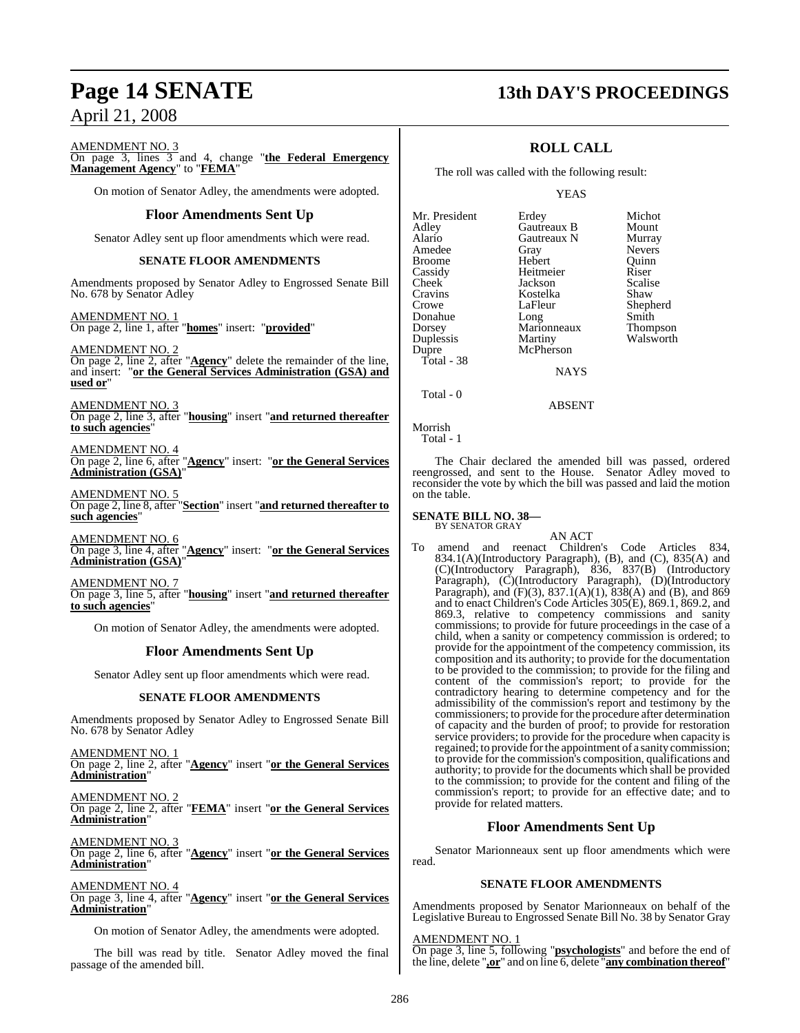## **Page 14 SENATE 13th DAY'S PROCEEDINGS**

AMENDMENT NO. 3

On page 3, lines 3 and 4, change "**the Federal Emergency Management Agency**" to "**FEMA**"

On motion of Senator Adley, the amendments were adopted.

### **Floor Amendments Sent Up**

Senator Adley sent up floor amendments which were read.

### **SENATE FLOOR AMENDMENTS**

Amendments proposed by Senator Adley to Engrossed Senate Bill No. 678 by Senator Adley

AMENDMENT NO. 1 On page 2, line 1, after "**homes**" insert: "**provided**"

AMENDMENT NO. 2

On page 2, line 2, after "**Agency**" delete the remainder of the line, and insert: "**or the General Services Administration (GSA) and used or**"

AMENDMENT NO. 3 On page 2, line 3, after "**housing**" insert "**and returned thereafter to such agencies**"

AMENDMENT NO. 4 On page 2, line 6, after "**Agency**" insert: "**or the General Services Administration (GSA)**"

AMENDMENT NO. 5 On page 2, line 8, after "**Section**" insert "**and returned thereafter to such agencies**"

AMENDMENT NO. 6 On page 3, line 4, after "**Agency**" insert: "**or the General Services Administration (GSA)**"

AMENDMENT NO. 7

On page 3, line 5, after "**housing**" insert "**and returned thereafter to such agencies**"

On motion of Senator Adley, the amendments were adopted.

### **Floor Amendments Sent Up**

Senator Adley sent up floor amendments which were read.

### **SENATE FLOOR AMENDMENTS**

Amendments proposed by Senator Adley to Engrossed Senate Bill No. 678 by Senator Adley

AMENDMENT NO. 1 On page 2, line 2, after "**Agency**" insert "**or the General Services Administration**"

AMENDMENT NO. 2 On page 2, line 2, after "**FEMA**" insert "**or the General Services Administration**"

AMENDMENT NO. 3 On page 2, line 6, after "**Agency**" insert "**or the General Services Administration**"

### AMENDMENT NO. 4

On page 3, line 4, after "**Agency**" insert "**or the General Services Administration**"

On motion of Senator Adley, the amendments were adopted.

The bill was read by title. Senator Adley moved the final passage of the amended bill.

## **ROLL CALL**

The roll was called with the following result:

### YEAS

| Mr. President | Erdey           | Michot        |
|---------------|-----------------|---------------|
| Adley         | Gautreaux B     | Mount         |
| Alario        | Gautreaux N     | Murray        |
| Amedee        | Gray            | <b>Nevers</b> |
| <b>Broome</b> | Hebert          | Ouinn         |
| Cassidy       | Heitmeier       | Riser         |
| Cheek         | Jackson         | Scalise       |
| Cravins       | Kostelka        | Shaw          |
| Crowe         | LaFleur         | Shepherd      |
| Donahue       | Long            | Smith         |
| Dorsey        | Marionneaux     | Thompson      |
| Duplessis     | Martiny         | Walsworth     |
| Dupre         | McPherson       |               |
| Total - 38    |                 |               |
|               | <b>ATA SZCI</b> |               |

**NAYS** 

ABSENT

Total - 0

Morrish Total - 1

The Chair declared the amended bill was passed, ordered reengrossed, and sent to the House. Senator Adley moved to reconsider the vote by which the bill was passed and laid the motion on the table.

### **SENATE BILL NO. 38—** BY SENATOR GRAY

AN ACT

To amend and reenact Children's Code Articles 834, 834.1(A)(Introductory Paragraph), (B), and (C), 835(A) and (C)(Introductory Paragraph), 836, 837(B) (Introductory Paragraph), (C)(Introductory Paragraph), (D)(Introductory Paragraph), and  $(F)(3)$ , 837.1(A)(1), 838(A) and (B), and 869 and to enact Children's Code Articles 305(E), 869.1, 869.2, and 869.3, relative to competency commissions and sanity commissions; to provide for future proceedings in the case of a child, when a sanity or competency commission is ordered; to provide for the appointment of the competency commission, its composition and its authority; to provide for the documentation to be provided to the commission; to provide for the filing and content of the commission's report; to provide for the contradictory hearing to determine competency and for the admissibility of the commission's report and testimony by the commissioners; to provide for the procedure after determination of capacity and the burden of proof; to provide for restoration service providers; to provide for the procedure when capacity is regained; to provide forthe appointment of a sanity commission; to provide for the commission's composition, qualifications and authority; to provide for the documents which shall be provided to the commission; to provide for the content and filing of the commission's report; to provide for an effective date; and to provide for related matters.

### **Floor Amendments Sent Up**

Senator Marionneaux sent up floor amendments which were read.

### **SENATE FLOOR AMENDMENTS**

Amendments proposed by Senator Marionneaux on behalf of the Legislative Bureau to Engrossed Senate Bill No. 38 by Senator Gray

### AMENDMENT NO. 1

On page 3, line 5, following "**psychologists**" and before the end of the line, delete "**,or**" and on line 6, delete "**any combination thereof**"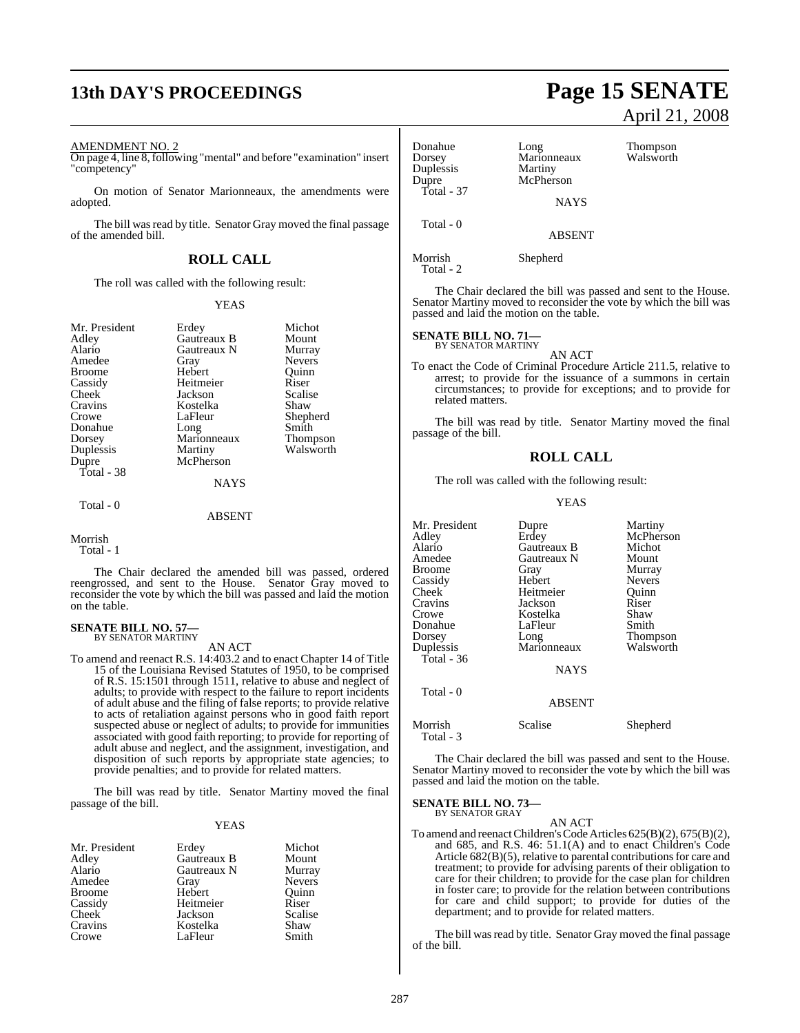### AMENDMENT NO. 2

On page 4, line 8,following "mental" and before "examination" insert "competency"

On motion of Senator Marionneaux, the amendments were adopted.

The bill was read by title. Senator Gray moved the final passage of the amended bill.

### **ROLL CALL**

The roll was called with the following result:

### YEAS

| Mr. President | Erdey              | Michot          |
|---------------|--------------------|-----------------|
| Adley         | <b>Gautreaux B</b> | Mount           |
|               |                    |                 |
| Alario        | Gautreaux N        | Murray          |
| Amedee        | Gray               | <b>Nevers</b>   |
| <b>Broome</b> | Hebert             | Ouinn           |
| Cassidy       | Heitmeier          | Riser           |
| Cheek         | Jackson            | Scalise         |
| Cravins       | Kostelka           | Shaw            |
| Crowe         | LaFleur            | Shepherd        |
| Donahue       | Long               | Smith           |
| Dorsey        | Marionneaux        | <b>Thompson</b> |
| Duplessis     | Martiny            | Walsworth       |
| Dupre         | McPherson          |                 |
| Total - 38    |                    |                 |
|               | <b>NAYS</b>        |                 |
| Total - 0     |                    |                 |
|               | <b>ABSENT</b>      |                 |

### Morrish

Total - 1

The Chair declared the amended bill was passed, ordered reengrossed, and sent to the House. Senator Gray moved to reconsider the vote by which the bill was passed and laid the motion on the table.

## **SENATE BILL NO. 57—** BY SENATOR MARTINY

### AN ACT

To amend and reenact R.S. 14:403.2 and to enact Chapter 14 of Title 15 of the Louisiana Revised Statutes of 1950, to be comprised of R.S. 15:1501 through 1511, relative to abuse and neglect of adults; to provide with respect to the failure to report incidents of adult abuse and the filing of false reports; to provide relative to acts of retaliation against persons who in good faith report suspected abuse or neglect of adults; to provide for immunities associated with good faith reporting; to provide for reporting of adult abuse and neglect, and the assignment, investigation, and disposition of such reports by appropriate state agencies; to provide penalties; and to provide for related matters.

The bill was read by title. Senator Martiny moved the final passage of the bill.

### YEAS

| Mr. President<br>Adley | Erdey<br>Gautreaux B | Michot<br>Mount |
|------------------------|----------------------|-----------------|
| Alario                 | Gautreaux N          | Murray          |
| Amedee                 | Gray                 | <b>Nevers</b>   |
| <b>Broome</b>          | Hebert               | Quinn           |
| Cassidy                | Heitmeier            | Riser           |
| <b>Cheek</b>           | Jackson              | Scalise         |
| Cravins                | Kostelka             | Shaw            |
| Crowe                  | LaFleur              | Smith           |

## **13th DAY'S PROCEEDINGS Page 15 SENATE** April 21, 2008

| Donahue<br>Dorsey<br>Duplessis<br>Dupre<br>Total - 37 | Long<br>Marionneaux<br>Martiny<br>McPherson<br><b>NAYS</b> | Thompson<br>Walsworth |
|-------------------------------------------------------|------------------------------------------------------------|-----------------------|
| Total - 0                                             | <b>ABSENT</b>                                              |                       |
| Morrish<br>Total - 2                                  | Shepherd                                                   |                       |

The Chair declared the bill was passed and sent to the House. Senator Martiny moved to reconsider the vote by which the bill was passed and laid the motion on the table.

### **SENATE BILL NO. 71—** BY SENATOR MARTINY

AN ACT

To enact the Code of Criminal Procedure Article 211.5, relative to arrest; to provide for the issuance of a summons in certain circumstances; to provide for exceptions; and to provide for related matters.

The bill was read by title. Senator Martiny moved the final passage of the bill.

### **ROLL CALL**

The roll was called with the following result:

### YEAS

| Mr. President<br>Adley<br>Alario<br>Amedee<br><b>Broome</b><br>Cassidy<br><b>Cheek</b><br>Cravins<br>Crowe<br>Donahue<br>Dorsey<br>Duplessis<br>Total - $36$<br>Total - 0 | Dupre<br>Erdey<br>Gautreaux B<br>Gautreaux N<br>Gray<br>Hebert<br>Heitmeier<br>Jackson<br>Kostelka<br>LaFleur<br>Long<br>Marionneaux<br><b>NAYS</b><br>ABSENT | Martiny<br>McPherson<br>Michot<br>Mount<br>Murray<br><b>Nevers</b><br>Ouinn<br>Riser<br>Shaw<br>Smith<br>Thompson<br>Walsworth |
|---------------------------------------------------------------------------------------------------------------------------------------------------------------------------|---------------------------------------------------------------------------------------------------------------------------------------------------------------|--------------------------------------------------------------------------------------------------------------------------------|
| Morrish<br>Total - 3                                                                                                                                                      | Scalise                                                                                                                                                       | Shepherd                                                                                                                       |

The Chair declared the bill was passed and sent to the House. Senator Martiny moved to reconsider the vote by which the bill was passed and laid the motion on the table.

**SENATE BILL NO. 73—** BY SENATOR GRAY

AN ACT

To amend and reenact Children's Code Articles 625(B)(2), 675(B)(2), and 685, and R.S. 46: 51.1(A) and to enact Children's Code Article  $682(B)(5)$ , relative to parental contributions for care and treatment; to provide for advising parents of their obligation to care for their children; to provide for the case plan for children in foster care; to provide for the relation between contributions for care and child support; to provide for duties of the department; and to provide for related matters.

The bill was read by title. Senator Gray moved the final passage of the bill.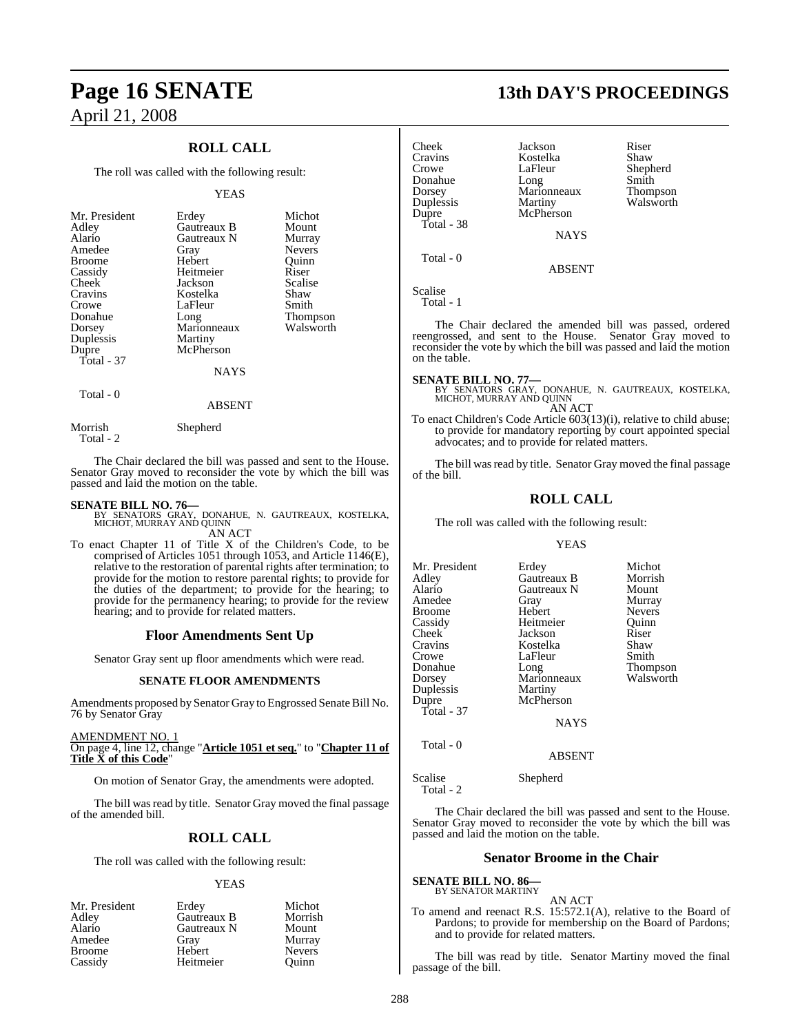### **ROLL CALL**

The roll was called with the following result:

### YEAS

| Mr. President<br>Adley<br>Alario<br>Amedee<br><b>Broome</b><br>Cassidy<br>Cheek<br>Cravins<br>Crowe<br>Donahue<br>Dorsey<br>Duplessis<br>Dupre | Erdey<br>Gautreaux B<br>Gautreaux N<br>Gray<br>Hebert<br>Heitmeier<br>Jackson<br>Kostelka<br>LaFleur<br>Long<br>Marionneaux<br>Martiny<br>McPherson | Michot<br>Mount<br>Murray<br><b>Nevers</b><br>Ouinn<br>Riser<br>Scalise<br>Shaw<br>Smith<br>Thompson<br>Walsworth |
|------------------------------------------------------------------------------------------------------------------------------------------------|-----------------------------------------------------------------------------------------------------------------------------------------------------|-------------------------------------------------------------------------------------------------------------------|
| Total - 37<br>Total - 0                                                                                                                        | <b>NAYS</b>                                                                                                                                         |                                                                                                                   |

Morrish Shepherd

Total - 2

The Chair declared the bill was passed and sent to the House. Senator Gray moved to reconsider the vote by which the bill was passed and laid the motion on the table.

ABSENT

**SENATE BILL NO. 76—**<br>BY SENATORS GRAY, DONAHUE, N. GAUTREAUX, KOSTELKA,<br>MICHOT, MURRAY AND QUINN AN ACT

To enact Chapter 11 of Title X of the Children's Code, to be comprised of Articles 1051 through 1053, and Article 1146(E), relative to the restoration of parental rights after termination; to provide for the motion to restore parental rights; to provide for the duties of the department; to provide for the hearing; to provide for the permanency hearing; to provide for the review hearing; and to provide for related matters.

### **Floor Amendments Sent Up**

Senator Gray sent up floor amendments which were read.

### **SENATE FLOOR AMENDMENTS**

Amendments proposed by Senator Gray to Engrossed Senate Bill No. 76 by Senator Gray

AMENDMENT NO. 1 On page 4, line 12, change "**Article 1051 et seq.**" to "**Chapter 11 of Title X of this Code**"

On motion of Senator Gray, the amendments were adopted.

The bill was read by title. Senator Gray moved the final passage of the amended bill.

### **ROLL CALL**

The roll was called with the following result:

### YEAS

| Mr. President | Erdey       | Michot        |
|---------------|-------------|---------------|
| Adley         | Gautreaux B | Morrish       |
| Alario        | Gautreaux N | Mount         |
| Amedee        | Grav        | Murray        |
| <b>Broome</b> | Hebert      | <b>Nevers</b> |
| Cassidy       | Heitmeier   | Ouinn         |

## **Page 16 SENATE 13th DAY'S PROCEEDINGS**

Shepherd<br>Smith

Walsworth

| heek       |  |
|------------|--|
| ravins     |  |
| rowe       |  |
| onahue     |  |
| orsey      |  |
| uplessis   |  |
| upre       |  |
| Total - 38 |  |

Cheek Jackson Riser<br>Cravins Kostelka Shaw<br>Crowe LaFleur Shepl<br>Donahue Long Marionneaux Thom Kostelka<br>LaFleur Long Smith<br>Marionneaux Thompson Dorsey Marionneaux<br>
Duplessis Martiny McPherson

NAYS

ABSENT

Scalise

Total - 1

Total - 0

The Chair declared the amended bill was passed, ordered reengrossed, and sent to the House. Senator Gray moved to reconsider the vote by which the bill was passed and laid the motion on the table.

### **SENATE BILL NO. 77—**

BY SENATORS GRAY, DONAHUE, N. GAUTREAUX, KOSTELKA, MICHOT, MURRAY AND QUINN AN ACT

To enact Children's Code Article 603(13)(i), relative to child abuse; to provide for mandatory reporting by court appointed special advocates; and to provide for related matters.

The bill was read by title. Senator Gray moved the final passage of the bill.

### **ROLL CALL**

The roll was called with the following result:

### YEAS

| Mr. President | Erdey       | Michot          |
|---------------|-------------|-----------------|
| Adley         | Gautreaux B | Morrish         |
| Alario        | Gautreaux N | Mount           |
| Amedee        | Gray        | Murray          |
| Broome        | Hebert      | <b>Nevers</b>   |
| Cassidy       | Heitmeier   | Ouinn           |
| Cheek         | Jackson     | Riser           |
| Cravins       | Kostelka    | Shaw            |
| Crowe         | LaFleur     | Smith           |
| Donahue       | Long        | <b>Thompson</b> |
| Dorsey        | Marionneaux | Walsworth       |
| Duplessis     | Martiny     |                 |
| Dupre         | McPherson   |                 |
| Total - 37    |             |                 |
|               | <b>NAYS</b> |                 |
| Total - $0$   |             |                 |

ABSENT

Scalise Shepherd

Total - 2

The Chair declared the bill was passed and sent to the House. Senator Gray moved to reconsider the vote by which the bill was passed and laid the motion on the table.

### **Senator Broome in the Chair**

**SENATE BILL NO. 86—** BY SENATOR MARTINY

AN ACT

To amend and reenact R.S. 15:572.1(A), relative to the Board of Pardons; to provide for membership on the Board of Pardons; and to provide for related matters.

The bill was read by title. Senator Martiny moved the final passage of the bill.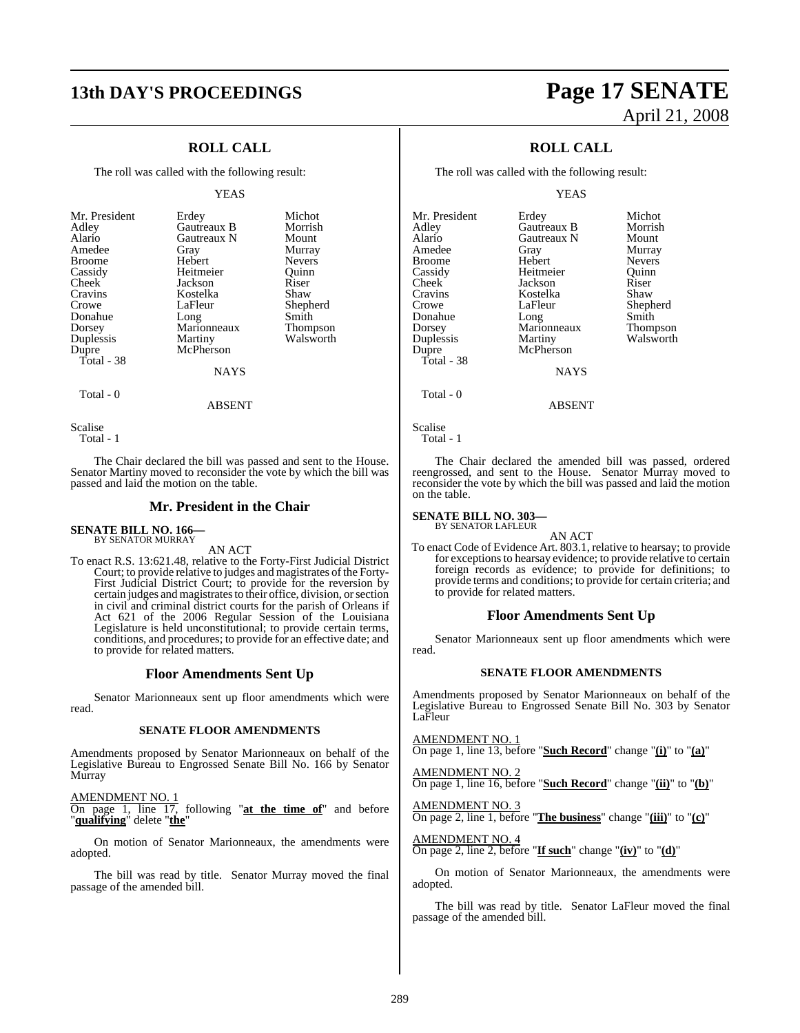## **13th DAY'S PROCEEDINGS Page 17 SENATE**

### **ROLL CALL**

The roll was called with the following result:

### YEAS

| Mr. President       | Erdey                    | Michot          |
|---------------------|--------------------------|-----------------|
| Adley               | Gautreaux B              | Morrish         |
| Alario              | Gautreaux N              | Mount           |
| Amedee              | Gray                     | Murray          |
| <b>Broome</b>       | Hebert                   | <b>Nevers</b>   |
| Cassidy             | Heitmeier                | Ouinn           |
| Cheek               | Jackson                  | Riser           |
| Cravins             | Kostelka                 | Shaw            |
| Crowe               | LaFleur                  | Shepherd        |
| Donahue             | Long                     | Smith           |
| Dorsey              | Marionneaux              | <b>Thompson</b> |
| Duplessis           | Martiny                  | Walsworth       |
| Dupre<br>Total - 38 | McPherson<br><b>NAYS</b> |                 |

Scalise

Total - 1

Total - 0

The Chair declared the bill was passed and sent to the House. Senator Martiny moved to reconsider the vote by which the bill was passed and laid the motion on the table.

ABSENT

### **Mr. President in the Chair**

### **SENATE BILL NO. 166—** BY SENATOR MURRAY

AN ACT

To enact R.S. 13:621.48, relative to the Forty-First Judicial District Court; to provide relative to judges and magistrates of the Forty-First Judicial District Court; to provide for the reversion by certain judges and magistrates to their office, division, or section in civil and criminal district courts for the parish of Orleans if Act 621 of the 2006 Regular Session of the Louisiana Legislature is held unconstitutional; to provide certain terms, conditions, and procedures; to provide for an effective date; and to provide for related matters.

### **Floor Amendments Sent Up**

Senator Marionneaux sent up floor amendments which were read.

### **SENATE FLOOR AMENDMENTS**

Amendments proposed by Senator Marionneaux on behalf of the Legislative Bureau to Engrossed Senate Bill No. 166 by Senator Murray

AMENDMENT NO. 1

On page 1, line 17, following "**at the time of**" and before "**qualifying**" delete "**the**"

On motion of Senator Marionneaux, the amendments were adopted.

The bill was read by title. Senator Murray moved the final passage of the amended bill.

# April 21, 2008

### **ROLL CALL**

The roll was called with the following result:

YEAS

| Mr. President | Erdey       | Michot          |
|---------------|-------------|-----------------|
| Adley         | Gautreaux B | Morrish         |
| Alario        | Gautreaux N | Mount           |
| Amedee        | Gray        | Murray          |
| <b>Broome</b> | Hebert      | <b>Nevers</b>   |
| Cassidy       | Heitmeier   | Ouinn           |
| Cheek         | Jackson     | Riser           |
| Cravins       | Kostelka    | Shaw            |
| Crowe         | LaFleur     | Shepherd        |
| Donahue       | Long        | Smith           |
| Dorsey        | Marionneaux | <b>Thompson</b> |
| Duplessis     | Martiny     | Walsworth       |
| Dupre         | McPherson   |                 |
| Total - 38    |             |                 |
|               | NAYS        |                 |

Scalise Total - 1

Total - 0

The Chair declared the amended bill was passed, ordered reengrossed, and sent to the House. Senator Murray moved to reconsider the vote by which the bill was passed and laid the motion on the table.

ABSENT

## **SENATE BILL NO. 303—** BY SENATOR LAFLEUR

AN ACT

To enact Code of Evidence Art. 803.1, relative to hearsay; to provide for exceptions to hearsay evidence; to provide relative to certain foreign records as evidence; to provide for definitions; to provide terms and conditions; to provide for certain criteria; and to provide for related matters.

### **Floor Amendments Sent Up**

Senator Marionneaux sent up floor amendments which were read.

### **SENATE FLOOR AMENDMENTS**

Amendments proposed by Senator Marionneaux on behalf of the Legislative Bureau to Engrossed Senate Bill No. 303 by Senator LaFleur

AMENDMENT NO. 1 On page 1, line 13, before "**Such Record**" change "**(i)**" to "**(a)**"

AMENDMENT NO. 2 On page 1, line 16, before "**Such Record**" change "**(ii)**" to "**(b)**"

AMENDMENT NO. 3 On page 2, line 1, before "**The business**" change "**(iii)**" to "**(c)**"

AMENDMENT NO. 4

On page 2, line 2, before "**If such**" change "**(iv)**" to "**(d)**"

On motion of Senator Marionneaux, the amendments were adopted.

The bill was read by title. Senator LaFleur moved the final passage of the amended bill.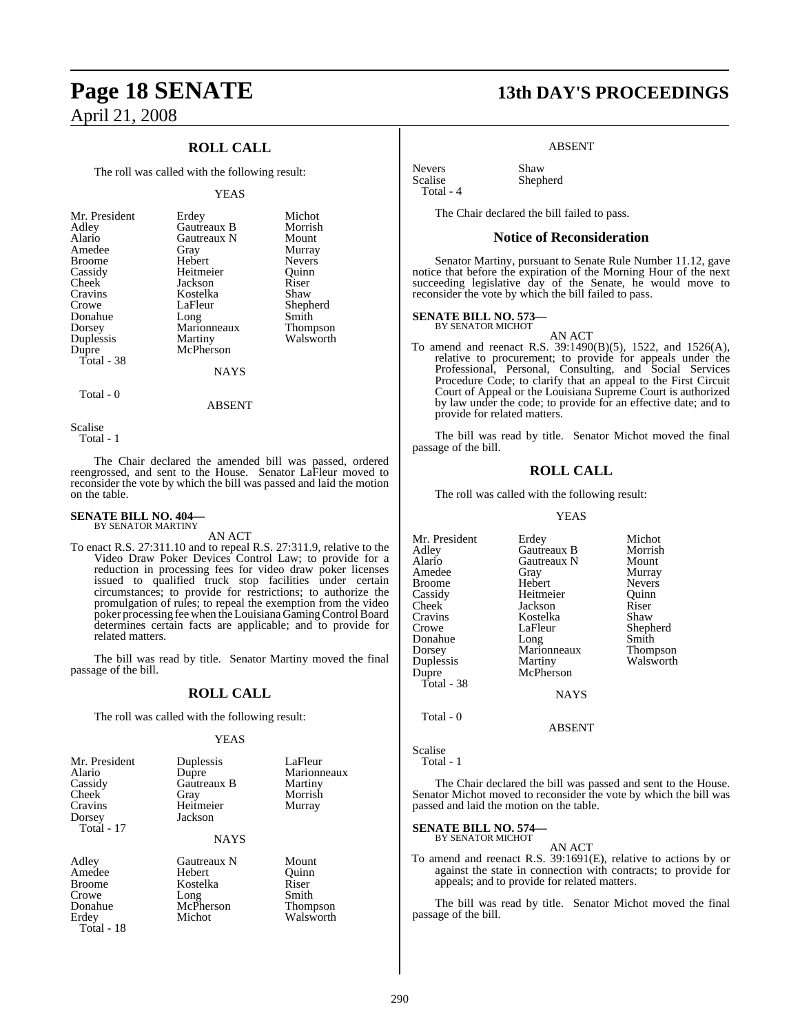### **ROLL CALL**

The roll was called with the following result:

### YEAS

| Mr. President | Erdey       | Michot        |
|---------------|-------------|---------------|
| Adley         | Gautreaux B | Morrish       |
| Alario        | Gautreaux N | Mount         |
| Amedee        | Gray        | Murray        |
| <b>Broome</b> | Hebert      | <b>Nevers</b> |
| Cassidy       | Heitmeier   | Quinn         |
| Cheek         | Jackson     | Riser         |
| Cravins       | Kostelka    | Shaw          |
| Crowe         | LaFleur     | Shepherd      |
| Donahue       | Long        | Smith         |
| Dorsey        | Marionneaux | Thompson      |
| Duplessis     | Martiny     | Walsworth     |
| Dupre         | McPherson   |               |
| Total - 38    |             |               |
|               | NAYS        |               |

Total - 0

ABSENT

Scalise

Total - 1

The Chair declared the amended bill was passed, ordered reengrossed, and sent to the House. Senator LaFleur moved to reconsider the vote by which the bill was passed and laid the motion on the table.

### **SENATE BILL NO. 404—** BY SENATOR MARTINY

AN ACT

To enact R.S. 27:311.10 and to repeal R.S. 27:311.9, relative to the Video Draw Poker Devices Control Law; to provide for a reduction in processing fees for video draw poker licenses issued to qualified truck stop facilities under certain circumstances; to provide for restrictions; to authorize the promulgation of rules; to repeal the exemption from the video poker processing fee when the Louisiana Gaming Control Board determines certain facts are applicable; and to provide for related matters.

The bill was read by title. Senator Martiny moved the final passage of the bill.

### **ROLL CALL**

The roll was called with the following result:

### YEAS

| Mr. President<br>Alario<br>Cassidy<br>Cheek<br>Cravins<br>Dorsey<br>Total - 17 | Duplessis<br>Dupre<br>Gautreaux B<br>Gray<br>Heitmeier<br>Jackson<br><b>NAYS</b> | LaFleur<br>Marionneaux<br>Martiny<br>Morrish<br>Murray           |
|--------------------------------------------------------------------------------|----------------------------------------------------------------------------------|------------------------------------------------------------------|
| Adley<br>Amedee<br><b>Broome</b><br>Crowe<br>Donahue<br>Erdey<br>Total - 18    | Gautreaux N<br><b>Hebert</b><br>Kostelka<br>Long<br>McPherson<br>Michot          | Mount<br>Ouinn<br>Riser<br>Smith<br><b>Thompson</b><br>Walsworth |

## **Page 18 SENATE 13th DAY'S PROCEEDINGS**

### ABSENT

Nevers Shaw<br>Scalise Sheph Total - 4

The Chair declared the bill failed to pass.

Shepherd

### **Notice of Reconsideration**

Senator Martiny, pursuant to Senate Rule Number 11.12, gave notice that before the expiration of the Morning Hour of the next succeeding legislative day of the Senate, he would move to reconsider the vote by which the bill failed to pass.

### **SENATE BILL NO. 573—**

BY SENATOR MICHOT

AN ACT To amend and reenact R.S. 39:1490(B)(5), 1522, and 1526(A), relative to procurement; to provide for appeals under the Professional, Personal, Consulting, and Social Services Procedure Code; to clarify that an appeal to the First Circuit Court of Appeal or the Louisiana Supreme Court is authorized by law under the code; to provide for an effective date; and to provide for related matters.

The bill was read by title. Senator Michot moved the final passage of the bill.

### **ROLL CALL**

The roll was called with the following result:

YEAS

```
Scalise
```
Total - 1

The Chair declared the bill was passed and sent to the House. Senator Michot moved to reconsider the vote by which the bill was passed and laid the motion on the table.

ABSENT

## **SENATE BILL NO. 574—** BY SENATOR MICHOT

AN ACT To amend and reenact R.S. 39:1691(E), relative to actions by or against the state in connection with contracts; to provide for appeals; and to provide for related matters.

The bill was read by title. Senator Michot moved the final passage of the bill.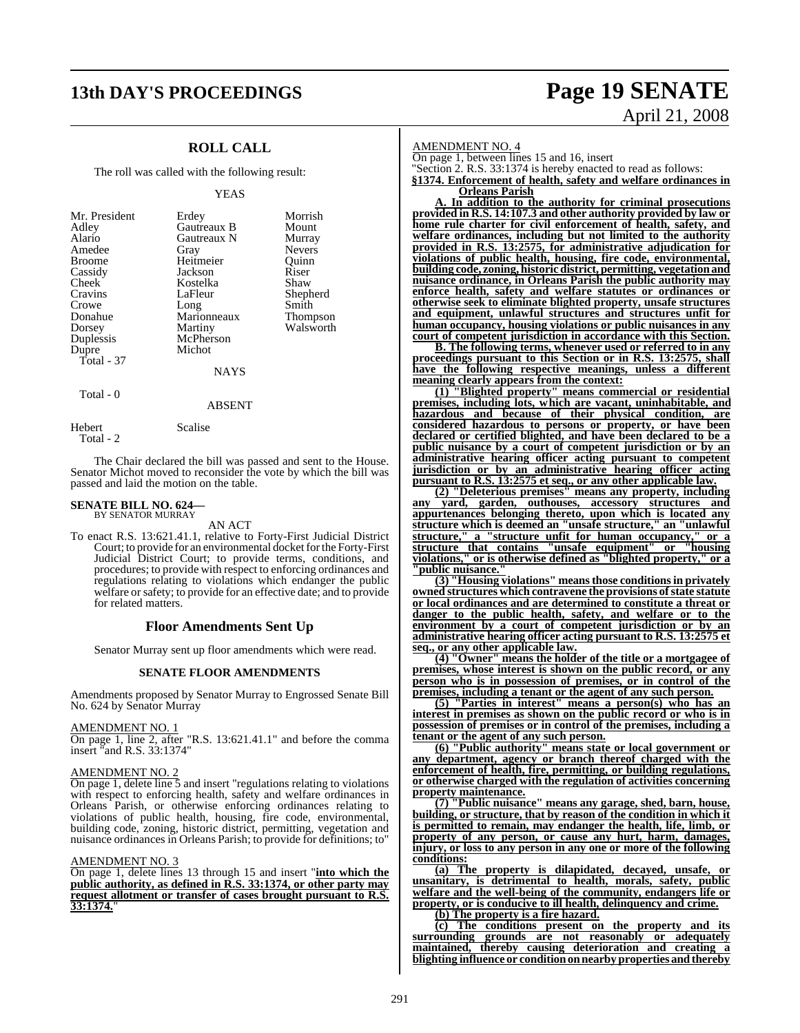# **13th DAY'S PROCEEDINGS Page 19 SENATE**

### **ROLL CALL**

The roll was called with the following result:

### YEAS

| Mr. President<br>Adley<br>Alario<br>Amedee<br><b>Broome</b><br>Cassidy<br>Cheek<br>Cravins<br>Crowe<br>Donahue<br>Dorsey | Erdey<br>Gautreaux B<br>Gautreaux N<br>Gray<br>Heitmeier<br>Jackson<br>Kostelka<br>LaFleur<br>Long<br>Marionneaux<br>Martiny<br>McPherson | Morrish<br>Mount<br>Murray<br>Nevers<br>Ouinn<br>Riser<br>Shaw<br>Shepherd<br>Smith<br>Thompson<br>Walsworth |
|--------------------------------------------------------------------------------------------------------------------------|-------------------------------------------------------------------------------------------------------------------------------------------|--------------------------------------------------------------------------------------------------------------|
| Duplessis<br>Dupre<br>Total $-37$<br>Total - 0                                                                           | Michot<br><b>NAYS</b>                                                                                                                     |                                                                                                              |

Total - 2

Hebert Scalise

The Chair declared the bill was passed and sent to the House. Senator Michot moved to reconsider the vote by which the bill was passed and laid the motion on the table.

ABSENT

### **SENATE BILL NO. 624** BY SENATOR MURRAY

AN ACT

To enact R.S. 13:621.41.1, relative to Forty-First Judicial District Court; to provide for an environmental docket for the Forty-First Judicial District Court; to provide terms, conditions, and procedures; to provide with respect to enforcing ordinances and regulations relating to violations which endanger the public welfare or safety; to provide for an effective date; and to provide for related matters.

### **Floor Amendments Sent Up**

Senator Murray sent up floor amendments which were read.

### **SENATE FLOOR AMENDMENTS**

Amendments proposed by Senator Murray to Engrossed Senate Bill No. 624 by Senator Murray

### AMENDMENT NO. 1

On page 1, line 2, after "R.S. 13:621.41.1" and before the comma insert "and R.S. 33:1374"

### AMENDMENT NO. 2

On page 1, delete line 5 and insert "regulations relating to violations with respect to enforcing health, safety and welfare ordinances in Orleans Parish, or otherwise enforcing ordinances relating to violations of public health, housing, fire code, environmental, building code, zoning, historic district, permitting, vegetation and nuisance ordinances in Orleans Parish; to provide for definitions; to"

### AMENDMENT NO. 3

On page 1, delete lines 13 through 15 and insert "**into which the public authority, as defined in R.S. 33:1374, or other party may request allotment or transfer of cases brought pursuant to R.S. 33:1374.**"

# April 21, 2008

AMENDMENT NO. 4

On page 1, between lines 15 and 16, insert

"Section 2. R.S. 33:1374 is hereby enacted to read as follows:

**§1374. Enforcement of health, safety and welfare ordinances in Orleans Parish**

**A. In addition to the authority for criminal prosecutions provided in R.S. 14:107.3 and other authority provided by law or home rule charter for civil enforcement of health, safety, and welfare ordinances, including but not limited to the authority provided in R.S. 13:2575, for administrative adjudication for violations of public health, housing, fire code, environmental, building code, zoning, historic district, permitting, vegetationand nuisance ordinance, in Orleans Parish the public authority may enforce health, safety and welfare statutes or ordinances or otherwise seek to eliminate blighted property, unsafe structures and equipment, unlawful structures and structures unfit for human occupancy, housing violations or public nuisances in any court of competent jurisdiction in accordance with this Section.**

**B. The following terms, whenever used or referred to in any proceedings pursuant to this Section or in R.S. 13:2575, shall have the following respective meanings, unless a different meaning clearly appears from the context:**

**(1) "Blighted property" means commercial or residential premises, including lots, which are vacant, uninhabitable, and hazardous and because of their physical condition, are considered hazardous to persons or property, or have been declared or certified blighted, and have been declared to be a public nuisance by a court of competent jurisdiction or by an administrative hearing officer acting pursuant to competent jurisdiction or by an administrative hearing officer acting pursuant to R.S. 13:2575 et seq., or any other applicable law.**

**(2) "Deleterious premises" means any property, including any yard, garden, outhouses, accessory structures and appurtenances belonging thereto, upon which is located any structure which is deemed an "unsafe structure," an "unlawful structure," a "structure unfit for human occupancy," or a structure that contains "unsafe equipment" or "housing violations," or is otherwise defined as "blighted property," or a** <u>**'public nuisance.**</u>

**(3) "Housing violations" meansthose conditionsin privately owned structures which contravene the provisions ofstate statute or local ordinances and are determined to constitute a threat or danger to the public health, safety, and welfare or to the environment by a court of competent jurisdiction or by an administrative hearing officer acting pursuant to R.S. 13:2575 et seq., or any other applicable law.**

**(4) "Owner" means the holder of the title or a mortgagee of premises, whose interest is shown on the public record, or any person who is in possession of premises, or in control of the premises, including a tenant or the agent of any such person.**

**(5) "Parties in interest" means a person(s) who has an interest in premises as shown on the public record or who is in possession of premises or in control of the premises, including a tenant or the agent of any such person.**

**(6) "Public authority" means state or local government or any department, agency or branch thereof charged with the enforcement of health, fire, permitting, or building regulations, or otherwise charged with the regulation of activities concerning property maintenance.**

**(7) "Public nuisance" means any garage, shed, barn, house, building, or structure, that by reason of the condition in which it is permitted to remain, may endanger the health, life, limb, or property of any person, or cause any hurt, harm, damages, injury, or loss to any person in any one or more of the following conditions:**

**(a) The property is dilapidated, decayed, unsafe, or unsanitary, is detrimental to health, morals, safety, public welfare and the well-being of the community, endangers life or property, or is conducive to ill health, delinquency and crime.**

**(b) The property is a fire hazard.**

**(c) The conditions present on the property and its surrounding grounds are not reasonably or adequately maintained, thereby causing deterioration and creating a blighting influence or conditiononnearby properties and thereby**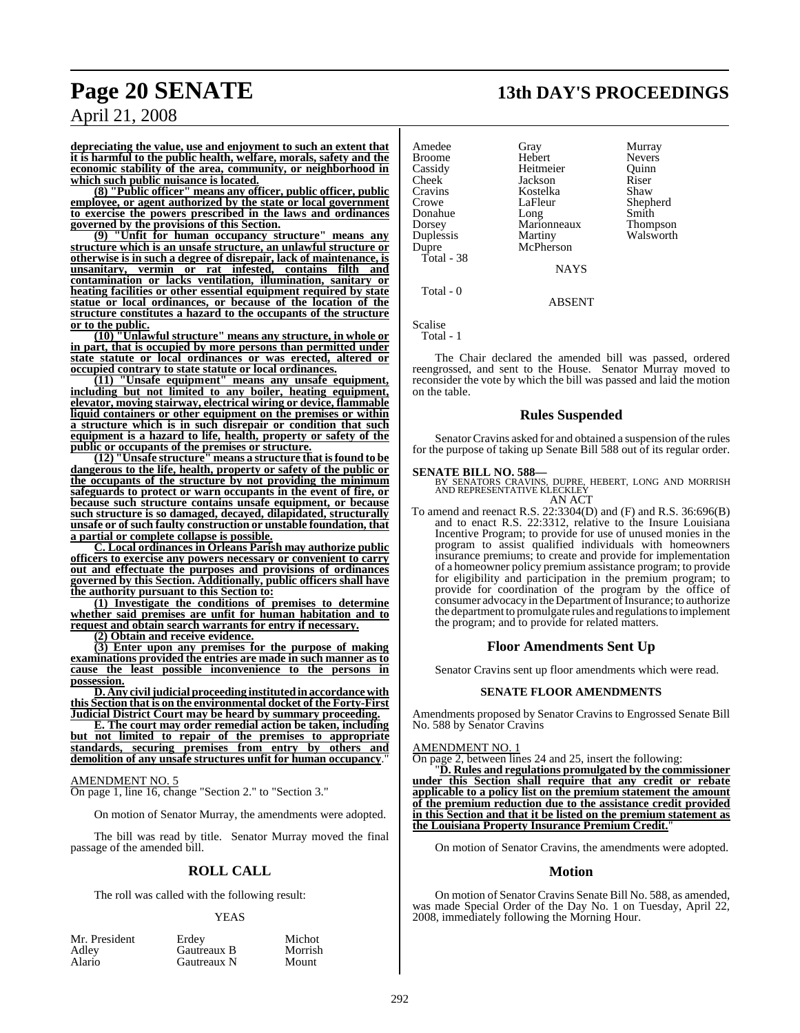## **Page 20 SENATE 13th DAY'S PROCEEDINGS**

April 21, 2008

**depreciating the value, use and enjoyment to such an extent that it is harmful to the public health, welfare, morals, safety and the economic stability of the area, community, or neighborhood in which such public nuisance is located.**

**(8) "Public officer" means any officer, public officer, public employee, or agent authorized by the state or local government to exercise the powers prescribed in the laws and ordinances governed by the provisions of this Section.**

**(9) "Unfit for human occupancy structure" means any structure which is an unsafe structure, an unlawful structure or otherwise is in such a degree of disrepair, lack of maintenance, is unsanitary, vermin or rat infested, contains filth and contamination or lacks ventilation, illumination, sanitary or heating facilities or other essential equipment required by state statue or local ordinances, or because of the location of the structure constitutes a hazard to the occupants of the structure or to the public.**

**(10) "Unlawful structure" means any structure, in whole or in part, that is occupied by more persons than permitted under state statute or local ordinances or was erected, altered or occupied contrary to state statute or local ordinances.**

**(11) "Unsafe equipment" means any unsafe equipment, including but not limited to any boiler, heating equipment, elevator, moving stairway, electrical wiring or device, flammable liquid containers or other equipment on the premises or within a structure which is in such disrepair or condition that such equipment is a hazard to life, health, property or safety of the public or occupants of the premises or structure.**

**(12) "Unsafe structure" means a structure that isfound to be dangerous to the life, health, property or safety of the public or the occupants of the structure by not providing the minimum safeguards to protect or warn occupants in the event of fire, or because such structure contains unsafe equipment, or because such structure is so damaged, decayed, dilapidated, structurally unsafe or of such faulty construction or unstable foundation, that a partial or complete collapse is possible.**

**C. Local ordinances in Orleans Parish may authorize public officers to exercise any powers necessary or convenient to carry out and effectuate the purposes and provisions of ordinances governed by this Section. Additionally, public officers shall have the authority pursuant to this Section to:**

**(1) Investigate the conditions of premises to determine whether said premises are unfit for human habitation and to request and obtain search warrants for entry if necessary.**

**(2) Obtain and receive evidence.**

**(3) Enter upon any premises for the purpose of making examinations provided the entries are made in such manner as to cause the least possible inconvenience to the persons in possession.**

**D. Any civiljudicial proceeding institutedinaccordancewith this Section that is on the environmental docket of the Forty-First Judicial District Court may be heard by summary proceeding.**

**E. The court may order remedial action be taken, including but not limited to repair of the premises to appropriate standards, securing premises from entry by others and demolition of any unsafe structures unfit for human occupancy**."

AMENDMENT NO. 5

On page 1, line 16, change "Section 2." to "Section 3."

On motion of Senator Murray, the amendments were adopted.

The bill was read by title. Senator Murray moved the final passage of the amended bill.

### **ROLL CALL**

The roll was called with the following result:

### YEAS

| Mr. President | Erdev       | Michot  |
|---------------|-------------|---------|
| Adley         | Gautreaux B | Morrish |
| Alario        | Gautreaux N | Mount   |

e Amedee Gray Gray Murray<br>Broome Hebert Nevers Broome Hebert Nevers Cassidy Heitmeier Quinn Cheek Jackson Riser<br>Cravins Kostelka Shaw Kostelka<br>LaFleur Crowe LaFleur Shepherd<br>
Donahue Long Smith Donahue Long Smith Dorse<br>Marionneaux Duplessis Martiny Walsworth<br>
Dupre McPherson McPherson Total - 38 **NAYS** Total - 0

ABSENT

Scalise

Total - 1

The Chair declared the amended bill was passed, ordered reengrossed, and sent to the House. Senator Murray moved to reconsider the vote by which the bill was passed and laid the motion on the table.

### **Rules Suspended**

Senator Cravins asked for and obtained a suspension of the rules for the purpose of taking up Senate Bill 588 out of its regular order.

**SENATE BILL NO. 588—**<br>BY SENATORS CRAVINS, DUPRE, HEBERT, LONG AND MORRISH<br>AND REPRESENTATIVE KLECKLEY<br>AN ACT

To amend and reenact R.S. 22:3304(D) and (F) and R.S. 36:696(B) To amend and reenact R.S.  $22:3304(D)$  and (F) and R.S.  $36:696(B)$ <br>and to enact R.S.  $22:3312$ , relative to the Insure Louisiana Incentive Program; to provide for use of unused monies in the program to assist qualified individuals with homeowners insurance premiums; to create and provide for implementation of a homeowner policy premium assistance program; to provide for eligibility and participation in the premium program; to provide for coordination of the program by the office of consumer advocacy in the Department of Insurance; to authorize the department to promulgate rules and regulations to implement the program; and to provide for related matters.

### **Floor Amendments Sent Up**

Senator Cravins sent up floor amendments which were read.

### **SENATE FLOOR AMENDMENTS**

Amendments proposed by Senator Cravins to Engrossed Senate Bill No. 588 by Senator Cravins

### AMENDMENT NO. 1

On page 2, between lines 24 and 25, insert the following:

"**D. Rules and regulations promulgated by the commissioner under this Section shall require that any credit or rebate applicable to a policy list on the premium statement the amount of the premium reduction due to the assistance credit provided in this Section and that it be listed on the premium statement as the Louisiana Property Insurance Premium Credit.**"

On motion of Senator Cravins, the amendments were adopted.

### **Motion**

On motion of Senator Cravins Senate Bill No. 588, as amended, was made Special Order of the Day No. 1 on Tuesday, April 22, 2008, immediately following the Morning Hour.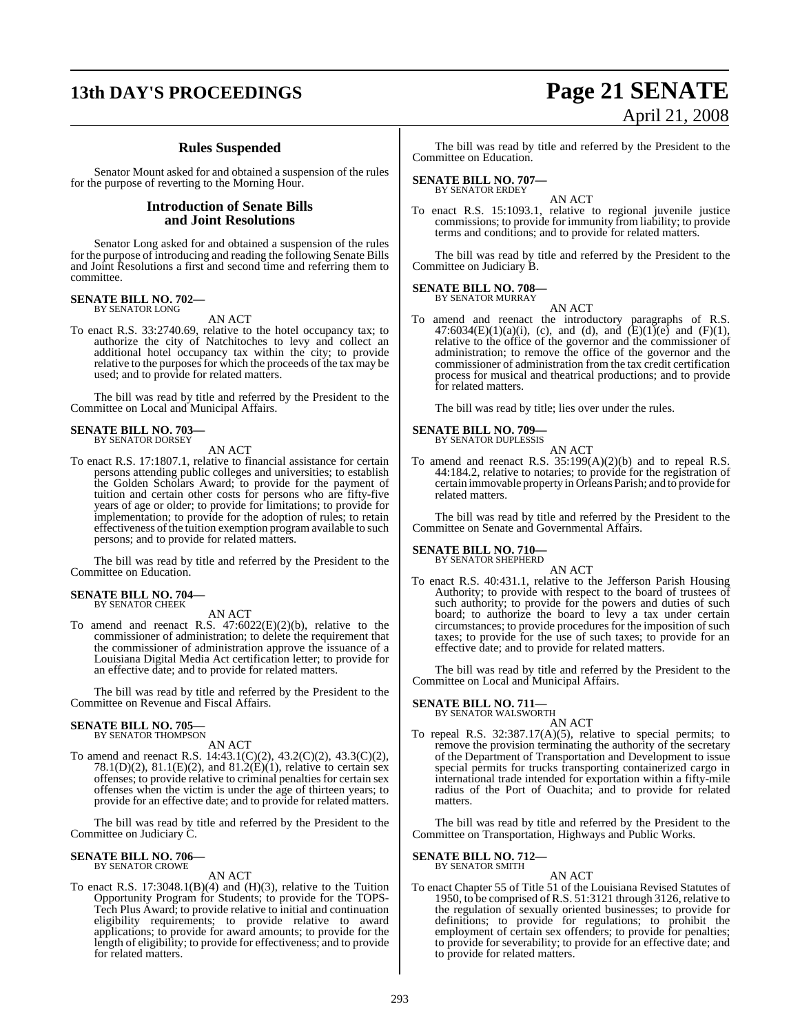## **13th DAY'S PROCEEDINGS Page 21 SENATE**

### **Rules Suspended**

Senator Mount asked for and obtained a suspension of the rules for the purpose of reverting to the Morning Hour.

### **Introduction of Senate Bills and Joint Resolutions**

Senator Long asked for and obtained a suspension of the rules for the purpose of introducing and reading the following Senate Bills and Joint Resolutions a first and second time and referring them to committee.

### **SENATE BILL NO. 702—** BY SENATOR LONG

AN ACT

To enact R.S. 33:2740.69, relative to the hotel occupancy tax; to authorize the city of Natchitoches to levy and collect an additional hotel occupancy tax within the city; to provide relative to the purposes for which the proceeds of the tax may be used; and to provide for related matters.

The bill was read by title and referred by the President to the Committee on Local and Municipal Affairs.

## **SENATE BILL NO. 703—** BY SENATOR DORSEY

AN ACT

To enact R.S. 17:1807.1, relative to financial assistance for certain persons attending public colleges and universities; to establish the Golden Scholars Award; to provide for the payment of tuition and certain other costs for persons who are fifty-five years of age or older; to provide for limitations; to provide for implementation; to provide for the adoption of rules; to retain effectiveness of the tuition exemption program available to such persons; and to provide for related matters.

The bill was read by title and referred by the President to the Committee on Education.

## **SENATE BILL NO. 704—** BY SENATOR CHEEK

AN ACT

To amend and reenact R.S. 47:6022(E)(2)(b), relative to the commissioner of administration; to delete the requirement that the commissioner of administration approve the issuance of a Louisiana Digital Media Act certification letter; to provide for an effective date; and to provide for related matters.

The bill was read by title and referred by the President to the Committee on Revenue and Fiscal Affairs.

### **SENATE BILL NO. 705—** BY SENATOR THOMPSON

AN ACT

To amend and reenact R.S. 14:43.1(C)(2), 43.2(C)(2), 43.3(C)(2), 78.1(D)(2), 81.1(E)(2), and 81.2(E)(1), relative to certain sex offenses; to provide relative to criminal penalties for certain sex offenses when the victim is under the age of thirteen years; to provide for an effective date; and to provide for related matters.

The bill was read by title and referred by the President to the Committee on Judiciary C.

### **SENATE BILL NO. 706—** BY SENATOR CROWE

AN ACT

To enact R.S.  $17:3048.1(B)(4)$  and  $(H)(3)$ , relative to the Tuition Opportunity Program for Students; to provide for the TOPS-Tech Plus Award; to provide relative to initial and continuation eligibility requirements; to provide relative to award applications; to provide for award amounts; to provide for the length of eligibility; to provide for effectiveness; and to provide for related matters.

# April 21, 2008

The bill was read by title and referred by the President to the Committee on Education.

## **SENATE BILL NO. 707—** BY SENATOR ERDEY

AN ACT

To enact R.S. 15:1093.1, relative to regional juvenile justice commissions; to provide for immunity from liability; to provide terms and conditions; and to provide for related matters.

The bill was read by title and referred by the President to the Committee on Judiciary B.

### **SENATE BILL NO. 708—** BY SENATOR MURRAY

AN ACT

To amend and reenact the introductory paragraphs of R.S. 47:6034(E)(1)(a)(i), (c), and (d), and (E)(1)(e) and (F)(1), relative to the office of the governor and the commissioner of administration; to remove the office of the governor and the commissioner of administration from the tax credit certification process for musical and theatrical productions; and to provide for related matters.

The bill was read by title; lies over under the rules.

## **SENATE BILL NO. 709—**<br>BY SENATOR DUPLESSIS

AN ACT

To amend and reenact R.S. 35:199(A)(2)(b) and to repeal R.S. 44:184.2, relative to notaries; to provide for the registration of certain immovable property in Orleans Parish; and to provide for related matters.

The bill was read by title and referred by the President to the Committee on Senate and Governmental Affairs.

### **SENATE BILL NO. 710—** BY SENATOR SHEPHERD

AN ACT

To enact R.S. 40:431.1, relative to the Jefferson Parish Housing Authority; to provide with respect to the board of trustees of such authority; to provide for the powers and duties of such board; to authorize the board to levy a tax under certain circumstances; to provide procedures for the imposition of such taxes; to provide for the use of such taxes; to provide for an effective date; and to provide for related matters.

The bill was read by title and referred by the President to the Committee on Local and Municipal Affairs.

### **SENATE BILL NO. 711—**

BY SENATOR WALSWORTH AN ACT

To repeal R.S. 32:387.17(A)(5), relative to special permits; to remove the provision terminating the authority of the secretary of the Department of Transportation and Development to issue special permits for trucks transporting containerized cargo in international trade intended for exportation within a fifty-mile radius of the Port of Ouachita; and to provide for related matters.

The bill was read by title and referred by the President to the Committee on Transportation, Highways and Public Works.

### **SENATE BILL NO. 712—** BY SENATOR SMITH

AN ACT

To enact Chapter 55 of Title 51 of the Louisiana Revised Statutes of 1950, to be comprised of R.S. 51:3121 through 3126, relative to the regulation of sexually oriented businesses; to provide for definitions; to provide for regulations; to prohibit the employment of certain sex offenders; to provide for penalties; to provide for severability; to provide for an effective date; and to provide for related matters.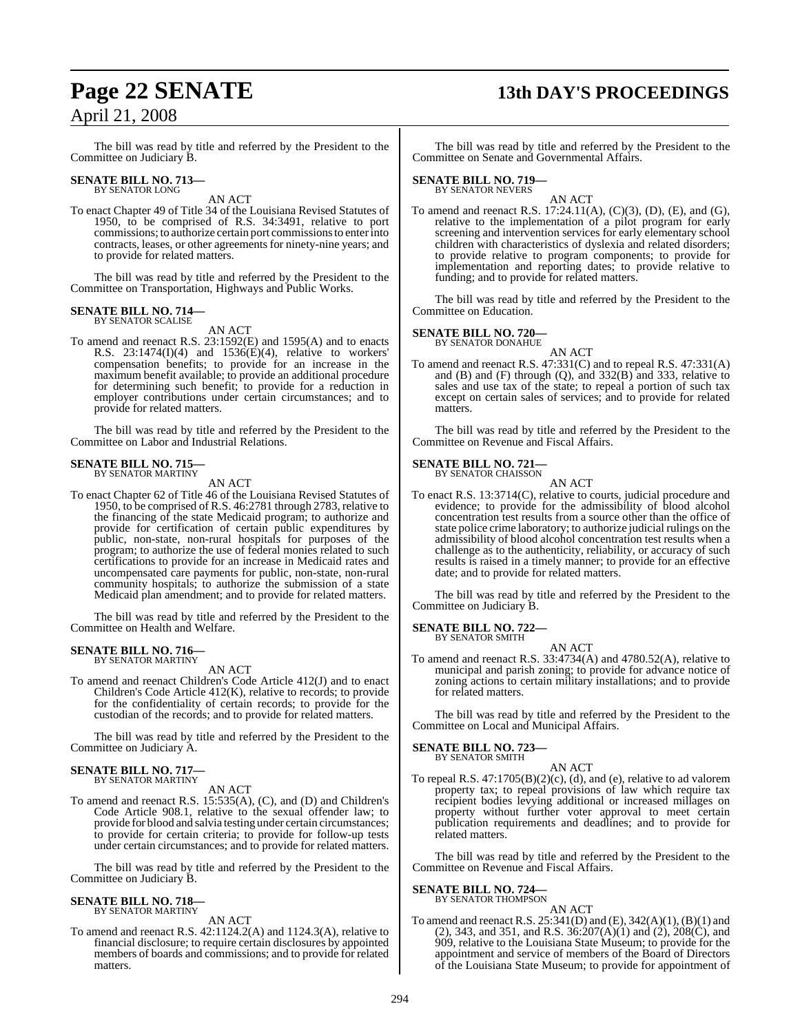## **Page 22 SENATE 13th DAY'S PROCEEDINGS**

The bill was read by title and referred by the President to the Committee on Judiciary B.

## **SENATE BILL NO. 713—** BY SENATOR LONG

AN ACT

To enact Chapter 49 of Title 34 of the Louisiana Revised Statutes of 1950, to be comprised of R.S. 34:3491, relative to port commissions; to authorize certain port commissionsto enterinto contracts, leases, or other agreements for ninety-nine years; and to provide for related matters.

The bill was read by title and referred by the President to the Committee on Transportation, Highways and Public Works.

### **SENATE BILL NO. 714—** BY SENATOR SCALISE

AN ACT

To amend and reenact R.S. 23:1592(E) and 1595(A) and to enacts R.S. 23:1474(I)(4) and 1536(E)(4), relative to workers' compensation benefits; to provide for an increase in the maximum benefit available; to provide an additional procedure for determining such benefit; to provide for a reduction in employer contributions under certain circumstances; and to provide for related matters.

The bill was read by title and referred by the President to the Committee on Labor and Industrial Relations.

### **SENATE BILL NO. 715—** BY SENATOR MARTINY

AN ACT

To enact Chapter 62 of Title 46 of the Louisiana Revised Statutes of 1950, to be comprised of R.S. 46:2781 through 2783, relative to the financing of the state Medicaid program; to authorize and provide for certification of certain public expenditures by public, non-state, non-rural hospitals for purposes of the program; to authorize the use of federal monies related to such certifications to provide for an increase in Medicaid rates and uncompensated care payments for public, non-state, non-rural community hospitals; to authorize the submission of a state Medicaid plan amendment; and to provide for related matters.

The bill was read by title and referred by the President to the Committee on Health and Welfare.

### **SENATE BILL NO. 716—** BY SENATOR MARTINY

AN ACT

To amend and reenact Children's Code Article 412(J) and to enact Children's Code Article 412(K), relative to records; to provide for the confidentiality of certain records; to provide for the custodian of the records; and to provide for related matters.

The bill was read by title and referred by the President to the Committee on Judiciary A.

### **SENATE BILL NO. 717—** BY SENATOR MARTINY

AN ACT

To amend and reenact R.S. 15:535(A), (C), and (D) and Children's Code Article 908.1, relative to the sexual offender law; to provide for blood and salvia testing under certain circumstances; to provide for certain criteria; to provide for follow-up tests under certain circumstances; and to provide for related matters.

The bill was read by title and referred by the President to the Committee on Judiciary B.

## **SENATE BILL NO. 718—** BY SENATOR MARTINY

AN ACT

To amend and reenact R.S. 42:1124.2(A) and 1124.3(A), relative to financial disclosure; to require certain disclosures by appointed members of boards and commissions; and to provide for related matters.

The bill was read by title and referred by the President to the Committee on Senate and Governmental Affairs.

## **SENATE BILL NO. 719—** BY SENATOR NEVERS

AN ACT

To amend and reenact R.S. 17:24.11(A), (C)(3), (D), (E), and (G), relative to the implementation of a pilot program for early screening and intervention services for early elementary school children with characteristics of dyslexia and related disorders; to provide relative to program components; to provide for implementation and reporting dates; to provide relative to funding; and to provide for related matters.

The bill was read by title and referred by the President to the Committee on Education.

### **SENATE BILL NO. 720—** BY SENATOR DONAHUE

AN ACT

To amend and reenact R.S. 47:331(C) and to repeal R.S. 47:331(A) and (B) and (F) through (Q), and  $332(B)$  and  $333$ , relative to sales and use tax of the state; to repeal a portion of such tax except on certain sales of services; and to provide for related matters.

The bill was read by title and referred by the President to the Committee on Revenue and Fiscal Affairs.

### **SENATE BILL NO. 721—** BY SENATOR CHAISSON

AN ACT

To enact R.S. 13:3714(C), relative to courts, judicial procedure and evidence; to provide for the admissibility of blood alcohol concentration test results from a source other than the office of state police crime laboratory; to authorize judicial rulings on the admissibility of blood alcohol concentration test results when a challenge as to the authenticity, reliability, or accuracy of such results is raised in a timely manner; to provide for an effective date; and to provide for related matters.

The bill was read by title and referred by the President to the Committee on Judiciary B.

### **SENATE BILL NO. 722—** BY SENATOR SMITH

AN ACT

To amend and reenact R.S. 33:4734(A) and 4780.52(A), relative to municipal and parish zoning; to provide for advance notice of zoning actions to certain military installations; and to provide for related matters.

The bill was read by title and referred by the President to the Committee on Local and Municipal Affairs.

## **SENATE BILL NO. 723—** BY SENATOR SMITH

AN ACT

To repeal R.S. 47:1705(B)(2)(c), (d), and (e), relative to ad valorem property tax; to repeal provisions of law which require tax recipient bodies levying additional or increased millages on property without further voter approval to meet certain publication requirements and deadlines; and to provide for related matters.

The bill was read by title and referred by the President to the Committee on Revenue and Fiscal Affairs.

## **SENATE BILL NO. 724—**<br>BY SENATOR THOMPSON

AN ACT

To amend and reenact R.S. 25:341(D) and (E), 342(A)(1), (B)(1) and (2), 343, and 351, and R.S. 36:207(A)(1) and (2), 208(C), and 909, relative to the Louisiana State Museum; to provide for the appointment and service of members of the Board of Directors of the Louisiana State Museum; to provide for appointment of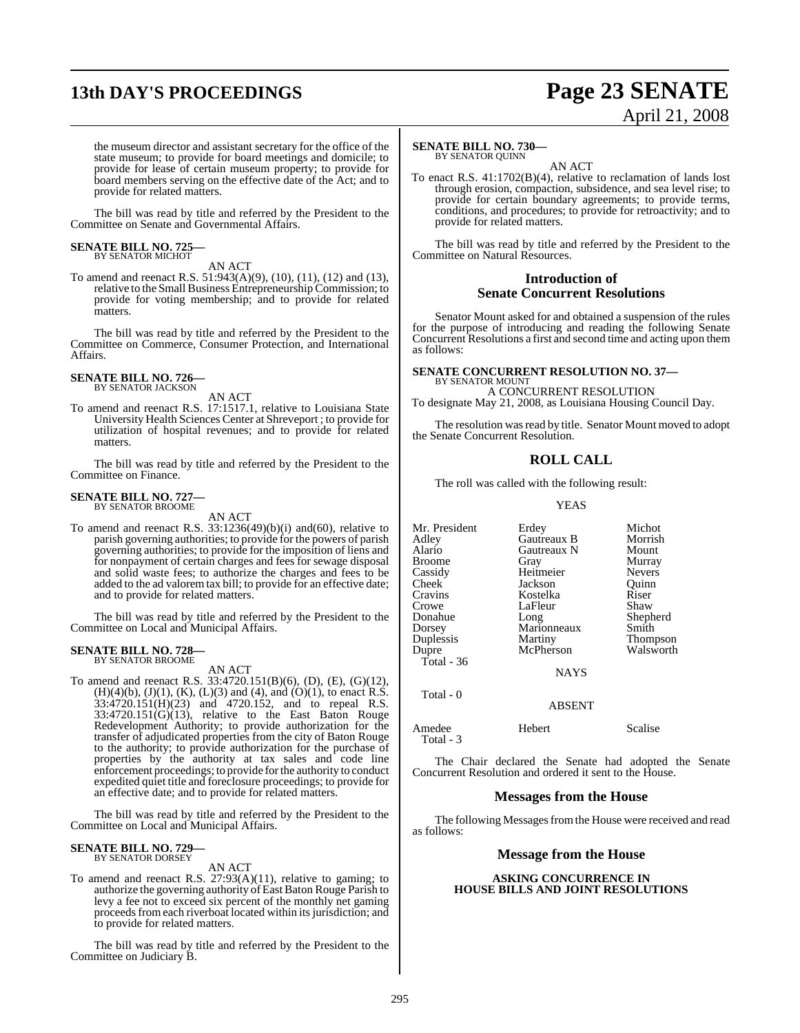## **13th DAY'S PROCEEDINGS Page 23 SENATE**

# April 21, 2008

the museum director and assistant secretary for the office of the state museum; to provide for board meetings and domicile; to provide for lease of certain museum property; to provide for board members serving on the effective date of the Act; and to provide for related matters.

The bill was read by title and referred by the President to the Committee on Senate and Governmental Affairs.

### **SENATE BILL NO. 725—** BY SENATOR MICHOT

AN ACT

To amend and reenact R.S. 51:943(A)(9), (10), (11), (12) and (13), relative to the Small Business Entrepreneurship Commission; to provide for voting membership; and to provide for related matters.

The bill was read by title and referred by the President to the Committee on Commerce, Consumer Protection, and International Affairs.

### **SENATE BILL NO. 726—** BY SENATOR JACKSON

AN ACT

To amend and reenact R.S. 17:1517.1, relative to Louisiana State University Health Sciences Center at Shreveport ; to provide for utilization of hospital revenues; and to provide for related matters.

The bill was read by title and referred by the President to the Committee on Finance.

## **SENATE BILL NO. 727—** BY SENATOR BROOME

AN ACT

To amend and reenact R.S. 33:1236(49)(b)(i) and(60), relative to parish governing authorities; to provide for the powers of parish governing authorities; to provide for the imposition of liens and for nonpayment of certain charges and fees for sewage disposal and solid waste fees; to authorize the charges and fees to be added to the ad valorem tax bill; to provide for an effective date; and to provide for related matters.

The bill was read by title and referred by the President to the Committee on Local and Municipal Affairs.

### **SENATE BILL NO. 728—** BY SENATOR BROOME

AN ACT

To amend and reenact R.S. 33:4720.151(B)(6), (D), (E), (G)(12),  $(H)(4)(b)$ ,  $(J)(1)$ ,  $(K)$ ,  $(L)(3)$  and  $(4)$ , and  $(O)(1)$ , to enact R.S. 33:4720.151(H)(23) and 4720.152, and to repeal R.S.  $33:4720.151(\overrightarrow{G})(13)$ , relative to the East Baton Rouge Redevelopment Authority; to provide authorization for the transfer of adjudicated properties from the city of Baton Rouge to the authority; to provide authorization for the purchase of properties by the authority at tax sales and code line enforcement proceedings; to provide for the authority to conduct expedited quiet title and foreclosure proceedings; to provide for an effective date; and to provide for related matters.

The bill was read by title and referred by the President to the Committee on Local and Municipal Affairs.

## **SENATE BILL NO. 729—** BY SENATOR DORSEY

AN ACT

To amend and reenact R.S. 27:93(A)(11), relative to gaming; to authorize the governing authority of East Baton Rouge Parish to levy a fee not to exceed six percent of the monthly net gaming proceeds from each riverboat located within its jurisdiction; and to provide for related matters.

The bill was read by title and referred by the President to the Committee on Judiciary B.

### **SENATE BILL NO. 730—**

BY SENATOR QUINN

AN ACT To enact R.S. 41:1702(B)(4), relative to reclamation of lands lost through erosion, compaction, subsidence, and sea level rise; to provide for certain boundary agreements; to provide terms, conditions, and procedures; to provide for retroactivity; and to provide for related matters.

The bill was read by title and referred by the President to the Committee on Natural Resources.

### **Introduction of Senate Concurrent Resolutions**

Senator Mount asked for and obtained a suspension of the rules for the purpose of introducing and reading the following Senate Concurrent Resolutions a first and second time and acting upon them as follows:

### **SENATE CONCURRENT RESOLUTION NO. 37—** BY SENATOR MOUNT

A CONCURRENT RESOLUTION To designate May 21, 2008, as Louisiana Housing Council Day.

The resolution was read by title. Senator Mount moved to adopt the Senate Concurrent Resolution.

### **ROLL CALL**

The roll was called with the following result:

YEAS

| Mr. President | Erdey              | Michot        |
|---------------|--------------------|---------------|
| Adlev         | <b>Gautreaux B</b> | Morrish       |
| Alario        | Gautreaux N        | Mount         |
| Broome        | Gray               | Murray        |
| Cassidy       | Heitmeier          | <b>Nevers</b> |
| Cheek         | Jackson            | Ouinn         |
| Cravins       | Kostelka           | Riser         |
| Crowe         | LaFleur            | Shaw          |
| Donahue       | Long               | Shepherd      |
| Dorsey        | Marionneaux        | Smith         |
| Duplessis     | Martiny            | Thompson      |
| Dupre         | McPherson          | Walsworth     |
| Total - 36    |                    |               |
|               | <b>NAYS</b>        |               |
| Total - 0     | ABSENT             |               |

Amedee Hebert Scalise

The Chair declared the Senate had adopted the Senate Concurrent Resolution and ordered it sent to the House.

### **Messages from the House**

The following Messages from the House were received and read as follows:

### **Message from the House**

### **ASKING CONCURRENCE IN HOUSE BILLS AND JOINT RESOLUTIONS**

Total - 3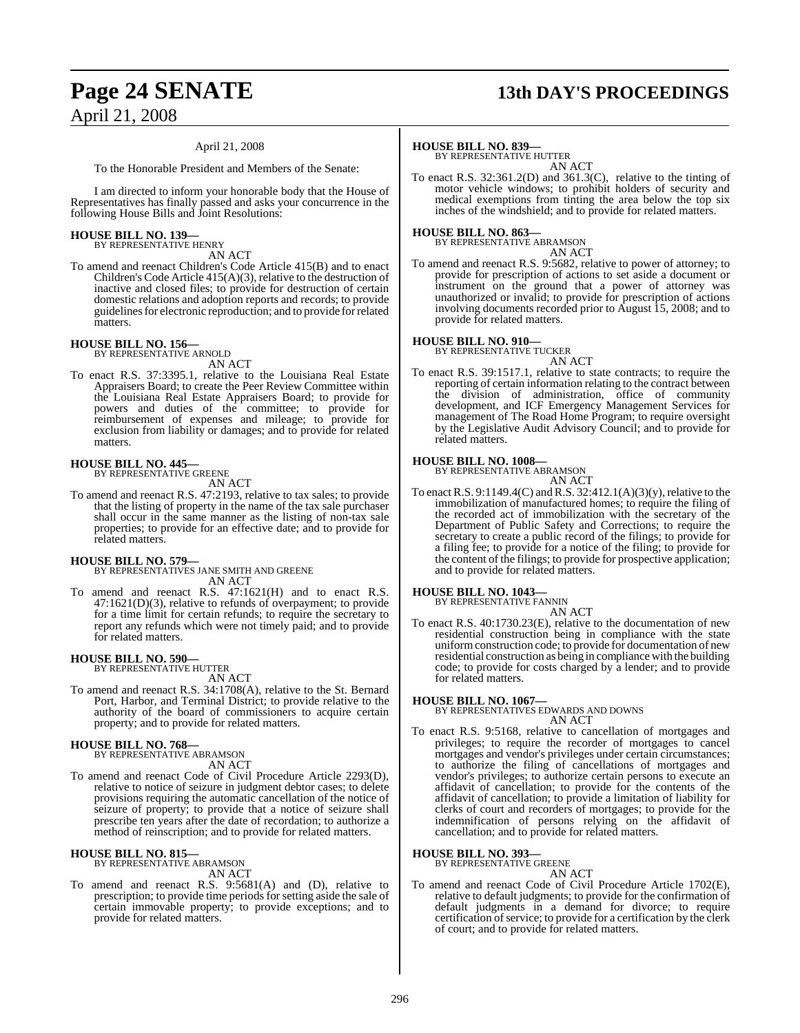## **Page 24 SENATE 13th DAY'S PROCEEDINGS**

### April 21, 2008

To the Honorable President and Members of the Senate:

I am directed to inform your honorable body that the House of Representatives has finally passed and asks your concurrence in the following House Bills and Joint Resolutions:

## **HOUSE BILL NO. 139—** BY REPRESENTATIVE HENRY

AN ACT

To amend and reenact Children's Code Article 415(B) and to enact Children's Code Article 415(A)(3), relative to the destruction of inactive and closed files; to provide for destruction of certain domestic relations and adoption reports and records; to provide guidelines for electronic reproduction; and to provide for related matters.

## **HOUSE BILL NO. 156—**

BY REPRESENTATIVE ARNOLD AN ACT

To enact R.S. 37:3395.1, relative to the Louisiana Real Estate Appraisers Board; to create the Peer Review Committee within the Louisiana Real Estate Appraisers Board; to provide for powers and duties of the committee; to provide for reimbursement of expenses and mileage; to provide for exclusion from liability or damages; and to provide for related matters.

### **HOUSE BILL NO. 445—** BY REPRESENTATIVE GREENE

AN ACT

To amend and reenact R.S. 47:2193, relative to tax sales; to provide that the listing of property in the name of the tax sale purchaser shall occur in the same manner as the listing of non-tax sale properties; to provide for an effective date; and to provide for related matters.

### **HOUSE BILL NO. 579—**

BY REPRESENTATIVES JANE SMITH AND GREENE AN ACT

To amend and reenact R.S. 47:1621(H) and to enact R.S. 47:1621(D)(3), relative to refunds of overpayment; to provide for a time limit for certain refunds; to require the secretary to report any refunds which were not timely paid; and to provide for related matters.

## **HOUSE BILL NO. 590—** BY REPRESENTATIVE HUTTER

AN ACT

To amend and reenact R.S. 34:1708(A), relative to the St. Bernard Port, Harbor, and Terminal District; to provide relative to the authority of the board of commissioners to acquire certain property; and to provide for related matters.

## **HOUSE BILL NO. 768—** BY REPRESENTATIVE ABRAMSON

AN ACT

To amend and reenact Code of Civil Procedure Article 2293(D), relative to notice of seizure in judgment debtor cases; to delete provisions requiring the automatic cancellation of the notice of seizure of property; to provide that a notice of seizure shall prescribe ten years after the date of recordation; to authorize a method of reinscription; and to provide for related matters.

### **HOUSE BILL NO. 815—**

BY REPRESENTATIVE ABRAMSON AN ACT

To amend and reenact R.S. 9:5681(A) and (D), relative to prescription; to provide time periods forsetting aside the sale of certain immovable property; to provide exceptions; and to provide for related matters.

### **HOUSE BILL NO. 839—**

BY REPRESENTATIVE HUTTER AN ACT

To enact R.S. 32:361.2(D) and 361.3(C), relative to the tinting of motor vehicle windows; to prohibit holders of security and medical exemptions from tinting the area below the top six inches of the windshield; and to provide for related matters.

## **HOUSE BILL NO. 863—** BY REPRESENTATIVE ABRAMSON

AN ACT

To amend and reenact R.S. 9:5682, relative to power of attorney; to provide for prescription of actions to set aside a document or instrument on the ground that a power of attorney was unauthorized or invalid; to provide for prescription of actions involving documents recorded prior to August 15, 2008; and to provide for related matters.

## **HOUSE BILL NO. 910—** BY REPRESENTATIVE TUCKER

AN ACT

To enact R.S. 39:1517.1, relative to state contracts; to require the reporting of certain information relating to the contract between the division of administration, office of community development, and ICF Emergency Management Services for management of The Road Home Program; to require oversight by the Legislative Audit Advisory Council; and to provide for related matters.

## **HOUSE BILL NO. 1008—** BY REPRESENTATIVE ABRAMSON

AN ACT

To enact R.S. 9:1149.4(C) and R.S. 32:412.1(A)(3)(y), relative to the immobilization of manufactured homes; to require the filing of the recorded act of immobilization with the secretary of the Department of Public Safety and Corrections; to require the secretary to create a public record of the filings; to provide for a filing fee; to provide for a notice of the filing; to provide for the content of the filings; to provide for prospective application; and to provide for related matters.

### **HOUSE BILL NO. 1043—**

BY REPRESENTATIVE FANNIN AN ACT

To enact R.S. 40:1730.23(E), relative to the documentation of new residential construction being in compliance with the state uniformconstruction code; to provide for documentation of new residential construction as being in compliance with the building code; to provide for costs charged by a lender; and to provide for related matters.

**HOUSE BILL NO. 1067—** BY REPRESENTATIVES EDWARDS AND DOWNS AN ACT

To enact R.S. 9:5168, relative to cancellation of mortgages and privileges; to require the recorder of mortgages to cancel mortgages and vendor's privileges under certain circumstances; to authorize the filing of cancellations of mortgages and vendor's privileges; to authorize certain persons to execute an affidavit of cancellation; to provide for the contents of the affidavit of cancellation; to provide a limitation of liability for clerks of court and recorders of mortgages; to provide for the indemnification of persons relying on the affidavit of cancellation; and to provide for related matters.

### **HOUSE BILL NO. 393—** BY REPRESENTATIVE GREENE

AN ACT To amend and reenact Code of Civil Procedure Article 1702(E), relative to default judgments; to provide for the confirmation of default judgments in a demand for divorce; to require certification of service; to provide for a certification by the clerk of court; and to provide for related matters.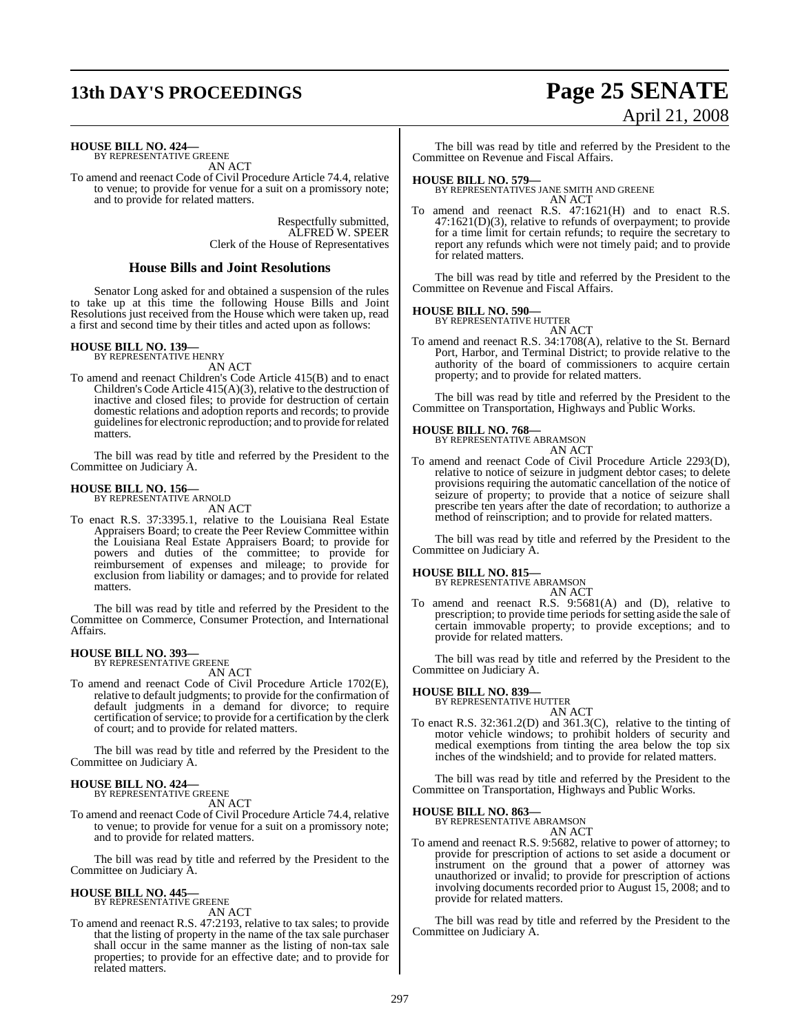## **13th DAY'S PROCEEDINGS Page 25 SENATE** April 21, 2008

**HOUSE BILL NO. 424—** BY REPRESENTATIVE GREENE

AN ACT

To amend and reenact Code of Civil Procedure Article 74.4, relative to venue; to provide for venue for a suit on a promissory note; and to provide for related matters.

> Respectfully submitted, ALFRED W. SPEER Clerk of the House of Representatives

### **House Bills and Joint Resolutions**

Senator Long asked for and obtained a suspension of the rules to take up at this time the following House Bills and Joint Resolutions just received from the House which were taken up, read a first and second time by their titles and acted upon as follows:

### **HOUSE BILL NO. 139—**

BY REPRESENTATIVE HENRY AN ACT

To amend and reenact Children's Code Article 415(B) and to enact Children's Code Article 415(A)(3), relative to the destruction of inactive and closed files; to provide for destruction of certain domestic relations and adoption reports and records; to provide guidelines for electronic reproduction; and to provide for related matters.

The bill was read by title and referred by the President to the Committee on Judiciary A.

### **HOUSE BILL NO. 156—**

BY REPRESENTATIVE ARNOLD AN ACT

To enact R.S. 37:3395.1, relative to the Louisiana Real Estate Appraisers Board; to create the Peer Review Committee within the Louisiana Real Estate Appraisers Board; to provide for powers and duties of the committee; to provide for reimbursement of expenses and mileage; to provide for exclusion from liability or damages; and to provide for related matters.

The bill was read by title and referred by the President to the Committee on Commerce, Consumer Protection, and International Affairs.

# **HOUSE BILL NO. 393—** BY REPRESENTATIVE GREENE

AN ACT

To amend and reenact Code of Civil Procedure Article 1702(E), relative to default judgments; to provide for the confirmation of default judgments in a demand for divorce; to require certification of service; to provide for a certification by the clerk of court; and to provide for related matters.

The bill was read by title and referred by the President to the Committee on Judiciary A.

### **HOUSE BILL NO. 424—** BY REPRESENTATIVE GREENE

AN ACT

To amend and reenact Code of Civil Procedure Article 74.4, relative to venue; to provide for venue for a suit on a promissory note; and to provide for related matters.

The bill was read by title and referred by the President to the Committee on Judiciary A.

## **HOUSE BILL NO. 445—** BY REPRESENTATIVE GREENE

AN ACT

To amend and reenact R.S. 47:2193, relative to tax sales; to provide that the listing of property in the name of the tax sale purchaser shall occur in the same manner as the listing of non-tax sale properties; to provide for an effective date; and to provide for related matters.

The bill was read by title and referred by the President to the Committee on Revenue and Fiscal Affairs.

**HOUSE BILL NO. 579—** BY REPRESENTATIVES JANE SMITH AND GREENE AN ACT

To amend and reenact R.S. 47:1621(H) and to enact R.S. 47:1621(D)(3), relative to refunds of overpayment; to provide for a time limit for certain refunds; to require the secretary to report any refunds which were not timely paid; and to provide for related matters.

The bill was read by title and referred by the President to the Committee on Revenue and Fiscal Affairs.

### **HOUSE BILL NO. 590—**

BY REPRESENTATIVE HUTTER AN ACT

To amend and reenact R.S. 34:1708(A), relative to the St. Bernard Port, Harbor, and Terminal District; to provide relative to the authority of the board of commissioners to acquire certain property; and to provide for related matters.

The bill was read by title and referred by the President to the Committee on Transportation, Highways and Public Works.

### **HOUSE BILL NO. 768—**

BY REPRESENTATIVE ABRAMSON

### AN ACT

To amend and reenact Code of Civil Procedure Article 2293(D), relative to notice of seizure in judgment debtor cases; to delete provisions requiring the automatic cancellation of the notice of seizure of property; to provide that a notice of seizure shall prescribe ten years after the date of recordation; to authorize a method of reinscription; and to provide for related matters.

The bill was read by title and referred by the President to the Committee on Judiciary A.

## **HOUSE BILL NO. 815—** BY REPRESENTATIVE ABRAMSON

AN ACT

To amend and reenact R.S. 9:5681(A) and (D), relative to prescription; to provide time periods forsetting aside the sale of certain immovable property; to provide exceptions; and to provide for related matters.

The bill was read by title and referred by the President to the Committee on Judiciary A.

### **HOUSE BILL NO. 839—**

BY REPRESENTATIVE HUTTER

AN ACT To enact R.S. 32:361.2(D) and 361.3(C), relative to the tinting of motor vehicle windows; to prohibit holders of security and medical exemptions from tinting the area below the top six inches of the windshield; and to provide for related matters.

The bill was read by title and referred by the President to the Committee on Transportation, Highways and Public Works.

## **HOUSE BILL NO. 863—** BY REPRESENTATIVE ABRAMSON

AN ACT

To amend and reenact R.S. 9:5682, relative to power of attorney; to provide for prescription of actions to set aside a document or instrument on the ground that a power of attorney was unauthorized or invalid; to provide for prescription of actions involving documents recorded prior to August 15, 2008; and to provide for related matters.

The bill was read by title and referred by the President to the Committee on Judiciary A.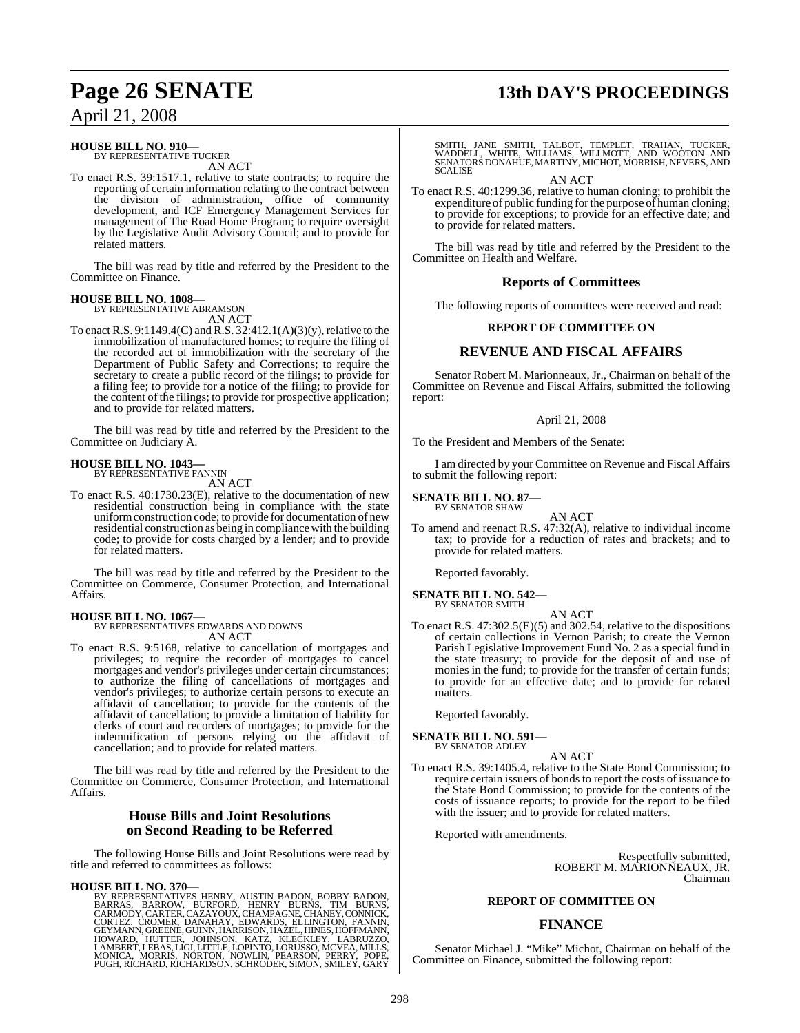### **HOUSE BILL NO. 910—** BY REPRESENTATIVE TUCKER

AN ACT

To enact R.S. 39:1517.1, relative to state contracts; to require the reporting of certain information relating to the contract between the division of administration, office of community development, and ICF Emergency Management Services for management of The Road Home Program; to require oversight by the Legislative Audit Advisory Council; and to provide for related matters.

The bill was read by title and referred by the President to the Committee on Finance.

### **HOUSE BILL NO. 1008—** BY REPRESENTATIVE ABRAMSON

AN ACT

To enact R.S.  $9:1149.4(C)$  and R.S.  $32:412.1(A)(3)(v)$ , relative to the immobilization of manufactured homes; to require the filing of the recorded act of immobilization with the secretary of the Department of Public Safety and Corrections; to require the secretary to create a public record of the filings; to provide for a filing fee; to provide for a notice of the filing; to provide for the content of the filings; to provide for prospective application; and to provide for related matters.

The bill was read by title and referred by the President to the Committee on Judiciary A.

### **HOUSE BILL NO. 1043—** BY REPRESENTATIVE FANNIN

AN ACT

To enact R.S. 40:1730.23(E), relative to the documentation of new residential construction being in compliance with the state uniformconstruction code; to provide for documentation of new residential construction as being in compliance with the building code; to provide for costs charged by a lender; and to provide for related matters.

The bill was read by title and referred by the President to the Committee on Commerce, Consumer Protection, and International Affairs.

### **HOUSE BILL NO. 1067—**

BY REPRESENTATIVES EDWARDS AND DOWNS AN ACT

To enact R.S. 9:5168, relative to cancellation of mortgages and privileges; to require the recorder of mortgages to cancel mortgages and vendor's privileges under certain circumstances; to authorize the filing of cancellations of mortgages and vendor's privileges; to authorize certain persons to execute an affidavit of cancellation; to provide for the contents of the affidavit of cancellation; to provide a limitation of liability for clerks of court and recorders of mortgages; to provide for the indemnification of persons relying on the affidavit of cancellation; and to provide for related matters.

The bill was read by title and referred by the President to the Committee on Commerce, Consumer Protection, and International Affairs.

### **House Bills and Joint Resolutions on Second Reading to be Referred**

The following House Bills and Joint Resolutions were read by title and referred to committees as follows:

### **HOUSE BILL NO. 370—**

BY REPRESENTATIVES HENRY, AUSTIN BADON, BOBBY BADON,<br>BARRAS, BARROW, BURFORD, HENRY BURNS, TIM BURNS,<br>CARMODY,CARTER,CAZAYOUX,CHAMPAGNE,CHANEY,CONNICK,<br>CORTEZ, CROMER, DANAHAY, EDWARDS, ELLINGTON, FANNIN,<br>GEYMANN,GREENE,GU PUGH, RICHARD, RICHARDSON, SCHRODER, SIMON, SMILEY, GARY

## **Page 26 SENATE 13th DAY'S PROCEEDINGS**

SMITH, JANE SMITH, TALBOT, TEMPLET, TRAHAN, TUCKER,<br>WADDELL, WHITE, WILLIAMS, WILLMOTT, AND WOOTON AND<br>SENATORS DONAHUE,MARTINY,MICHOT,MORRISH,NEVERS,AND<br>SCALISE

AN ACT

To enact R.S. 40:1299.36, relative to human cloning; to prohibit the expenditure of public funding for the purpose of human cloning; to provide for exceptions; to provide for an effective date; and to provide for related matters.

The bill was read by title and referred by the President to the Committee on Health and Welfare.

### **Reports of Committees**

The following reports of committees were received and read:

### **REPORT OF COMMITTEE ON**

### **REVENUE AND FISCAL AFFAIRS**

Senator Robert M. Marionneaux, Jr., Chairman on behalf of the Committee on Revenue and Fiscal Affairs, submitted the following report:

### April 21, 2008

To the President and Members of the Senate:

I am directed by your Committee on Revenue and Fiscal Affairs to submit the following report:

## **SENATE BILL NO. 87—** BY SENATOR SHAW

AN ACT

To amend and reenact R.S. 47:32(A), relative to individual income tax; to provide for a reduction of rates and brackets; and to provide for related matters.

Reported favorably.

### **SENATE BILL NO. 542—** BY SENATOR SMITH

AN ACT To enact R.S. 47:302.5(E)(5) and 302.54, relative to the dispositions of certain collections in Vernon Parish; to create the Vernon Parish Legislative Improvement Fund No. 2 as a special fund in the state treasury; to provide for the deposit of and use of monies in the fund; to provide for the transfer of certain funds; to provide for an effective date; and to provide for related matters.

Reported favorably.

### **SENATE BILL NO. 591—** BY SENATOR ADLEY

AN ACT

To enact R.S. 39:1405.4, relative to the State Bond Commission; to require certain issuers of bonds to report the costs of issuance to the State Bond Commission; to provide for the contents of the costs of issuance reports; to provide for the report to be filed with the issuer; and to provide for related matters.

Reported with amendments.

Respectfully submitted, ROBERT M. MARIONNEAUX, JR. Chairman

### **REPORT OF COMMITTEE ON**

## **FINANCE**

Senator Michael J. "Mike" Michot, Chairman on behalf of the Committee on Finance, submitted the following report: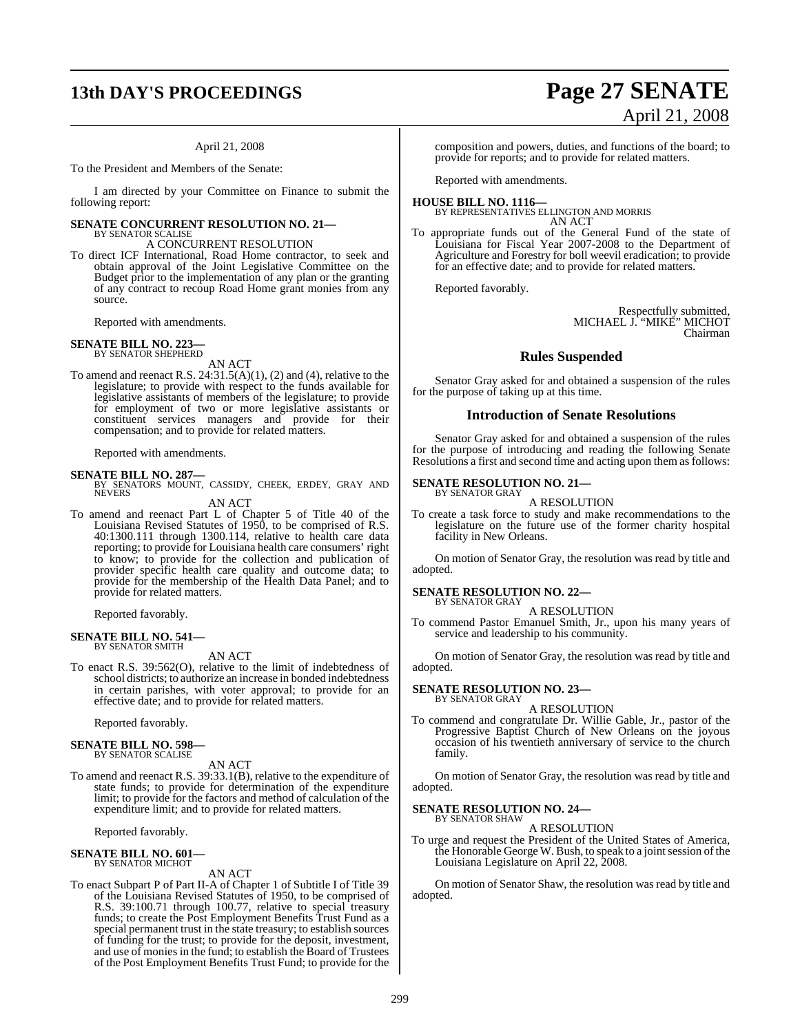## **13th DAY'S PROCEEDINGS Page 27 SENATE**

### April 21, 2008

To the President and Members of the Senate:

I am directed by your Committee on Finance to submit the following report:

### **SENATE CONCURRENT RESOLUTION NO. 21—** BY SENATOR SCALISE

A CONCURRENT RESOLUTION

To direct ICF International, Road Home contractor, to seek and obtain approval of the Joint Legislative Committee on the Budget prior to the implementation of any plan or the granting of any contract to recoup Road Home grant monies from any source.

Reported with amendments.

### **SENATE BILL NO. 223** BY SENATOR SHEPHERD

AN ACT

To amend and reenact R.S.  $24:31.5(A)(1)$ ,  $(2)$  and  $(4)$ , relative to the legislature; to provide with respect to the funds available for legislative assistants of members of the legislature; to provide for employment of two or more legislative assistants or constituent services managers and provide for their compensation; and to provide for related matters.

Reported with amendments.

**SENATE BILL NO. 287—**<br>BY SENATORS MOUNT, CASSIDY, CHEEK, ERDEY, GRAY AND NEVERS

AN ACT

To amend and reenact Part L of Chapter 5 of Title 40 of the Louisiana Revised Statutes of 1950, to be comprised of R.S. 40:1300.111 through 1300.114, relative to health care data reporting; to provide for Louisiana health care consumers' right to know; to provide for the collection and publication of provider specific health care quality and outcome data; to provide for the membership of the Health Data Panel; and to provide for related matters.

Reported favorably.

### **SENATE BILL NO. 541—**

BY SENATOR SMITH

AN ACT

To enact R.S. 39:562(O), relative to the limit of indebtedness of school districts; to authorize an increase in bonded indebtedness in certain parishes, with voter approval; to provide for an effective date; and to provide for related matters.

Reported favorably.

## **SENATE BILL NO. 598—** BY SENATOR SCALISE

AN ACT

To amend and reenact R.S. 39:33.1(B), relative to the expenditure of state funds; to provide for determination of the expenditure limit; to provide for the factors and method of calculation of the expenditure limit; and to provide for related matters.

Reported favorably.

### **SENATE BILL NO. 601—** BY SENATOR MICHOT

AN ACT

To enact Subpart P of Part II-A of Chapter 1 of Subtitle I of Title 39 of the Louisiana Revised Statutes of 1950, to be comprised of R.S. 39:100.71 through 100.77, relative to special treasury funds; to create the Post Employment Benefits Trust Fund as a special permanent trust in the state treasury; to establish sources of funding for the trust; to provide for the deposit, investment, and use of monies in the fund; to establish the Board of Trustees of the Post Employment Benefits Trust Fund; to provide for the

composition and powers, duties, and functions of the board; to provide for reports; and to provide for related matters.

Reported with amendments.

### **HOUSE BILL NO. 1116—** BY REPRESENTATIVES ELLINGTON AND MORRIS AN ACT

To appropriate funds out of the General Fund of the state of Louisiana for Fiscal Year 2007-2008 to the Department of Agriculture and Forestry for boll weevil eradication; to provide for an effective date; and to provide for related matters.

Reported favorably.

Respectfully submitted, MICHAEL J. "MIKE" MICHOT Chairman

### **Rules Suspended**

Senator Gray asked for and obtained a suspension of the rules for the purpose of taking up at this time.

### **Introduction of Senate Resolutions**

Senator Gray asked for and obtained a suspension of the rules for the purpose of introducing and reading the following Senate Resolutions a first and second time and acting upon them as follows:

## **SENATE RESOLUTION NO. 21—** BY SENATOR GRAY

A RESOLUTION

To create a task force to study and make recommendations to the legislature on the future use of the former charity hospital facility in New Orleans.

On motion of Senator Gray, the resolution was read by title and adopted.

### **SENATE RESOLUTION NO. 22—**

BY SENATOR GRAY A RESOLUTION

To commend Pastor Emanuel Smith, Jr., upon his many years of service and leadership to his community.

On motion of Senator Gray, the resolution was read by title and adopted.

### **SENATE RESOLUTION NO. 23—** BY SENATOR GRAY

A RESOLUTION

To commend and congratulate Dr. Willie Gable, Jr., pastor of the Progressive Baptist Church of New Orleans on the joyous occasion of his twentieth anniversary of service to the church family.

On motion of Senator Gray, the resolution was read by title and adopted.

### **SENATE RESOLUTION NO. 24—** BY SENATOR SHAW

A RESOLUTION

To urge and request the President of the United States of America, the Honorable George W. Bush, to speak to a joint session of the Louisiana Legislature on April 22, 2008.

On motion of Senator Shaw, the resolution was read by title and adopted.

# April 21, 2008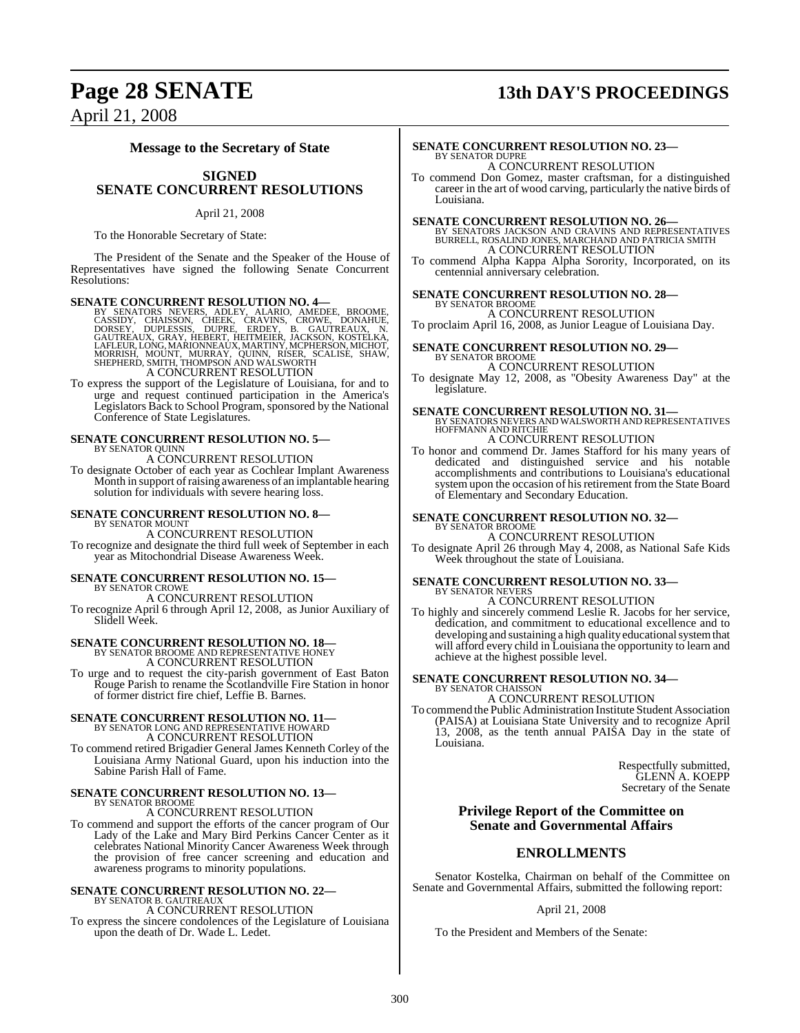## **Page 28 SENATE 13th DAY'S PROCEEDINGS**

April 21, 2008

### **Message to the Secretary of State**

### **SIGNED SENATE CONCURRENT RESOLUTIONS**

### April 21, 2008

To the Honorable Secretary of State:

The President of the Senate and the Speaker of the House of Representatives have signed the following Senate Concurrent Resolutions:

SENATE CONCURRENT RESOLUTION NO. 4<br>
BY SENATORS NEWERS, ADLEY, ALARIO, AMEDEE, BROOME, CASSIDY, CHAISSON, CHEEK, CRAVINS, CROWE, DONAHUE,<br>
DORSEY, DUPLESSIS, DUPRE, ERDEY, B. GAUTREAUX, N. GAUTREAUX, N. GAUTREAUX, GRAY, HE

To express the support of the Legislature of Louisiana, for and to urge and request continued participation in the America's Legislators Back to School Program, sponsored by the National Conference of State Legislatures.

## **SENATE CONCURRENT RESOLUTION NO. 5—** BY SENATOR QUINN A CONCURRENT RESOLUTION

To designate October of each year as Cochlear Implant Awareness Month in support of raising awareness of an implantable hearing solution for individuals with severe hearing loss.

## **SENATE CONCURRENT RESOLUTION NO. 8—** BY SENATOR MOUNT

A CONCURRENT RESOLUTION To recognize and designate the third full week of September in each year as Mitochondrial Disease Awareness Week.

## **SENATE CONCURRENT RESOLUTION NO. 15—**

BY SENATOR CROWE

A CONCURRENT RESOLUTION To recognize April 6 through April 12, 2008, as Junior Auxiliary of Slidell Week.

## **SENATE CONCURRENT RESOLUTION NO. 18—**

BY SENATOR BROOME AND REPRESENTATIVE HONEY A CONCURRENT RESOLUTION

To urge and to request the city-parish government of East Baton Rouge Parish to rename the Scotlandville Fire Station in honor of former district fire chief, Leffie B. Barnes.

### **SENATE CONCURRENT RESOLUTION NO. 11—** BY SENATOR LONG AND REPRESENTATIVE HOWARD A CONCURRENT RESOLUTION

To commend retired Brigadier General James Kenneth Corley of the Louisiana Army National Guard, upon his induction into the Sabine Parish Hall of Fame.

# **SENATE CONCURRENT RESOLUTION NO. 13—** BY SENATOR BROOME

A CONCURRENT RESOLUTION

To commend and support the efforts of the cancer program of Our Lady of the Lake and Mary Bird Perkins Cancer Center as it celebrates National Minority Cancer Awareness Week through the provision of free cancer screening and education and awareness programs to minority populations.

### **SENATE CONCURRENT RESOLUTION NO. 22—** BY SENATOR B. GAUTREAUX

A CONCURRENT RESOLUTION

To express the sincere condolences of the Legislature of Louisiana upon the death of Dr. Wade L. Ledet.

### **SENATE CONCURRENT RESOLUTION NO. 23—** BY SENATOR DUPRE A CONCURRENT RESOLUTION

To commend Don Gomez, master craftsman, for a distinguished career in the art of wood carving, particularly the native birds of Louisiana.

**SENATE CONCURRENT RESOLUTION NO. 26—**<br>BY SENATORS JACKSON AND CRAVINS AND REPRESENTATIVES<br>BURRELL, ROSALIND JONES, MARCHAND AND PATRICIA SMITH A CONCURRENT RESOLUTION

To commend Alpha Kappa Alpha Sorority, Incorporated, on its centennial anniversary celebration.

### **SENATE CONCURRENT RESOLUTION NO. 28—** BY SENATOR BROOME

A CONCURRENT RESOLUTION To proclaim April 16, 2008, as Junior League of Louisiana Day.

### **SENATE CONCURRENT RESOLUTION NO. 29—** BY SENATOR BROOME

A CONCURRENT RESOLUTION To designate May 12, 2008, as "Obesity Awareness Day" at the legislature.

# **SENATE CONCURRENT RESOLUTION NO. 31—BY SENATORS NEVERS AND WALSWORTH AND REPRESENTATIVES**<br>HOFFMANN AND RITCHIE

A CONCURRENT RESOLUTION

To honor and commend Dr. James Stafford for his many years of dedicated and distinguished service and his notable accomplishments and contributions to Louisiana's educational system upon the occasion of his retirement from the State Board of Elementary and Secondary Education.

### **SENATE CONCURRENT RESOLUTION NO. 32—** BY SENATOR BROOME

### A CONCURRENT RESOLUTION

To designate April 26 through May 4, 2008, as National Safe Kids Week throughout the state of Louisiana.

### **SENATE CONCURRENT RESOLUTION NO. 33—** BY SENATOR NEVERS A CONCURRENT RESOLUTION

To highly and sincerely commend Leslie R. Jacobs for her service, dedication, and commitment to educational excellence and to developing and sustaining a high quality educational system that will afford every child in Louisiana the opportunity to learn and achieve at the highest possible level.

### **SENATE CONCURRENT RESOLUTION NO. 34—** BY SENATOR CHAISSON

A CONCURRENT RESOLUTION

To commend the Public Administration Institute Student Association (PAISA) at Louisiana State University and to recognize April 13, 2008, as the tenth annual PAISA Day in the state of Louisiana.

> Respectfully submitted, GLENN A. KOEPP Secretary of the Senate

### **Privilege Report of the Committee on Senate and Governmental Affairs**

### **ENROLLMENTS**

Senator Kostelka, Chairman on behalf of the Committee on Senate and Governmental Affairs, submitted the following report:

### April 21, 2008

To the President and Members of the Senate: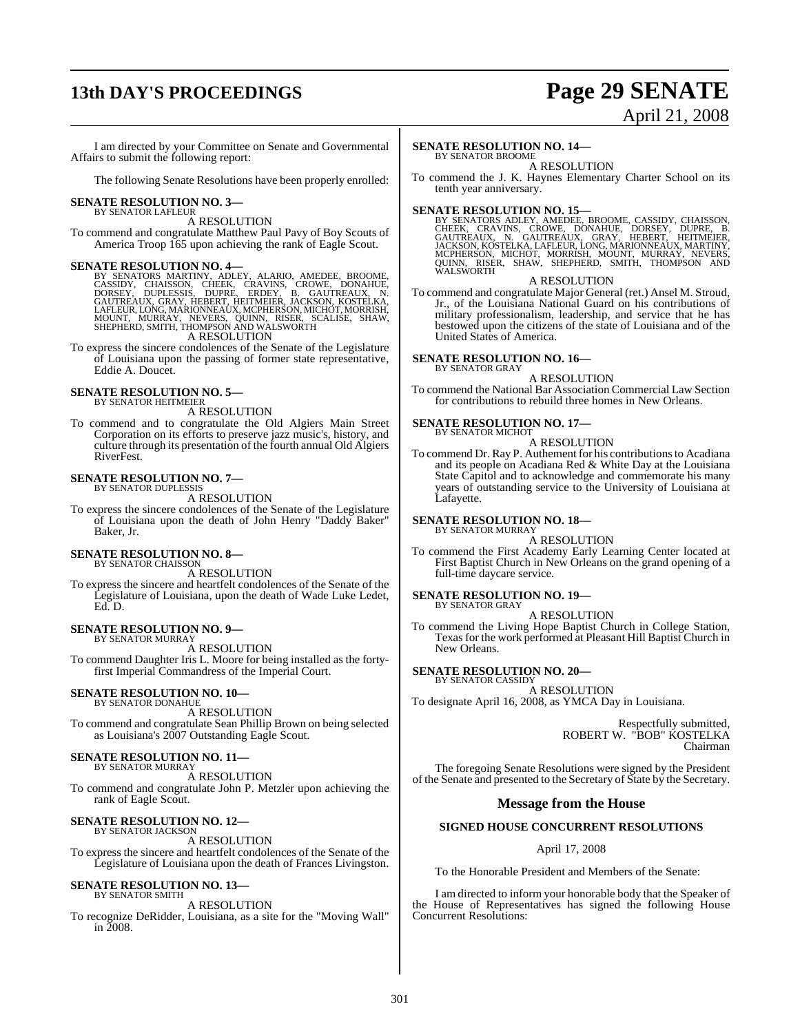## **13th DAY'S PROCEEDINGS Page 29 SENATE**

# April 21, 2008

I am directed by your Committee on Senate and Governmental Affairs to submit the following report:

The following Senate Resolutions have been properly enrolled:

### **SENATE RESOLUTION NO. 3—** BY SENATOR LAFLEUR

A RESOLUTION

To commend and congratulate Matthew Paul Pavy of Boy Scouts of America Troop 165 upon achieving the rank of Eagle Scout.

SENATE RESOLUTION NO. 4—<br>BY SENATORS MARTINY, ADLEY, ALARIO, AMEDEE, BROOME, CASSIDY, CHAISSON, CHEEK, CRAVINS, CROWE, DONAHUE,<br>DORSEY, DUPLESSIS, DUPRE, ERDEY, B. GAUTREAUX, N.<br>GAUTREAUX, GRAY, HEBERT, HEITMEIER, JACKSON,

A RESOLUTION

To express the sincere condolences of the Senate of the Legislature of Louisiana upon the passing of former state representative, Eddie A. Doucet.

### **SENATE RESOLUTION NO. 5—** BY SENATOR HEITMEIER

A RESOLUTION

To commend and to congratulate the Old Algiers Main Street Corporation on its efforts to preserve jazz music's, history, and culture through its presentation of the fourth annual Old Algiers RiverFest.

### **SENATE RESOLUTION NO. 7—** BY SENATOR DUPLESSIS

A RESOLUTION

To express the sincere condolences of the Senate of the Legislature of Louisiana upon the death of John Henry "Daddy Baker" Baker, Jr.

### **SENATE RESOLUTION NO. 8—** BY SENATOR CHAISSON

A RESOLUTION

To express the sincere and heartfelt condolences of the Senate of the Legislature of Louisiana, upon the death of Wade Luke Ledet, Ed. D.

### **SENATE RESOLUTION NO. 9—** BY SENATOR MURRAY

A RESOLUTION

To commend Daughter Iris L. Moore for being installed as the fortyfirst Imperial Commandress of the Imperial Court.

## **SENATE RESOLUTION NO. 10—** BY SENATOR DONAHUE

A RESOLUTION

To commend and congratulate Sean Phillip Brown on being selected as Louisiana's 2007 Outstanding Eagle Scout.

### **SENATE RESOLUTION NO. 11—** BY SENATOR MURRAY

A RESOLUTION

To commend and congratulate John P. Metzler upon achieving the rank of Eagle Scout.

### **SENATE RESOLUTION NO. 12—**

BY SENATOR JACKSON A RESOLUTION To express the sincere and heartfelt condolences of the Senate of the Legislature of Louisiana upon the death of Frances Livingston.

### **SENATE RESOLUTION NO. 13—** BY SENATOR SMITH

### A RESOLUTION

To recognize DeRidder, Louisiana, as a site for the "Moving Wall"  $\frac{2008}{2008}$ .

### **SENATE RESOLUTION NO. 14—**

BY SENATOR BROOME A RESOLUTION

To commend the J. K. Haynes Elementary Charter School on its tenth year anniversary.

SENATE RESOLUTION NO. 15—<br>BY SENATORS ADLEY, AMEDEE, BROOME, CASSIDY, CHAISSON, CHEK, CRAVINS, CROWE, DONAHUE, DORSEY, DUPRE, B.<br>GAUTREAUX, N. GAUTREAUX, GRAY, HEBERT, HEITMEIER,<br>JACKSON, KOSTELKA, LAFLEUR, LONG, MARIONNEA

### A RESOLUTION

To commend and congratulate Major General (ret.) Ansel M. Stroud, Jr., of the Louisiana National Guard on his contributions of military professionalism, leadership, and service that he has bestowed upon the citizens of the state of Louisiana and of the United States of America.

### **SENATE RESOLUTION NO. 16—** BY SENATOR GRAY

A RESOLUTION To commend the National Bar Association Commercial Law Section for contributions to rebuild three homes in New Orleans.

### **SENATE RESOLUTION NO. 17—** BY SENATOR MICHOT

A RESOLUTION

To commend Dr. Ray P. Authement for his contributionsto Acadiana and its people on Acadiana Red & White Day at the Louisiana State Capitol and to acknowledge and commemorate his many years of outstanding service to the University of Louisiana at Lafayette.

### **SENATE RESOLUTION NO. 18—** BY SENATOR MURRAY

A RESOLUTION

To commend the First Academy Early Learning Center located at First Baptist Church in New Orleans on the grand opening of a full-time daycare service.

### **SENATE RESOLUTION NO. 19—**

BY SENATOR GRAY A RESOLUTION

To commend the Living Hope Baptist Church in College Station, Texas for the work performed at Pleasant Hill Baptist Church in New Orleans.

### **SENATE RESOLUTION NO. 20—**

BY SENATOR CASSIDY A RESOLUTION To designate April 16, 2008, as YMCA Day in Louisiana.

> Respectfully submitted, ROBERT W. "BOB" KOSTELKA Chairman

The foregoing Senate Resolutions were signed by the President of the Senate and presented to the Secretary of State by the Secretary.

### **Message from the House**

### **SIGNED HOUSE CONCURRENT RESOLUTIONS**

April 17, 2008

To the Honorable President and Members of the Senate:

I am directed to inform your honorable body that the Speaker of the House of Representatives has signed the following House Concurrent Resolutions: